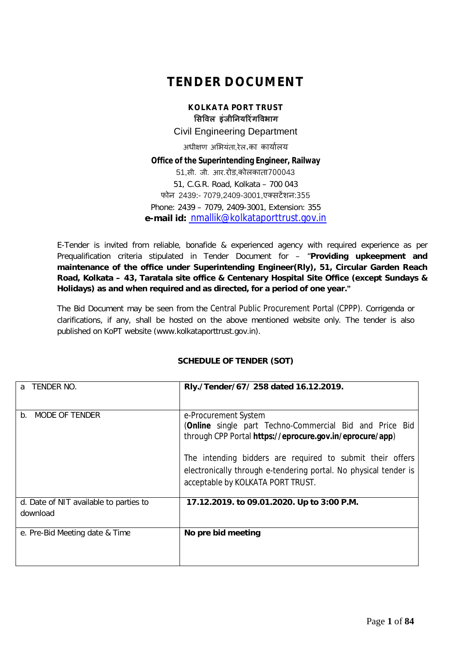## **TENDER DOCUMENT**

**KOLKATA PORT TRUST ͧसͪवल इंजीǓनयǐरंगͪवभाग** Civil Engineering Department अधीक्षण अभियंता,रेल.का कार्यालय **Office of the Superintending Engineer, Railway** 51,सी. जी. आर.रोड,कोलकाता700043 51, C.G.R. Road, Kolkata – 700 043 फोन 2439:- 7079,2409-3001,एक्सटेंशन:355 Phone: 2439 – 7079, 2409-3001, Extension: 355 **e-mail id:** nmallik@kolkataporttrust.gov.in

E-Tender is invited from reliable, bonafide & experienced agency with required experience as per Prequalification criteria stipulated in Tender Document for – "**Providing upkeepment and maintenance of the office under Superintending Engineer(Rly), 51, Circular Garden Reach Road, Kolkata – 43, Taratala site office & Centenary Hospital Site Office (except Sundays & Holidays) as and when required and as directed, for a period of one year."**

The Bid Document may be seen from the Central Public Procurement Portal (CPPP). Corrigenda or clarifications, if any, shall be hosted on the above mentioned website only. The tender is also published on KoPT website (www.kolkataporttrust.gov.in).

### **SCHEDULE OF TENDER (SOT)**

| TENDER NO.<br>a                                    | Rly./Tender/67/ 258 dated 16.12.2019.                                                                                                                              |
|----------------------------------------------------|--------------------------------------------------------------------------------------------------------------------------------------------------------------------|
| MODE OF TENDER<br>b.                               | e-Procurement System<br>(Online single part Techno-Commercial Bid and Price Bid<br>through CPP Portal https://eprocure.gov.in/eprocure/app)                        |
|                                                    | The intending bidders are required to submit their offers<br>electronically through e-tendering portal. No physical tender is<br>acceptable by KOLKATA PORT TRUST. |
| d. Date of NIT available to parties to<br>download | 17.12.2019. to 09.01.2020. Up to 3:00 P.M.                                                                                                                         |
| e. Pre-Bid Meeting date & Time                     | No pre bid meeting                                                                                                                                                 |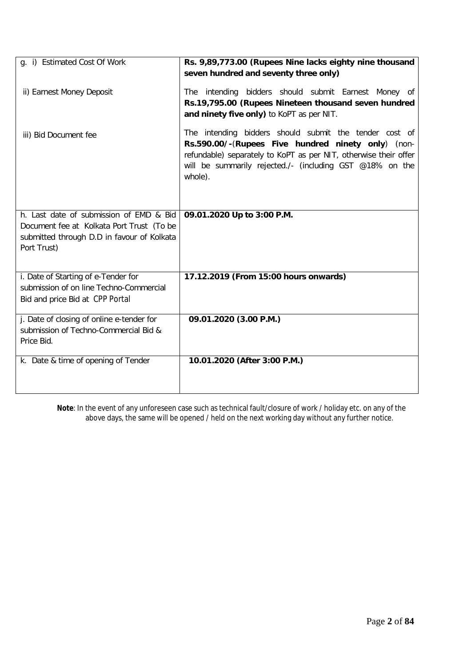| q. i) Estimated Cost Of Work                              | Rs. 9,89,773.00 (Rupees Nine lacks eighty nine thousand                                                                                                                                                                                                 |
|-----------------------------------------------------------|---------------------------------------------------------------------------------------------------------------------------------------------------------------------------------------------------------------------------------------------------------|
|                                                           | seven hundred and seventy three only)                                                                                                                                                                                                                   |
| ii) Earnest Money Deposit                                 | The intending bidders should submit Earnest Money of                                                                                                                                                                                                    |
|                                                           | Rs.19,795.00 (Rupees Nineteen thousand seven hundred                                                                                                                                                                                                    |
|                                                           | and ninety five only) to KoPT as per NIT.                                                                                                                                                                                                               |
| iii) Bid Document fee                                     | The intending bidders should submit the tender cost of<br>Rs.590.00/-(Rupees Five hundred ninety only) (non-<br>refundable) separately to KoPT as per NIT, otherwise their offer<br>will be summarily rejected./- (including GST @18% on the<br>whole). |
| h. Last date of submission of EMD & Bid                   | 09.01.2020 Up to 3:00 P.M.                                                                                                                                                                                                                              |
| Document fee at Kolkata Port Trust (To be                 |                                                                                                                                                                                                                                                         |
| submitted through D.D in favour of Kolkata<br>Port Trust) |                                                                                                                                                                                                                                                         |
|                                                           |                                                                                                                                                                                                                                                         |
| i. Date of Starting of e-Tender for                       | 17.12.2019 (From 15:00 hours onwards)                                                                                                                                                                                                                   |
| submission of on line Techno-Commercial                   |                                                                                                                                                                                                                                                         |
| Bid and price Bid at CPP Portal                           |                                                                                                                                                                                                                                                         |
| j. Date of closing of online e-tender for                 | 09.01.2020 (3.00 P.M.)                                                                                                                                                                                                                                  |
| submission of Techno-Commercial Bid &<br>Price Bid.       |                                                                                                                                                                                                                                                         |
|                                                           |                                                                                                                                                                                                                                                         |
| k. Date & time of opening of Tender                       | 10.01.2020 (After 3:00 P.M.)                                                                                                                                                                                                                            |
|                                                           |                                                                                                                                                                                                                                                         |
|                                                           |                                                                                                                                                                                                                                                         |

**Note**: In the event of any unforeseen case such as technical fault/closure of work / holiday etc. on any of the above days, the same will be opened / held on the next working day without any further notice.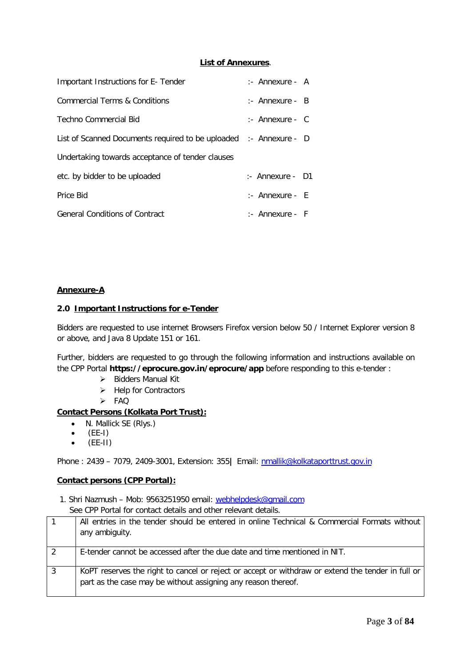### **List of Annexures**.

| Important Instructions for E-Tender                               | :- Annexure - A            |  |
|-------------------------------------------------------------------|----------------------------|--|
| Commercial Terms & Conditions                                     | $:$ Annexure - B           |  |
| Techno Commercial Bid                                             | $:$ Annexure - C           |  |
| List of Scanned Documents required to be uploaded :- Annexure - D |                            |  |
| Undertaking towards acceptance of tender clauses                  |                            |  |
| etc. by bidder to be uploaded                                     | $\therefore$ Annexure - D1 |  |
| Price Bid                                                         | $:$ Annexure - E           |  |
| <b>General Conditions of Contract</b>                             | $:$ Annexure - F           |  |

### **Annexure-A**

### **2.0 Important Instructions for e-Tender**

Bidders are requested to use internet Browsers Firefox version below 50 / Internet Explorer version 8 or above, and Java 8 Update 151 or 161.

Further, bidders are requested to go through the following information and instructions available on the CPP Portal **https://eprocure.gov.in/eprocure/app** before responding to this e-tender :

- $\triangleright$  Bidders Manual Kit
- $\blacktriangleright$  Help for Contractors
- $>$  FAQ

### **Contact Persons (Kolkata Port Trust):**

- N. Mallick SE (Rlys.)
- $\bullet$  (EE-I)
- $\bullet$  (EE-II)

Phone : 2439 – 7079, 2409-3001, Extension: 355**|** Email: nmallik@kolkataporttrust.gov.in

### **Contact persons (CPP Portal):**

1. Shri Nazmush – Mob: 9563251950 email: webhelpdesk@gmail.com See CPP Portal for contact details and other relevant details.

|   | All entries in the tender should be entered in online Technical & Commercial Formats without<br>any ambiguity.                                                     |
|---|--------------------------------------------------------------------------------------------------------------------------------------------------------------------|
|   | E-tender cannot be accessed after the due date and time mentioned in NIT.                                                                                          |
| 3 | KoPT reserves the right to cancel or reject or accept or withdraw or extend the tender in full or<br>part as the case may be without assigning any reason thereof. |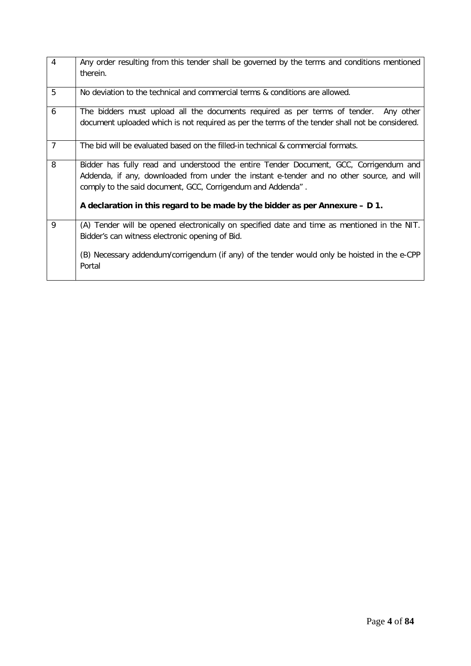| 4              | Any order resulting from this tender shall be governed by the terms and conditions mentioned<br>therein.                                                                                                                                          |
|----------------|---------------------------------------------------------------------------------------------------------------------------------------------------------------------------------------------------------------------------------------------------|
| 5              | No deviation to the technical and commercial terms & conditions are allowed.                                                                                                                                                                      |
| 6              | The bidders must upload all the documents required as per terms of tender. Any other<br>document uploaded which is not required as per the terms of the tender shall not be considered.                                                           |
| $\overline{7}$ | The bid will be evaluated based on the filled-in technical & commercial formats.                                                                                                                                                                  |
| 8              | Bidder has fully read and understood the entire Tender Document, GCC, Corrigendum and<br>Addenda, if any, downloaded from under the instant e-tender and no other source, and will<br>comply to the said document, GCC, Corrigendum and Addenda". |
|                | A declaration in this regard to be made by the bidder as per Annexure $- D 1$ .                                                                                                                                                                   |
| 9              | (A) Tender will be opened electronically on specified date and time as mentioned in the NIT.<br>Bidder's can witness electronic opening of Bid.                                                                                                   |
|                | (B) Necessary addendum/corrigendum (if any) of the tender would only be hoisted in the e-CPP<br>Portal                                                                                                                                            |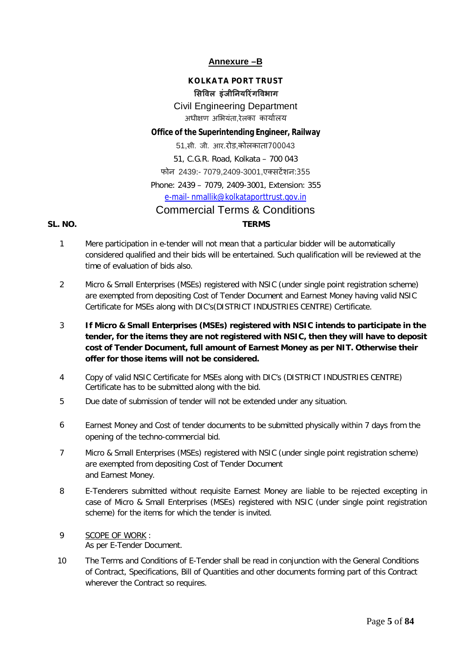### **Annexure –B**

### **KOLKATA PORT TRUST ͧसͪवल इंजीǓनयǐरंगͪवभाग** Civil Engineering Department अधीक्षण अभियंता.रेलका कार्यालय

### **Office of the Superintending Engineer, Railway**

51,सी. जी. आर.रोड,कोलकाता700043 51, C.G.R. Road, Kolkata – 700 043 फोन 2439:- 7079,2409-3001,एक्सटेंशन:355 Phone: 2439 – 7079, 2409-3001, Extension: 355 e-mail- nmallik@kolkataporttrust.gov.in Commercial Terms & Conditions **SL. NO. TERMS**

- 1 Mere participation in e-tender will not mean that a particular bidder will be automatically considered qualified and their bids will be entertained. Such qualification will be reviewed at the time of evaluation of bids also.
- 2 Micro & Small Enterprises (MSEs) registered with NSIC (under single point registration scheme) are exempted from depositing Cost of Tender Document and Earnest Money having valid NSIC Certificate for MSEs along with DIC's(DISTRICT INDUSTRIES CENTRE) Certificate.
- 3 **If Micro & Small Enterprises (MSEs) registered with NSIC intends to participate in the tender, for the items they are not registered with NSIC, then they will have to deposit cost of Tender Document, full amount of Earnest Money as per NIT. Otherwise their offer for those items will not be considered.**
- 4 Copy of valid NSIC Certificate for MSEs along with DIC's (DISTRICT INDUSTRIES CENTRE) Certificate has to be submitted along with the bid.
- 5 Due date of submission of tender will not be extended under any situation.
- 6 Earnest Money and Cost of tender documents to be submitted physically within 7 days from the opening of the techno-commercial bid.
- 7 Micro & Small Enterprises (MSEs) registered with NSIC (under single point registration scheme) are exempted from depositing Cost of Tender Document and Earnest Money.
- 8 E-Tenderers submitted without requisite Earnest Money are liable to be rejected excepting in case of Micro & Small Enterprises (MSEs) registered with NSIC (under single point registration scheme) for the items for which the tender is invited.
- 9 SCOPE OF WORK : As per E-Tender Document.
- 10 The Terms and Conditions of E-Tender shall be read in conjunction with the General Conditions of Contract, Specifications, Bill of Quantities and other documents forming part of this Contract wherever the Contract so requires.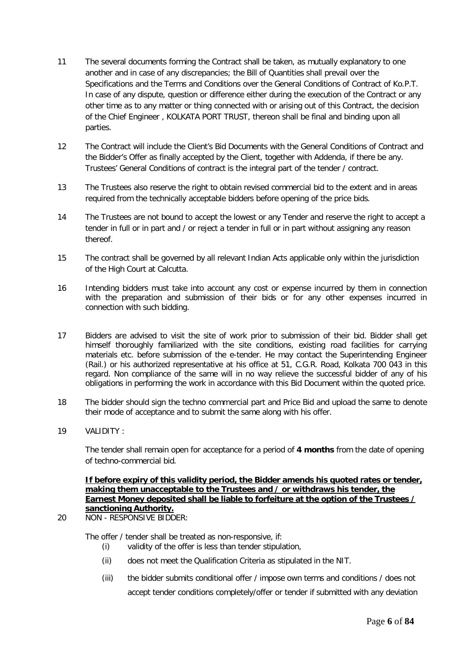- 11 The several documents forming the Contract shall be taken, as mutually explanatory to one another and in case of any discrepancies; the Bill of Quantities shall prevail over the Specifications and the Terms and Conditions over the General Conditions of Contract of Ko.P.T. In case of any dispute, question or difference either during the execution of the Contract or any other time as to any matter or thing connected with or arising out of this Contract, the decision of the Chief Engineer , KOLKATA PORT TRUST, thereon shall be final and binding upon all parties.
- 12 The Contract will include the Client's Bid Documents with the General Conditions of Contract and the Bidder's Offer as finally accepted by the Client, together with Addenda, if there be any. Trustees' General Conditions of contract is the integral part of the tender / contract.
- 13 The Trustees also reserve the right to obtain revised commercial bid to the extent and in areas required from the technically acceptable bidders before opening of the price bids.
- 14 The Trustees are not bound to accept the lowest or any Tender and reserve the right to accept a tender in full or in part and / or reject a tender in full or in part without assigning any reason thereof.
- 15 The contract shall be governed by all relevant Indian Acts applicable only within the jurisdiction of the High Court at Calcutta.
- 16 Intending bidders must take into account any cost or expense incurred by them in connection with the preparation and submission of their bids or for any other expenses incurred in connection with such bidding.
- 17 Bidders are advised to visit the site of work prior to submission of their bid. Bidder shall get himself thoroughly familiarized with the site conditions, existing road facilities for carrying materials etc. before submission of the e-tender. He may contact the Superintending Engineer (Rail.) or his authorized representative at his office at 51, C.G.R. Road, Kolkata 700 043 in this regard. Non compliance of the same will in no way relieve the successful bidder of any of his obligations in performing the work in accordance with this Bid Document within the quoted price.
- 18 The bidder should sign the techno commercial part and Price Bid and upload the same to denote their mode of acceptance and to submit the same along with his offer.
- 19 VALIDITY :

The tender shall remain open for acceptance for a period of **4 months** from the date of opening of techno-commercial bid.

### **If before expiry of this validity period, the Bidder amends his quoted rates or tender, making them unacceptable to the Trustees and / or withdraws his tender, the Earnest Money deposited shall be liable to forfeiture at the option of the Trustees / sanctioning Authority.**

20 NON - RESPONSIVE BIDDER:

The offer / tender shall be treated as non-responsive, if:

- (i) validity of the offer is less than tender stipulation,
- (ii) does not meet the Qualification Criteria as stipulated in the NIT.
- (iii) the bidder submits conditional offer / impose own terms and conditions / does not accept tender conditions completely/offer or tender if submitted with any deviation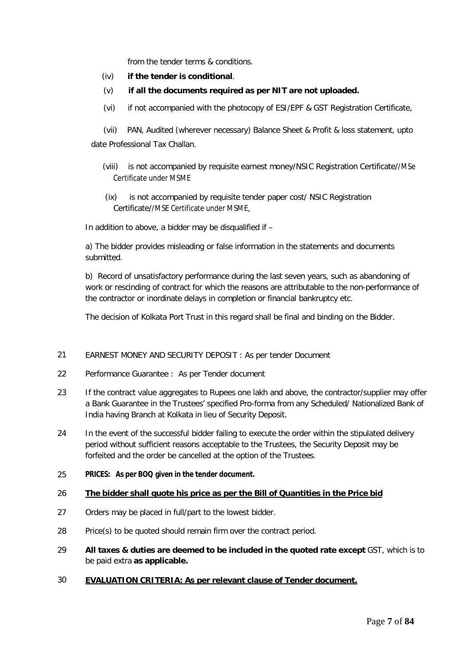from the tender terms & conditions.

- (iv) **if the tender is conditional**.
- (v) **if all the documents required as per NIT are not uploaded.**
- (vi) if not accompanied with the photocopy of ESI/EPF & GST Registration Certificate,

 (vii) PAN, Audited (wherever necessary) Balance Sheet & Profit & loss statement, upto date Professional Tax Challan.

- (viii) is not accompanied by requisite earnest money/NSIC Registration Certificate//MSe Certificate under MSME
- (ix) is not accompanied by requisite tender paper cost/ NSIC Registration Certificate//MSE Certificate under MSME,

In addition to above, a bidder may be disqualified if –

a) The bidder provides misleading or false information in the statements and documents submitted.

b) Record of unsatisfactory performance during the last seven years, such as abandoning of work or rescinding of contract for which the reasons are attributable to the non-performance of the contractor or inordinate delays in completion or financial bankruptcy etc.

The decision of Kolkata Port Trust in this regard shall be final and binding on the Bidder.

### 21 EARNEST MONEY AND SECURITY DEPOSIT : As per tender Document

- 22 Performance Guarantee : As per Tender document
- 23 If the contract value aggregates to Rupees one lakh and above, the contractor/supplier may offer a Bank Guarantee in the Trustees' specified Pro-forma from any Scheduled/ Nationalized Bank of India having Branch at Kolkata in lieu of Security Deposit.
- 24 In the event of the successful bidder failing to execute the order within the stipulated delivery period without sufficient reasons acceptable to the Trustees, the Security Deposit may be forfeited and the order be cancelled at the option of the Trustees.
- 25 **PRICES: As per BOQ given in the tender document.**

### 26 **The bidder shall quote his price as per the Bill of Quantities in the Price bid**

- 27 Orders may be placed in full/part to the lowest bidder.
- 28 Price(s) to be quoted should remain firm over the contract period.
- 29 **All taxes & duties are deemed to be included in the quoted rate except** GST, which is to be paid extra **as applicable.**
- 30 **EVALUATION CRITERIA: As per relevant clause of Tender document.**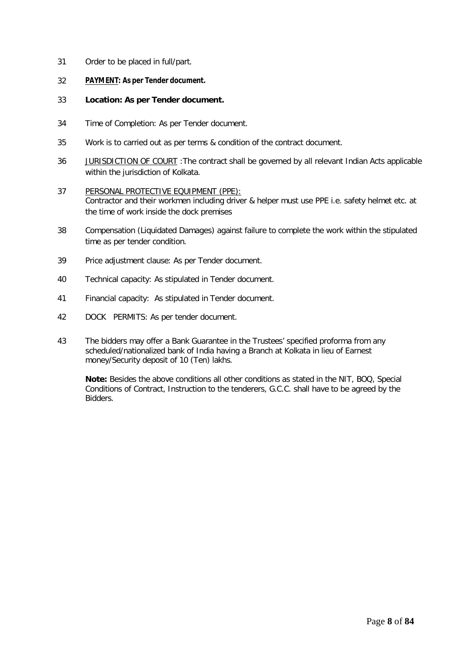- 31 Order to be placed in full/part.
- 32 **PAYMENT: As per Tender document.**
- 33 **Location: As per Tender document.**
- 34 Time of Completion: As per Tender document.
- 35 Work is to carried out as per terms & condition of the contract document.
- 36 JURISDICTION OF COURT :The contract shall be governed by all relevant Indian Acts applicable within the jurisdiction of Kolkata.
- 37 PERSONAL PROTECTIVE EQUIPMENT (PPE): Contractor and their workmen including driver & helper must use PPE i.e. safety helmet etc. at the time of work inside the dock premises
- 38 Compensation (Liquidated Damages) against failure to complete the work within the stipulated time as per tender condition.
- 39 Price adjustment clause: As per Tender document.
- 40 Technical capacity: As stipulated in Tender document.
- 41 Financial capacity: As stipulated in Tender document.
- 42 DOCK PERMITS: As per tender document.
- 43 The bidders may offer a Bank Guarantee in the Trustees' specified proforma from any scheduled/nationalized bank of India having a Branch at Kolkata in lieu of Earnest money/Security deposit of 10 (Ten) lakhs.

**Note:** Besides the above conditions all other conditions as stated in the NIT, BOQ, Special Conditions of Contract, Instruction to the tenderers, G.C.C. shall have to be agreed by the Bidders.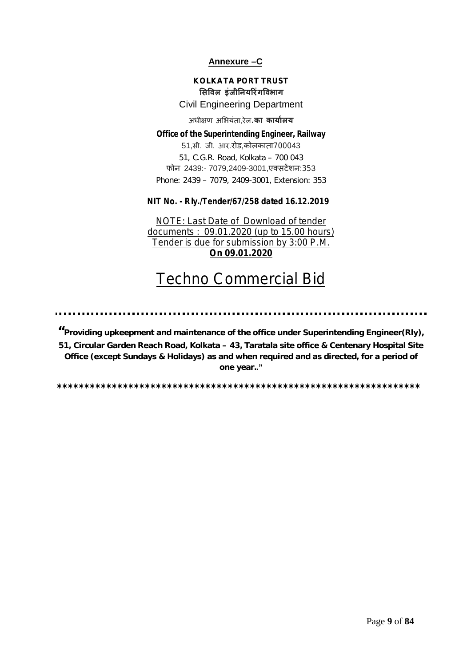### **Annexure –C**

### **KOLKATA PORT TRUST ͧसͪवल इंजीǓनयǐरंगͪवभाग**

### Civil Engineering Department

### अधीक्षण अभियंता,रेल.**का कार्यालय**

### **Office of the Superintending Engineer, Railway** 51,सी. जी. आर.रोड,कोलकाता700043 51, C.G.R. Road, Kolkata – 700 043 फोन 2439:- 7079,2409-3001,एक्सटेंशन:353 Phone: 2439 – 7079, 2409-3001, Extension: 353

### **NIT No. - Rly./Tender/67/258 dated 16.12.2019**

NOTE: Last Date of Download of tender documents : 09.01.2020 (up to 15.00 hours) Tender is due for submission by 3:00 P.M. **On 09.01.2020**

# Techno Commercial Bid

**"Providing upkeepment and maintenance of the office under Superintending Engineer(Rly), 51, Circular Garden Reach Road, Kolkata – 43, Taratala site office & Centenary Hospital Site Office (except Sundays & Holidays) as and when required and as directed, for a period of one year.."**

**\*\*\*\*\*\*\*\*\*\*\*\*\*\*\*\*\*\*\*\*\*\*\*\*\*\*\*\*\*\*\*\*\*\*\*\*\*\*\*\*\*\*\*\*\*\*\*\*\*\*\*\*\*\*\*\*\*\*\*\*\*\*\*\*\*\***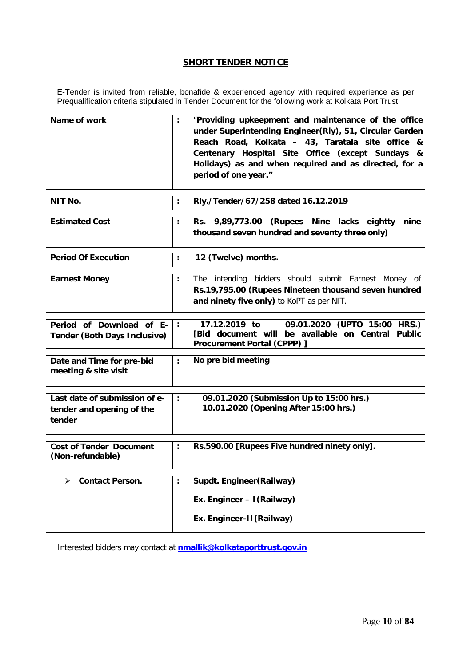### **SHORT TENDER NOTICE**

E-Tender is invited from reliable, bonafide & experienced agency with required experience as per Prequalification criteria stipulated in Tender Document for the following work at Kolkata Port Trust.

| Name of work                                                         | $\ddot{\phantom{a}}$ | "Providing upkeepment and maintenance of the office<br>under Superintending Engineer(Rly), 51, Circular Garden<br>Reach Road, Kolkata - 43, Taratala site office &<br>Centenary Hospital Site Office (except Sundays &<br>Holidays) as and when required and as directed, for a<br>period of one year." |
|----------------------------------------------------------------------|----------------------|---------------------------------------------------------------------------------------------------------------------------------------------------------------------------------------------------------------------------------------------------------------------------------------------------------|
| NIT No.                                                              | $\ddot{\phantom{a}}$ | Rly./Tender/67/258 dated 16.12.2019                                                                                                                                                                                                                                                                     |
| <b>Estimated Cost</b>                                                | $\ddot{\cdot}$       | Rs. 9,89,773.00 (Rupees Nine lacks eightty nine<br>thousand seven hundred and seventy three only)                                                                                                                                                                                                       |
| <b>Period Of Execution</b>                                           | $\ddot{\phantom{a}}$ | 12 (Twelve) months.                                                                                                                                                                                                                                                                                     |
| <b>Earnest Money</b>                                                 | $\ddot{\cdot}$       | The intending bidders should submit Earnest Money of<br>Rs.19,795.00 (Rupees Nineteen thousand seven hundred<br>and ninety five only) to KoPT as per NIT.                                                                                                                                               |
| Period of Download of E-<br><b>Tender (Both Days Inclusive)</b>      | $\ddot{\phantom{a}}$ | 17.12.2019 to<br>09.01.2020 (UPTO 15:00 HRS.)<br>[Bid document will be available on Central<br><b>Public</b><br>Procurement Portal (CPPP) ]                                                                                                                                                             |
| Date and Time for pre-bid<br>meeting & site visit                    | $\ddot{\cdot}$       | No pre bid meeting                                                                                                                                                                                                                                                                                      |
| Last date of submission of e-<br>tender and opening of the<br>tender | $\ddot{\phantom{a}}$ | 09.01.2020 (Submission Up to 15:00 hrs.)<br>10.01.2020 (Opening After 15:00 hrs.)                                                                                                                                                                                                                       |
| <b>Cost of Tender Document</b><br>(Non-refundable)                   | $\ddot{\cdot}$       | Rs.590.00 [Rupees Five hundred ninety only].                                                                                                                                                                                                                                                            |
| <b>Contact Person.</b><br>⋗                                          | $\ddot{\phantom{a}}$ | Supdt. Engineer (Railway)                                                                                                                                                                                                                                                                               |
|                                                                      |                      | Ex. Engineer - I (Railway)                                                                                                                                                                                                                                                                              |
|                                                                      |                      | Ex. Engineer-II(Railway)                                                                                                                                                                                                                                                                                |

Interested bidders may contact at **nmallik@kolkataporttrust.gov.in**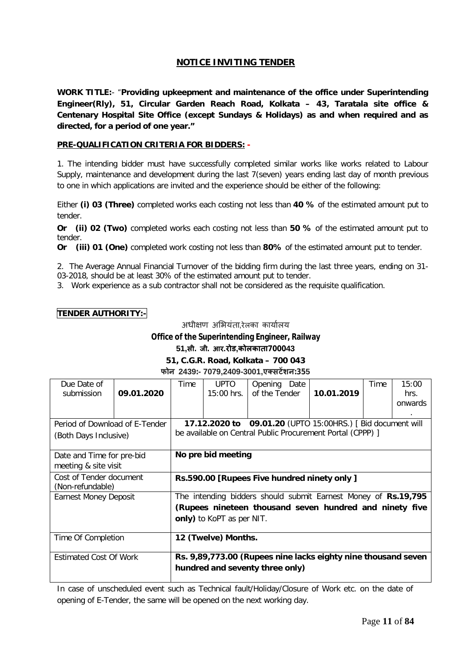### **NOTICE INVITING TENDER**

**WORK TITLE:**- "**Providing upkeepment and maintenance of the office under Superintending Engineer(Rly), 51, Circular Garden Reach Road, Kolkata – 43, Taratala site office & Centenary Hospital Site Office (except Sundays & Holidays) as and when required and as directed, for a period of one year."**

### **PRE-QUALIFICATION CRITERIA FOR BIDDERS: -**

1. The intending bidder must have successfully completed similar works like works related to Labour Supply, maintenance and development during the last 7(seven) years ending last day of month previous to one in which applications are invited and the experience should be either of the following:

Either **(i) 03 (Three)** completed works each costing not less than **40 %** of the estimated amount put to tender.

**Or (ii) 02 (Two)** completed works each costing not less than **50 %** of the estimated amount put to tender.

**Or (iii) 01 (One)** completed work costing not less than **80%** of the estimated amount put to tender.

2. The Average Annual Financial Turnover of the bidding firm during the last three years, ending on 31- 03-2018, should be at least 30% of the estimated amount put to tender.

3. Work experience as a sub contractor shall not be considered as the requisite qualification.

### **TENDER AUTHORITY:-**

अधीक्षण अभियंता,रेलका कार्यालय

### **Office of the Superintending Engineer, Railway**

### **51,सी. जी. आर.रोड,कोलकाता700043**

### **51, C.G.R. Road, Kolkata – 700 043 फोन 2439:- 7079,2409-3001,एÈसटɅशन:355**

| Due Date of                    |            | Time                                                          | UPTO                      | Opening Date  |  |                                                                | Time | 15:00   |
|--------------------------------|------------|---------------------------------------------------------------|---------------------------|---------------|--|----------------------------------------------------------------|------|---------|
| submission                     | 09.01.2020 |                                                               | 15:00 hrs.                | of the Tender |  | 10.01.2019                                                     |      | hrs.    |
|                                |            |                                                               |                           |               |  |                                                                |      | onwards |
|                                |            |                                                               |                           |               |  |                                                                |      | $\cdot$ |
| Period of Download of E-Tender |            |                                                               |                           |               |  | 17.12.2020 to 09.01.20 (UPTO 15:00HRS.) [ Bid document will    |      |         |
| (Both Days Inclusive)          |            | be available on Central Public Procurement Portal (CPPP) ]    |                           |               |  |                                                                |      |         |
|                                |            |                                                               |                           |               |  |                                                                |      |         |
| Date and Time for pre-bid      |            |                                                               | No pre bid meeting        |               |  |                                                                |      |         |
| meeting & site visit           |            |                                                               |                           |               |  |                                                                |      |         |
| Cost of Tender document        |            |                                                               |                           |               |  |                                                                |      |         |
| (Non-refundable)               |            | Rs.590.00 [Rupees Five hundred ninety only ]                  |                           |               |  |                                                                |      |         |
|                                |            |                                                               |                           |               |  |                                                                |      |         |
| <b>Earnest Money Deposit</b>   |            |                                                               |                           |               |  | The intending bidders should submit Earnest Money of Rs.19,795 |      |         |
|                                |            |                                                               |                           |               |  | (Rupees nineteen thousand seven hundred and ninety five        |      |         |
|                                |            |                                                               | only) to KoPT as per NIT. |               |  |                                                                |      |         |
|                                |            |                                                               |                           |               |  |                                                                |      |         |
| Time Of Completion             |            | 12 (Twelve) Months.                                           |                           |               |  |                                                                |      |         |
|                                |            |                                                               |                           |               |  |                                                                |      |         |
| <b>Estimated Cost Of Work</b>  |            | Rs. 9,89,773.00 (Rupees nine lacks eighty nine thousand seven |                           |               |  |                                                                |      |         |
|                                |            | hundred and seventy three only)                               |                           |               |  |                                                                |      |         |
|                                |            |                                                               |                           |               |  |                                                                |      |         |

In case of unscheduled event such as Technical fault/Holiday/Closure of Work etc. on the date of opening of E-Tender, the same will be opened on the next working day.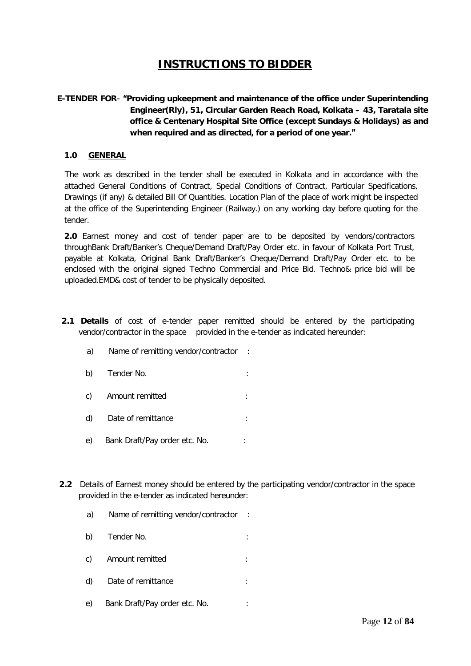## **INSTRUCTIONS TO BIDDER**

### **E-TENDER FOR**- **"Providing upkeepment and maintenance of the office under Superintending Engineer(Rly), 51, Circular Garden Reach Road, Kolkata – 43, Taratala site office & Centenary Hospital Site Office (except Sundays & Holidays) as and when required and as directed, for a period of one year."**

### **1.0 GENERAL**

 The work as described in the tender shall be executed in Kolkata and in accordance with the attached General Conditions of Contract, Special Conditions of Contract, Particular Specifications, Drawings (if any) & detailed Bill Of Quantities. Location Plan of the place of work might be inspected at the office of the Superintending Engineer (Railway.) on any working day before quoting for the tender.

**2.0** Earnest money and cost of tender paper are to be deposited by vendors/contractors throughBank Draft/Banker's Cheque/Demand Draft/Pay Order etc. in favour of Kolkata Port Trust, payable at Kolkata, Original Bank Draft/Banker's Cheque/Demand Draft/Pay Order etc. to be enclosed with the original signed Techno Commercial and Price Bid. Techno& price bid will be uploaded.EMD& cost of tender to be physically deposited.

- **2.1 Details** of cost of e-tender paper remitted should be entered by the participating vendor/contractor in the space provided in the e-tender as indicated hereunder:
	- a) Name of remitting vendor/contractor :
	- b) Tender No.  $\qquad \qquad$ :
	- c) Amount remitted :
	- d) Date of remittance in the state of  $\mathbf{r}$
	- e) Bank Draft/Pay order etc. No.
- **2.2** Details of Earnest money should be entered by the participating vendor/contractor in the space provided in the e-tender as indicated hereunder:
	- a) Name of remitting vendor/contractor :
	- b) Tender No. :
	- c) Amount remitted :
	- d) Date of remittance :
	- e) Bank Draft/Pay order etc. No.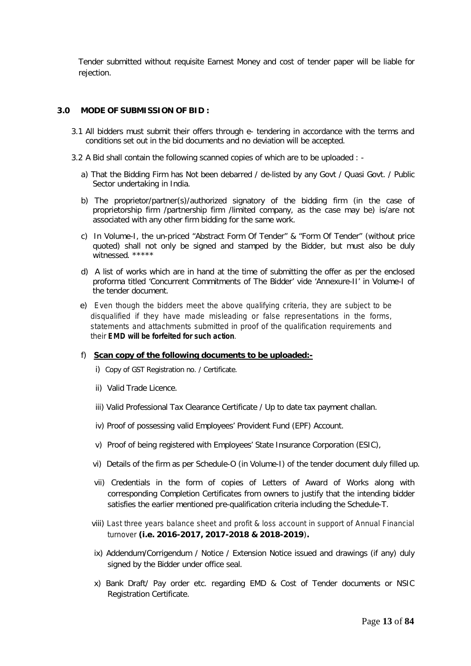Tender submitted without requisite Earnest Money and cost of tender paper will be liable for rejection.

### **3.0 MODE OF SUBMISSION OF BID :**

- 3.1 All bidders must submit their offers through e- tendering in accordance with the terms and conditions set out in the bid documents and no deviation will be accepted.
- 3.2 A Bid shall contain the following scanned copies of which are to be uploaded :
	- a) That the Bidding Firm has Not been debarred / de-listed by any Govt / Quasi Govt. / Public Sector undertaking in India.
	- b) The proprietor/partner(s)/authorized signatory of the bidding firm (in the case of proprietorship firm /partnership firm /limited company, as the case may be) is/are not associated with any other firm bidding for the same work.
	- c) In Volume-I, the un-priced "Abstract Form Of Tender" & "Form Of Tender" (without price quoted) shall not only be signed and stamped by the Bidder, but must also be duly witnessed. \*\*\*\*\*
	- d) A list of works which are in hand at the time of submitting the offer as per the enclosed proforma titled 'Concurrent Commitments of The Bidder' vide 'Annexure-II' in Volume-I of the tender document.
	- e) Even though the bidders meet the above qualifying criteria, they are subject to be disqualified if they have made misleading or false representations in the forms, statements and attachments submitted in proof of the qualification requirements and their **EMD will be forfeited for such action**.

#### f) **Scan copy of the following documents to be uploaded:-**

- i) Copy of GST Registration no. / Certificate.
- ii) Valid Trade Licence.
- iii) Valid Professional Tax Clearance Certificate / Up to date tax payment challan.
- iv) Proof of possessing valid Employees' Provident Fund (EPF) Account.
- v) Proof of being registered with Employees' State Insurance Corporation (ESIC),
- vi) Details of the firm as per Schedule-O (in Volume-I) of the tender document duly filled up.
- vii) Credentials in the form of copies of Letters of Award of Works along with corresponding Completion Certificates from owners to justify that the intending bidder satisfies the earlier mentioned pre-qualification criteria including the Schedule-T.
- viii) Last three years balance sheet and profit & loss account in support of Annual Financial turnover **(i.e. 2016-2017, 2017-2018 & 2018-2019**)**.**
- ix) Addendum/Corrigendum / Notice / Extension Notice issued and drawings (if any) duly signed by the Bidder under office seal.
- x) Bank Draft/ Pay order etc. regarding EMD & Cost of Tender documents or NSIC Registration Certificate.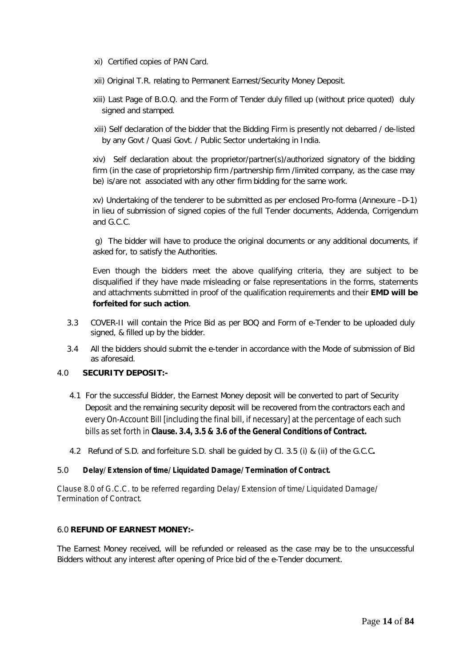- xi) Certified copies of PAN Card.
- xii) Original T.R. relating to Permanent Earnest/Security Money Deposit.
- xiii) Last Page of B.O.Q. and the Form of Tender duly filled up (without price quoted) duly signed and stamped.
- xiii) Self declaration of the bidder that the Bidding Firm is presently not debarred / de-listed by any Govt / Quasi Govt. / Public Sector undertaking in India.

xiv) Self declaration about the proprietor/partner(s)/authorized signatory of the bidding firm (in the case of proprietorship firm /partnership firm /limited company, as the case may be) is/are not associated with any other firm bidding for the same work.

xv) Undertaking of the tenderer to be submitted as per enclosed Pro-forma (Annexure –D-1) in lieu of submission of signed copies of the full Tender documents, Addenda, Corrigendum and G.C.C.

g) The bidder will have to produce the original documents or any additional documents, if asked for, to satisfy the Authorities.

Even though the bidders meet the above qualifying criteria, they are subject to be disqualified if they have made misleading or false representations in the forms, statements and attachments submitted in proof of the qualification requirements and their **EMD will be forfeited for such action**.

- 3.3 COVER-II will contain the Price Bid as per BOQ and Form of e-Tender to be uploaded duly signed, & filled up by the bidder.
- 3.4 All the bidders should submit the e-tender in accordance with the Mode of submission of Bid as aforesaid.

### 4.0 **SECURITY DEPOSIT:-**

- 4.1 For the successful Bidder, the Earnest Money deposit will be converted to part of Security Deposit and the remaining security deposit will be recovered from the contractors each and every On-Account Bill [including the final bill, if necessary] at the percentage of each such bills as set forth in **Clause. 3.4, 3.5 & 3.6 of the General Conditions of Contract.**
- 4.2 Refund of S.D. and forfeiture S.D. shall be guided by Cl. 3.5 (i) & (ii) of the G.C.C**.**

#### 5.0 **Delay**/ **Extension of time/ Liquidated Damage/ Termination of Contract.**

Clause 8.0 of G.C.C. to be referred regarding Delay/ Extension of time/ Liquidated Damage/ Termination of Contract.

### 6.0 **REFUND OF EARNEST MONEY:-**

The Earnest Money received, will be refunded or released as the case may be to the unsuccessful Bidders without any interest after opening of Price bid of the e-Tender document.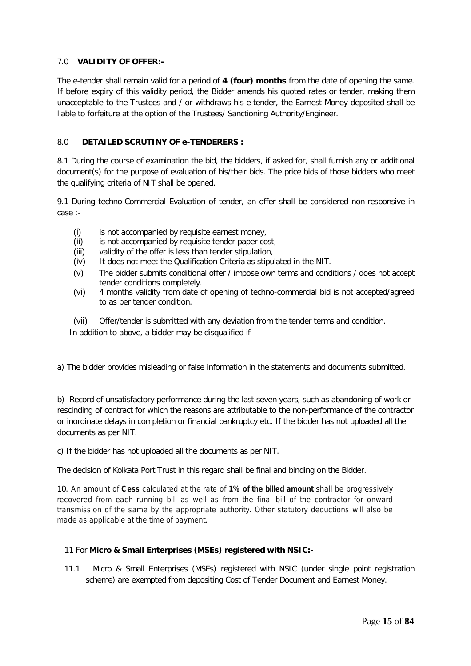### 7.0 **VALIDITY OF OFFER:-**

The e-tender shall remain valid for a period of **4 (four) months** from the date of opening the same. If before expiry of this validity period, the Bidder amends his quoted rates or tender, making them unacceptable to the Trustees and / or withdraws his e-tender, the Earnest Money deposited shall be liable to forfeiture at the option of the Trustees/ Sanctioning Authority/Engineer.

### 8.0 **DETAILED SCRUTINY OF e-TENDERERS :**

8.1 During the course of examination the bid, the bidders, if asked for, shall furnish any or additional document(s) for the purpose of evaluation of his/their bids. The price bids of those bidders who meet the qualifying criteria of NIT shall be opened.

9.1 During techno-Commercial Evaluation of tender, an offer shall be considered non-responsive in case :-

- (i) is not accompanied by requisite earnest money,
- (ii) is not accompanied by requisite tender paper cost,
- (iii) validity of the offer is less than tender stipulation,
- (iv) It does not meet the Qualification Criteria as stipulated in the NIT.
- (v) The bidder submits conditional offer / impose own terms and conditions / does not accept tender conditions completely.
- (vi) 4 months validity from date of opening of techno-commercial bid is not accepted/agreed to as per tender condition.

(vii) Offer/tender is submitted with any deviation from the tender terms and condition. In addition to above, a bidder may be disqualified if –

a) The bidder provides misleading or false information in the statements and documents submitted.

b) Record of unsatisfactory performance during the last seven years, such as abandoning of work or rescinding of contract for which the reasons are attributable to the non-performance of the contractor or inordinate delays in completion or financial bankruptcy etc. If the bidder has not uploaded all the documents as per NIT.

c) If the bidder has not uploaded all the documents as per NIT.

The decision of Kolkata Port Trust in this regard shall be final and binding on the Bidder.

10. An amount of **Cess** calculated at the rate of **1% of the billed amount** shall be progressively recovered from each running bill as well as from the final bill of the contractor for onward transmission of the same by the appropriate authority. Other statutory deductions will also be made as applicable at the time of payment.

### 11 For **Micro & Small Enterprises (MSEs) registered with NSIC:-**

11.1 Micro & Small Enterprises (MSEs) registered with NSIC (under single point registration scheme) are exempted from depositing Cost of Tender Document and Earnest Money.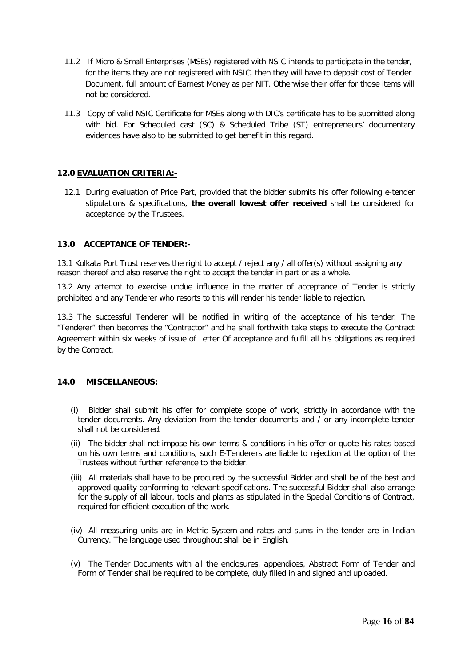- 11.2 If Micro & Small Enterprises (MSEs) registered with NSIC intends to participate in the tender, for the items they are not registered with NSIC, then they will have to deposit cost of Tender Document, full amount of Earnest Money as per NIT. Otherwise their offer for those items will not be considered.
- 11.3 Copy of valid NSIC Certificate for MSEs along with DIC's certificate has to be submitted along with bid. For Scheduled cast (SC) & Scheduled Tribe (ST) entrepreneurs' documentary evidences have also to be submitted to get benefit in this regard.

### **12.0 EVALUATION CRITERIA:-**

12.1 During evaluation of Price Part, provided that the bidder submits his offer following e-tender stipulations & specifications, **the overall lowest offer received** shall be considered for acceptance by the Trustees.

### **13.0 ACCEPTANCE OF TENDER:-**

13.1 Kolkata Port Trust reserves the right to accept / reject any / all offer(s) without assigning any reason thereof and also reserve the right to accept the tender in part or as a whole.

13.2 Any attempt to exercise undue influence in the matter of acceptance of Tender is strictly prohibited and any Tenderer who resorts to this will render his tender liable to rejection.

13.3 The successful Tenderer will be notified in writing of the acceptance of his tender. The "Tenderer" then becomes the "Contractor" and he shall forthwith take steps to execute the Contract Agreement within six weeks of issue of Letter Of acceptance and fulfill all his obligations as required by the Contract.

### **14.0 MISCELLANEOUS:**

- (i) Bidder shall submit his offer for complete scope of work, strictly in accordance with the tender documents. Any deviation from the tender documents and / or any incomplete tender shall not be considered.
- (ii) The bidder shall not impose his own terms & conditions in his offer or quote his rates based on his own terms and conditions, such E-Tenderers are liable to rejection at the option of the Trustees without further reference to the bidder.
- (iii) All materials shall have to be procured by the successful Bidder and shall be of the best and approved quality conforming to relevant specifications. The successful Bidder shall also arrange for the supply of all labour, tools and plants as stipulated in the Special Conditions of Contract, required for efficient execution of the work.
- (iv) All measuring units are in Metric System and rates and sums in the tender are in Indian Currency. The language used throughout shall be in English.
- (v) The Tender Documents with all the enclosures, appendices, Abstract Form of Tender and Form of Tender shall be required to be complete, duly filled in and signed and uploaded.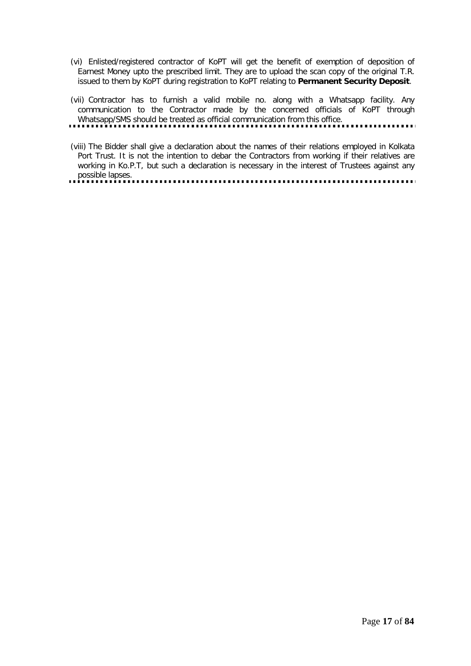- (vi) Enlisted/registered contractor of KoPT will get the benefit of exemption of deposition of Earnest Money upto the prescribed limit. They are to upload the scan copy of the original T.R. issued to them by KoPT during registration to KoPT relating to **Permanent Security Deposit**.
- (vii) Contractor has to furnish a valid mobile no. along with a Whatsapp facility. Any communication to the Contractor made by the concerned officials of KoPT through Whatsapp/SMS should be treated as official communication from this office.
- 
- (viii) The Bidder shall give a declaration about the names of their relations employed in Kolkata Port Trust. It is not the intention to debar the Contractors from working if their relatives are working in Ko.P.T, but such a declaration is necessary in the interest of Trustees against any possible lapses.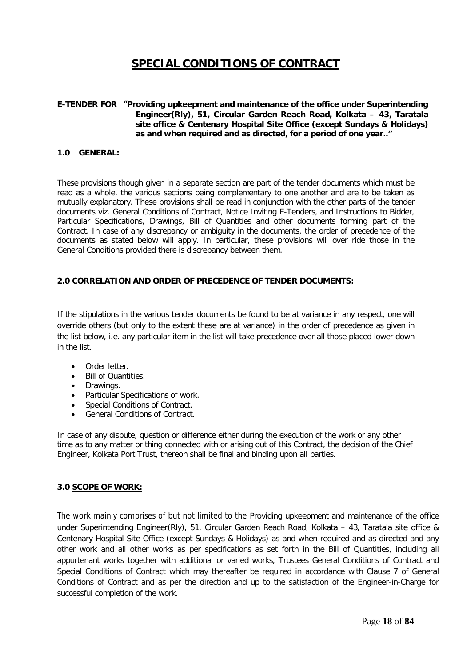## **SPECIAL CONDITIONS OF CONTRACT**

### **E-TENDER FOR "Providing upkeepment and maintenance of the office under Superintending Engineer(Rly), 51, Circular Garden Reach Road, Kolkata – 43, Taratala site office & Centenary Hospital Site Office (except Sundays & Holidays) as and when required and as directed, for a period of one year.."**

#### **1.0 GENERAL:**

These provisions though given in a separate section are part of the tender documents which must be read as a whole, the various sections being complementary to one another and are to be taken as mutually explanatory. These provisions shall be read in conjunction with the other parts of the tender documents viz. General Conditions of Contract, Notice Inviting E-Tenders, and Instructions to Bidder, Particular Specifications, Drawings, Bill of Quantities and other documents forming part of the Contract. In case of any discrepancy or ambiguity in the documents, the order of precedence of the documents as stated below will apply. In particular, these provisions will over ride those in the General Conditions provided there is discrepancy between them.

### **2.0 CORRELATION AND ORDER OF PRECEDENCE OF TENDER DOCUMENTS:**

If the stipulations in the various tender documents be found to be at variance in any respect, one will override others (but only to the extent these are at variance) in the order of precedence as given in the list below, i.e. any particular item in the list will take precedence over all those placed lower down in the list.

- Order letter.
- Bill of Quantities.
- Drawings.
- Particular Specifications of work.
- Special Conditions of Contract.
- General Conditions of Contract.

In case of any dispute, question or difference either during the execution of the work or any other time as to any matter or thing connected with or arising out of this Contract, the decision of the Chief Engineer, Kolkata Port Trust, thereon shall be final and binding upon all parties.

#### **3.0 SCOPE OF WORK:**

The work mainly comprises of but not limited to the Providing upkeepment and maintenance of the office under Superintending Engineer(Rly), 51, Circular Garden Reach Road, Kolkata – 43, Taratala site office & Centenary Hospital Site Office (except Sundays & Holidays) as and when required and as directed and any other work and all other works as per specifications as set forth in the Bill of Quantities, including all appurtenant works together with additional or varied works, Trustees General Conditions of Contract and Special Conditions of Contract which may thereafter be required in accordance with Clause 7 of General Conditions of Contract and as per the direction and up to the satisfaction of the Engineer-in-Charge for successful completion of the work.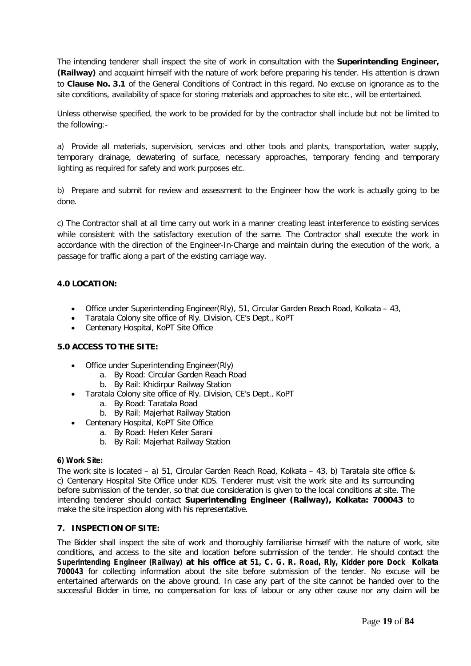The intending tenderer shall inspect the site of work in consultation with the **Superintending Engineer, (Railway)** and acquaint himself with the nature of work before preparing his tender. His attention is drawn to **Clause No. 3.1** of the General Conditions of Contract in this regard. No excuse on ignorance as to the site conditions, availability of space for storing materials and approaches to site etc., will be entertained.

Unless otherwise specified, the work to be provided for by the contractor shall include but not be limited to the following:-

a) Provide all materials, supervision, services and other tools and plants, transportation, water supply, temporary drainage, dewatering of surface, necessary approaches, temporary fencing and temporary lighting as required for safety and work purposes etc.

b) Prepare and submit for review and assessment to the Engineer how the work is actually going to be done.

c) The Contractor shall at all time carry out work in a manner creating least interference to existing services while consistent with the satisfactory execution of the same. The Contractor shall execute the work in accordance with the direction of the Engineer-In-Charge and maintain during the execution of the work, a passage for traffic along a part of the existing carriage way.

### **4.0 LOCATION:**

- $\bullet$  Office under Superintending Engineer(RIv), 51, Circular Garden Reach Road, Kolkata 43,
- Taratala Colony site office of Rly. Division, CE's Dept., KoPT
- Centenary Hospital, KoPT Site Office

### **5.0 ACCESS TO THE SITE:**

- Office under Superintending Engineer(Rly)
	- a. By Road: Circular Garden Reach Road
	- b. By Rail: Khidirpur Railway Station
- Taratala Colony site office of Rly. Division, CE's Dept., KoPT
	- a. By Road: Taratala Road
	- b. By Rail: Majerhat Railway Station
- Centenary Hospital, KoPT Site Office
	- a. By Road: Helen Keler Sarani
	- b. By Rail: Majerhat Railway Station

### **6) Work Site:**

The work site is located – a) 51, Circular Garden Reach Road, Kolkata – 43, b) Taratala site office & c) Centenary Hospital Site Office under KDS. Tenderer must visit the work site and its surrounding before submission of the tender, so that due consideration is given to the local conditions at site. The intending tenderer should contact **Superintending Engineer (Railway), Kolkata: 700043** to make the site inspection along with his representative.

### **7. INSPECTION OF SITE:**

The Bidder shall inspect the site of work and thoroughly familiarise himself with the nature of work, site conditions, and access to the site and location before submission of the tender. He should contact the **Superintending Engineer (Railway) at his office at 51, C. G. R. Road, Rly, Kidder pore Dock Kolkata 700043** for collecting information about the site before submission of the tender. No excuse will be entertained afterwards on the above ground. In case any part of the site cannot be handed over to the successful Bidder in time, no compensation for loss of labour or any other cause nor any claim will be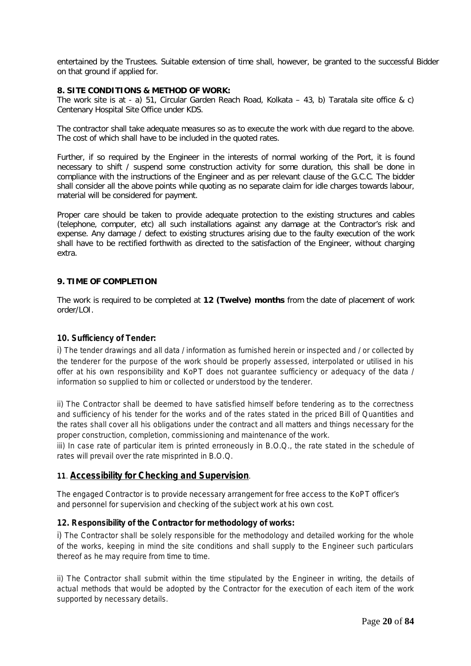entertained by the Trustees. Suitable extension of time shall, however, be granted to the successful Bidder on that ground if applied for.

#### **8. SITE CONDITIONS & METHOD OF WORK:**

The work site is at - a) 51, Circular Garden Reach Road, Kolkata – 43, b) Taratala site office & c) Centenary Hospital Site Office under KDS.

The contractor shall take adequate measures so as to execute the work with due regard to the above. The cost of which shall have to be included in the quoted rates.

Further, if so required by the Engineer in the interests of normal working of the Port, it is found necessary to shift / suspend some construction activity for some duration, this shall be done in compliance with the instructions of the Engineer and as per relevant clause of the G.C.C. The bidder shall consider all the above points while quoting as no separate claim for idle charges towards labour, material will be considered for payment.

Proper care should be taken to provide adequate protection to the existing structures and cables (telephone, computer, etc) all such installations against any damage at the Contractor's risk and expense. Any damage / defect to existing structures arising due to the faulty execution of the work shall have to be rectified forthwith as directed to the satisfaction of the Engineer, without charging extra.

### **9. TIME OF COMPLETION**

The work is required to be completed at **12 (Twelve) months** from the date of placement of work order/LOI.

#### **10. Sufficiency of Tender:**

i) The tender drawings and all data / information as furnished herein or inspected and / or collected by the tenderer for the purpose of the work should be properly assessed, interpolated or utilised in his offer at his own responsibility and KoPT does not guarantee sufficiency or adequacy of the data / information so supplied to him or collected or understood by the tenderer.

ii) The Contractor shall be deemed to have satisfied himself before tendering as to the correctness and sufficiency of his tender for the works and of the rates stated in the priced Bill of Quantities and the rates shall cover all his obligations under the contract and all matters and things necessary for the proper construction, completion, commissioning and maintenance of the work.

iii) In case rate of particular item is printed erroneously in B.O.Q., the rate stated in the schedule of rates will prevail over the rate misprinted in B.O.Q.

### **11**. **Accessibility for Checking and Supervision**.

The engaged Contractor is to provide necessary arrangement for free access to the KoPT officer's and personnel for supervision and checking of the subject work at his own cost.

### **12. Responsibility of the Contractor for methodology of works:**

i) The Contractor shall be solely responsible for the methodology and detailed working for the whole of the works, keeping in mind the site conditions and shall supply to the Engineer such particulars thereof as he may require from time to time.

ii) The Contractor shall submit within the time stipulated by the Engineer in writing, the details of actual methods that would be adopted by the Contractor for the execution of each item of the work supported by necessary details.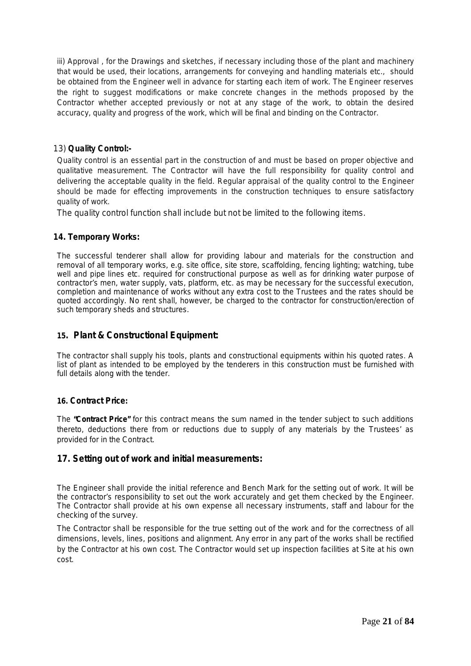iii) Approval, for the Drawings and sketches, if necessary including those of the plant and machinery that would be used, their locations, arrangements for conveying and handling materials etc., should be obtained from the Engineer well in advance for starting each item of work. The Engineer reserves the right to suggest modifications or make concrete changes in the methods proposed by the Contractor whether accepted previously or not at any stage of the work, to obtain the desired accuracy, quality and progress of the work, which will be final and binding on the Contractor.

### 13) **Quality Control:-**

Quality control is an essential part in the construction of and must be based on proper objective and qualitative measurement. The Contractor will have the full responsibility for quality control and delivering the acceptable quality in the field. Regular appraisal of the quality control to the Engineer should be made for effecting improvements in the construction techniques to ensure satisfactory quality of work.

The quality control function shall include but not be limited to the following items.

### **14. Temporary Works:**

The successful tenderer shall allow for providing labour and materials for the construction and removal of all temporary works, e.g. site office, site store, scaffolding, fencing lighting; watching, tube well and pipe lines etc. required for constructional purpose as well as for drinking water purpose of contractor's men, water supply, vats, platform, etc. as may be necessary for the successful execution, completion and maintenance of works without any extra cost to the Trustees and the rates should be quoted accordingly. No rent shall, however, be charged to the contractor for construction/erection of such temporary sheds and structures.

### **15. Plant & Constructional Equipment:**

The contractor shall supply his tools, plants and constructional equipments within his quoted rates. A list of plant as intended to be employed by the tenderers in this construction must be furnished with full details along with the tender.

### **16. Contract Price:**

The **"Contract Price"** for this contract means the sum named in the tender subject to such additions thereto, deductions there from or reductions due to supply of any materials by the Trustees' as provided for in the Contract.

### **17. Setting out of work and initial measurements:**

The Engineer shall provide the initial reference and Bench Mark for the setting out of work. It will be the contractor's responsibility to set out the work accurately and get them checked by the Engineer. The Contractor shall provide at his own expense all necessary instruments, staff and labour for the checking of the survey.

The Contractor shall be responsible for the true setting out of the work and for the correctness of all dimensions, levels, lines, positions and alignment. Any error in any part of the works shall be rectified by the Contractor at his own cost. The Contractor would set up inspection facilities at Site at his own cost.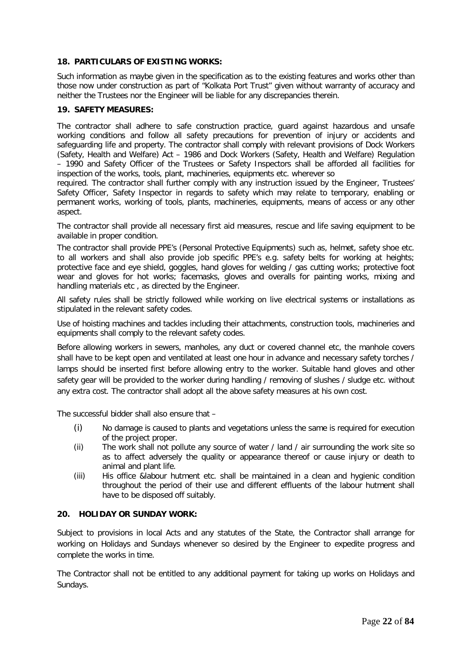### **18. PARTICULARS OF EXISTING WORKS:**

Such information as maybe given in the specification as to the existing features and works other than those now under construction as part of "Kolkata Port Trust" given without warranty of accuracy and neither the Trustees nor the Engineer will be liable for any discrepancies therein.

### **19. SAFETY MEASURES:**

The contractor shall adhere to safe construction practice, guard against hazardous and unsafe working conditions and follow all safety precautions for prevention of injury or accidents and safeguarding life and property. The contractor shall comply with relevant provisions of Dock Workers (Safety, Health and Welfare) Act – 1986 and Dock Workers (Safety, Health and Welfare) Regulation – 1990 and Safety Officer of the Trustees or Safety Inspectors shall be afforded all facilities for inspection of the works, tools, plant, machineries, equipments etc. wherever so

required. The contractor shall further comply with any instruction issued by the Engineer, Trustees' Safety Officer, Safety Inspector in regards to safety which may relate to temporary, enabling or permanent works, working of tools, plants, machineries, equipments, means of access or any other aspect.

The contractor shall provide all necessary first aid measures, rescue and life saving equipment to be available in proper condition.

The contractor shall provide PPE's (Personal Protective Equipments) such as, helmet, safety shoe etc. to all workers and shall also provide job specific PPE's e.g. safety belts for working at heights; protective face and eye shield, goggles, hand gloves for welding / gas cutting works; protective foot wear and gloves for hot works; facemasks, gloves and overalls for painting works, mixing and handling materials etc , as directed by the Engineer.

All safety rules shall be strictly followed while working on live electrical systems or installations as stipulated in the relevant safety codes.

Use of hoisting machines and tackles including their attachments, construction tools, machineries and equipments shall comply to the relevant safety codes.

Before allowing workers in sewers, manholes, any duct or covered channel etc, the manhole covers shall have to be kept open and ventilated at least one hour in advance and necessary safety torches / lamps should be inserted first before allowing entry to the worker. Suitable hand gloves and other safety gear will be provided to the worker during handling / removing of slushes / sludge etc. without any extra cost. The contractor shall adopt all the above safety measures at his own cost.

The successful bidder shall also ensure that –

- (i) No damage is caused to plants and vegetations unless the same is required for execution of the project proper.
- (ii) The work shall not pollute any source of water / land / air surrounding the work site so as to affect adversely the quality or appearance thereof or cause injury or death to animal and plant life.
- (iii) His office &labour hutment etc. shall be maintained in a clean and hygienic condition throughout the period of their use and different effluents of the labour hutment shall have to be disposed off suitably.

### **20. HOLIDAY OR SUNDAY WORK:**

Subject to provisions in local Acts and any statutes of the State, the Contractor shall arrange for working on Holidays and Sundays whenever so desired by the Engineer to expedite progress and complete the works in time.

The Contractor shall not be entitled to any additional payment for taking up works on Holidays and Sundays.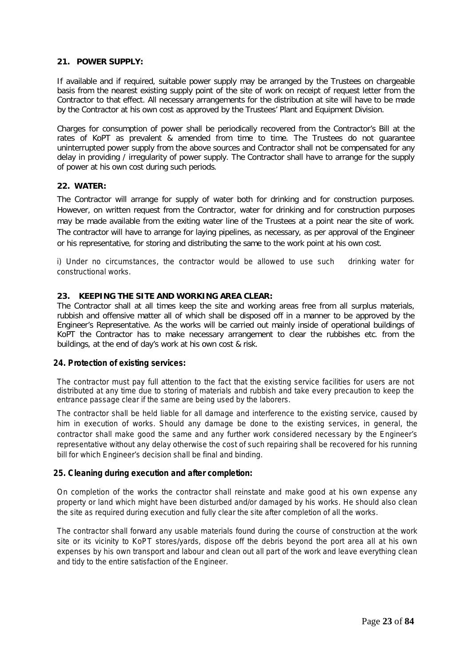#### **21. POWER SUPPLY:**

If available and if required, suitable power supply may be arranged by the Trustees on chargeable basis from the nearest existing supply point of the site of work on receipt of request letter from the Contractor to that effect. All necessary arrangements for the distribution at site will have to be made by the Contractor at his own cost as approved by the Trustees' Plant and Equipment Division.

Charges for consumption of power shall be periodically recovered from the Contractor's Bill at the rates of KoPT as prevalent & amended from time to time. The Trustees do not guarantee uninterrupted power supply from the above sources and Contractor shall not be compensated for any delay in providing / irregularity of power supply. The Contractor shall have to arrange for the supply of power at his own cost during such periods.

#### **22. WATER:**

The Contractor will arrange for supply of water both for drinking and for construction purposes. However, on written request from the Contractor, water for drinking and for construction purposes may be made available from the exiting water line of the Trustees at a point near the site of work. The contractor will have to arrange for laying pipelines, as necessary, as per approval of the Engineer or his representative, for storing and distributing the same to the work point at his own cost.

i) Under no circumstances, the contractor would be allowed to use such drinking water for constructional works.

#### **23. KEEPING THE SITE AND WORKING AREA CLEAR:**

The Contractor shall at all times keep the site and working areas free from all surplus materials, rubbish and offensive matter all of which shall be disposed off in a manner to be approved by the Engineer's Representative. As the works will be carried out mainly inside of operational buildings of KoPT the Contractor has to make necessary arrangement to clear the rubbishes etc. from the buildings, at the end of day's work at his own cost & risk.

#### **24. Protection of existing services:**

The contractor must pay full attention to the fact that the existing service facilities for users are not distributed at any time due to storing of materials and rubbish and take every precaution to keep the entrance passage clear if the same are being used by the laborers.

The contractor shall be held liable for all damage and interference to the existing service, caused by him in execution of works. Should any damage be done to the existing services, in general, the contractor shall make good the same and any further work considered necessary by the Engineer's representative without any delay otherwise the cost of such repairing shall be recovered for his running bill for which Engineer's decision shall be final and binding.

#### **25. Cleaning during execution and after completion:**

On completion of the works the contractor shall reinstate and make good at his own expense any property or land which might have been disturbed and/or damaged by his works. He should also clean the site as required during execution and fully clear the site after completion of all the works.

The contractor shall forward any usable materials found during the course of construction at the work site or its vicinity to KoPT stores/yards, dispose off the debris beyond the port area all at his own expenses by his own transport and labour and clean out all part of the work and leave everything clean and tidy to the entire satisfaction of the Engineer.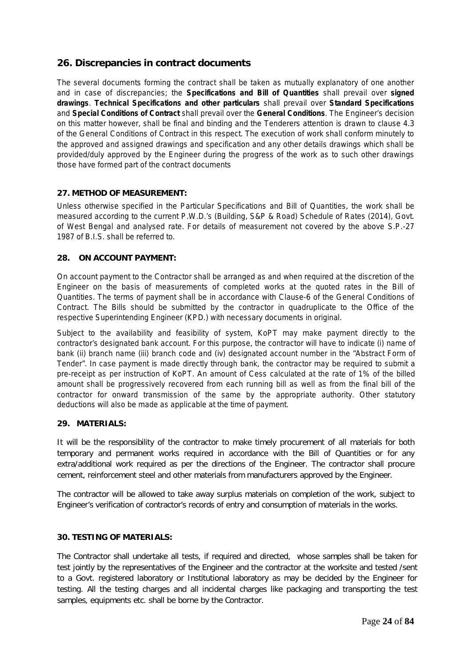### **26. Discrepancies in contract documents**

The several documents forming the contract shall be taken as mutually explanatory of one another and in case of discrepancies; the **Specifications and Bill of Quantities** shall prevail over **signed drawings**. **Technical Specifications and other particulars** shall prevail over **Standard Specifications** and **Special Conditions of Contract** shall prevail over the **General Conditions**. The Engineer's decision on this matter however, shall be final and binding and the Tenderers attention is drawn to clause 4.3 of the General Conditions of Contract in this respect. The execution of work shall conform minutely to the approved and assigned drawings and specification and any other details drawings which shall be provided/duly approved by the Engineer during the progress of the work as to such other drawings those have formed part of the contract documents

### **27. METHOD OF MEASUREMENT:**

Unless otherwise specified in the Particular Specifications and Bill of Quantities, the work shall be measured according to the current P.W.D.'s (Building, S&P & Road) Schedule of Rates (2014), Govt. of West Bengal and analysed rate. For details of measurement not covered by the above S.P.-27 1987 of B.I.S. shall be referred to.

### **28. ON ACCOUNT PAYMENT:**

On account payment to the Contractor shall be arranged as and when required at the discretion of the Engineer on the basis of measurements of completed works at the quoted rates in the Bill of Quantities. The terms of payment shall be in accordance with Clause-6 of the General Conditions of Contract. The Bills should be submitted by the contractor in quadruplicate to the Office of the respective Superintending Engineer (KPD.) with necessary documents in original.

Subject to the availability and feasibility of system, KoPT may make payment directly to the contractor's designated bank account. For this purpose, the contractor will have to indicate (i) name of bank (ii) branch name (iii) branch code and (iv) designated account number in the "Abstract Form of Tender". In case payment is made directly through bank, the contractor may be required to submit a pre-receipt as per instruction of KoPT. An amount of Cess calculated at the rate of 1% of the billed amount shall be progressively recovered from each running bill as well as from the final bill of the contractor for onward transmission of the same by the appropriate authority. Other statutory deductions will also be made as applicable at the time of payment.

### **29. MATERIALS:**

It will be the responsibility of the contractor to make timely procurement of all materials for both temporary and permanent works required in accordance with the Bill of Quantities or for any extra/additional work required as per the directions of the Engineer. The contractor shall procure cement, reinforcement steel and other materials from manufacturers approved by the Engineer.

The contractor will be allowed to take away surplus materials on completion of the work, subject to Engineer's verification of contractor's records of entry and consumption of materials in the works.

### **30. TESTING OF MATERIALS:**

The Contractor shall undertake all tests, if required and directed, whose samples shall be taken for test jointly by the representatives of the Engineer and the contractor at the worksite and tested /sent to a Govt. registered laboratory or Institutional laboratory as may be decided by the Engineer for testing. All the testing charges and all incidental charges like packaging and transporting the test samples, equipments etc. shall be borne by the Contractor.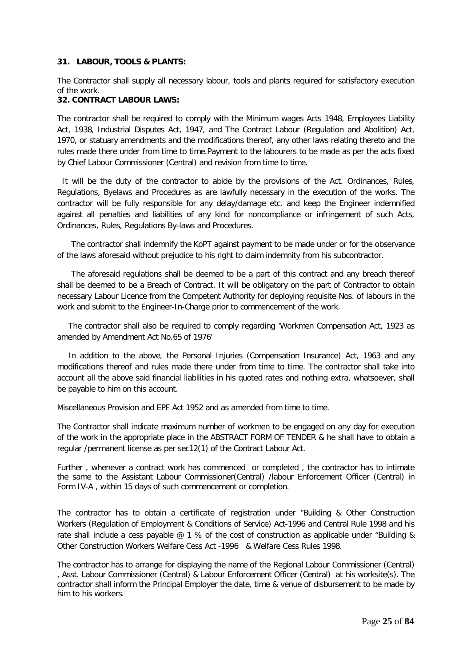#### **31. LABOUR, TOOLS & PLANTS:**

The Contractor shall supply all necessary labour, tools and plants required for satisfactory execution of the work.

### **32. CONTRACT LABOUR LAWS:**

The contractor shall be required to comply with the Minimum wages Acts 1948, Employees Liability Act, 1938, Industrial Disputes Act, 1947, and The Contract Labour (Regulation and Abolition) Act, 1970, or statuary amendments and the modifications thereof, any other laws relating thereto and the rules made there under from time to time.Payment to the labourers to be made as per the acts fixed by Chief Labour Commissioner (Central) and revision from time to time.

 It will be the duty of the contractor to abide by the provisions of the Act. Ordinances, Rules, Regulations, Byelaws and Procedures as are lawfully necessary in the execution of the works. The contractor will be fully responsible for any delay/damage etc. and keep the Engineer indemnified against all penalties and liabilities of any kind for noncompliance or infringement of such Acts, Ordinances, Rules, Regulations By-laws and Procedures.

The contractor shall indemnify the KoPT against payment to be made under or for the observance of the laws aforesaid without prejudice to his right to claim indemnity from his subcontractor.

The aforesaid regulations shall be deemed to be a part of this contract and any breach thereof shall be deemed to be a Breach of Contract. It will be obligatory on the part of Contractor to obtain necessary Labour Licence from the Competent Authority for deploying requisite Nos. of labours in the work and submit to the Engineer-In-Charge prior to commencement of the work.

The contractor shall also be required to comply regarding 'Workmen Compensation Act, 1923 as amended by Amendment Act No.65 of 1976'

In addition to the above, the Personal Injuries (Compensation Insurance) Act, 1963 and any modifications thereof and rules made there under from time to time. The contractor shall take into account all the above said financial liabilities in his quoted rates and nothing extra, whatsoever, shall be payable to him on this account.

Miscellaneous Provision and EPF Act 1952 and as amended from time to time.

The Contractor shall indicate maximum number of workmen to be engaged on any day for execution of the work in the appropriate place in the ABSTRACT FORM OF TENDER & he shall have to obtain a regular /permanent license as per sec12(1) of the Contract Labour Act.

Further , whenever a contract work has commenced or completed , the contractor has to intimate the same to the Assistant Labour Commissioner(Central) /labour Enforcement Officer (Central) in Form IV-A , within 15 days of such commencement or completion.

The contractor has to obtain a certificate of registration under "Building & Other Construction Workers (Regulation of Employment & Conditions of Service) Act-1996 and Central Rule 1998 and his rate shall include a cess payable  $@1%$  of the cost of construction as applicable under "Building & Other Construction Workers Welfare Cess Act -1996 & Welfare Cess Rules 1998.

The contractor has to arrange for displaying the name of the Regional Labour Commissioner (Central) , Asst. Labour Commissioner (Central) & Labour Enforcement Officer (Central) at his worksite(s). The contractor shall inform the Principal Employer the date, time & venue of disbursement to be made by him to his workers.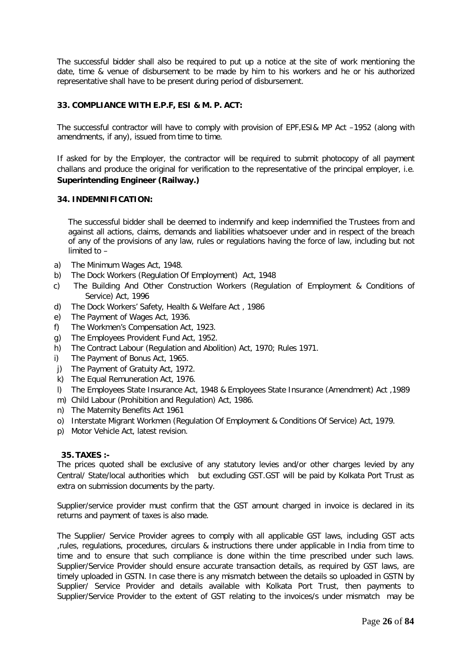The successful bidder shall also be required to put up a notice at the site of work mentioning the date, time & venue of disbursement to be made by him to his workers and he or his authorized representative shall have to be present during period of disbursement.

### **33. COMPLIANCE WITH E.P.F, ESI & M. P. ACT:**

The successful contractor will have to comply with provision of EPF,ESI& MP Act –1952 (along with amendments, if any), issued from time to time.

If asked for by the Employer, the contractor will be required to submit photocopy of all payment challans and produce the original for verification to the representative of the principal employer, i.e. **Superintending Engineer (Railway.)**

#### **34. INDEMNIFICATION:**

The successful bidder shall be deemed to indemnify and keep indemnified the Trustees from and against all actions, claims, demands and liabilities whatsoever under and in respect of the breach of any of the provisions of any law, rules or regulations having the force of law, including but not limited to –

- a) The Minimum Wages Act, 1948.
- b) The Dock Workers (Regulation Of Employment) Act, 1948
- c) The Building And Other Construction Workers (Regulation of Employment & Conditions of Service) Act, 1996
- d) The Dock Workers' Safety, Health & Welfare Act , 1986
- e) The Payment of Wages Act, 1936.
- f) The Workmen's Compensation Act, 1923.
- g) The Employees Provident Fund Act, 1952.
- h) The Contract Labour (Regulation and Abolition) Act, 1970; Rules 1971.
- i) The Payment of Bonus Act, 1965.
- j) The Payment of Gratuity Act, 1972.
- k) The Equal Remuneration Act, 1976.
- l) The Employees State Insurance Act, 1948 & Employees State Insurance (Amendment) Act ,1989
- m) Child Labour (Prohibition and Regulation) Act, 1986.
- n) The Maternity Benefits Act 1961
- o) Interstate Migrant Workmen (Regulation Of Employment & Conditions Of Service) Act, 1979.
- p) Motor Vehicle Act, latest revision.

### **35. TAXES :-**

The prices quoted shall be exclusive of any statutory levies and/or other charges levied by any Central/ State/local authorities which but excluding GST.GST will be paid by Kolkata Port Trust as extra on submission documents by the party.

Supplier/service provider must confirm that the GST amount charged in invoice is declared in its returns and payment of taxes is also made.

The Supplier/ Service Provider agrees to comply with all applicable GST laws, including GST acts ,rules, regulations, procedures, circulars & instructions there under applicable in India from time to time and to ensure that such compliance is done within the time prescribed under such laws. Supplier/Service Provider should ensure accurate transaction details, as required by GST laws, are timely uploaded in GSTN. In case there is any mismatch between the details so uploaded in GSTN by Supplier/ Service Provider and details available with Kolkata Port Trust, then payments to Supplier/Service Provider to the extent of GST relating to the invoices/s under mismatch may be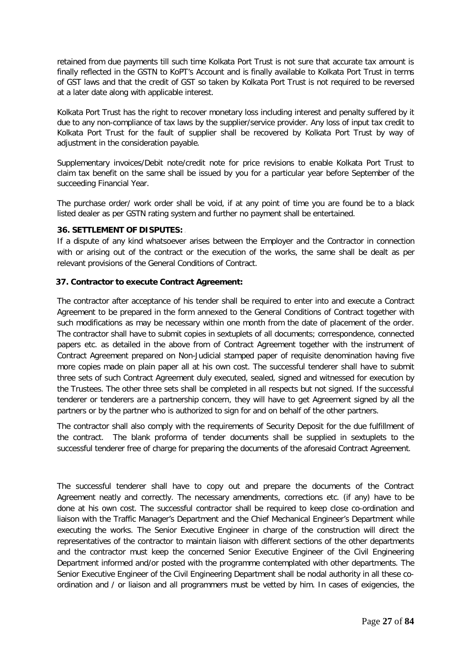retained from due payments till such time Kolkata Port Trust is not sure that accurate tax amount is finally reflected in the GSTN to KoPT's Account and is finally available to Kolkata Port Trust in terms of GST laws and that the credit of GST so taken by Kolkata Port Trust is not required to be reversed at a later date along with applicable interest.

Kolkata Port Trust has the right to recover monetary loss including interest and penalty suffered by it due to any non-compliance of tax laws by the supplier/service provider. Any loss of input tax credit to Kolkata Port Trust for the fault of supplier shall be recovered by Kolkata Port Trust by way of adjustment in the consideration payable.

Supplementary invoices/Debit note/credit note for price revisions to enable Kolkata Port Trust to claim tax benefit on the same shall be issued by you for a particular year before September of the succeeding Financial Year.

The purchase order/ work order shall be void, if at any point of time you are found be to a black listed dealer as per GSTN rating system and further no payment shall be entertained.

### **36. SETTLEMENT OF DISPUTES:** [

If a dispute of any kind whatsoever arises between the Employer and the Contractor in connection with or arising out of the contract or the execution of the works, the same shall be dealt as per relevant provisions of the General Conditions of Contract.

### **37. Contractor to execute Contract Agreement:**

The contractor after acceptance of his tender shall be required to enter into and execute a Contract Agreement to be prepared in the form annexed to the General Conditions of Contract together with such modifications as may be necessary within one month from the date of placement of the order. The contractor shall have to submit copies in sextuplets of all documents; correspondence, connected papers etc. as detailed in the above from of Contract Agreement together with the instrument of Contract Agreement prepared on Non-Judicial stamped paper of requisite denomination having five more copies made on plain paper all at his own cost. The successful tenderer shall have to submit three sets of such Contract Agreement duly executed, sealed, signed and witnessed for execution by the Trustees. The other three sets shall be completed in all respects but not signed. If the successful tenderer or tenderers are a partnership concern, they will have to get Agreement signed by all the partners or by the partner who is authorized to sign for and on behalf of the other partners.

The contractor shall also comply with the requirements of Security Deposit for the due fulfillment of the contract. The blank proforma of tender documents shall be supplied in sextuplets to the successful tenderer free of charge for preparing the documents of the aforesaid Contract Agreement.

The successful tenderer shall have to copy out and prepare the documents of the Contract Agreement neatly and correctly. The necessary amendments, corrections etc. (if any) have to be done at his own cost. The successful contractor shall be required to keep close co-ordination and liaison with the Traffic Manager's Department and the Chief Mechanical Engineer's Department while executing the works. The Senior Executive Engineer in charge of the construction will direct the representatives of the contractor to maintain liaison with different sections of the other departments and the contractor must keep the concerned Senior Executive Engineer of the Civil Engineering Department informed and/or posted with the programme contemplated with other departments. The Senior Executive Engineer of the Civil Engineering Department shall be nodal authority in all these coordination and / or liaison and all programmers must be vetted by him. In cases of exigencies, the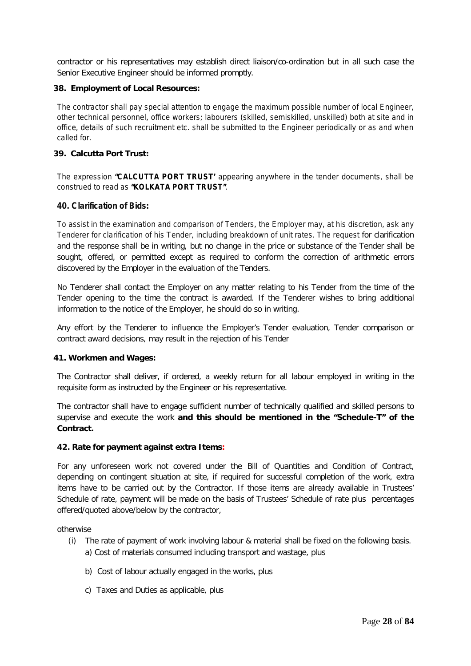contractor or his representatives may establish direct liaison/co-ordination but in all such case the Senior Executive Engineer should be informed promptly.

### **38. Employment of Local Resources:**

The contractor shall pay special attention to engage the maximum possible number of local Engineer, other technical personnel, office workers; labourers (skilled, semiskilled, unskilled) both at site and in office, details of such recruitment etc. shall be submitted to the Engineer periodically or as and when called for.

### **39. Calcutta Port Trust:**

The expression **"CALCUTTA PORT TRUST'** appearing anywhere in the tender documents, shall be construed to read as **"KOLKATA PORT TRUST"**.

### **40. Clarification of Bids:**

To assist in the examination and comparison of Tenders, the Employer may, at his discretion, ask any Tenderer for clarification of his Tender, including breakdown of unit rates. The request for clarification and the response shall be in writing, but no change in the price or substance of the Tender shall be sought, offered, or permitted except as required to conform the correction of arithmetic errors discovered by the Employer in the evaluation of the Tenders.

No Tenderer shall contact the Employer on any matter relating to his Tender from the time of the Tender opening to the time the contract is awarded. If the Tenderer wishes to bring additional information to the notice of the Employer, he should do so in writing.

Any effort by the Tenderer to influence the Employer's Tender evaluation, Tender comparison or contract award decisions, may result in the rejection of his Tender

#### **41. Workmen and Wages:**

The Contractor shall deliver, if ordered, a weekly return for all labour employed in writing in the requisite form as instructed by the Engineer or his representative.

The contractor shall have to engage sufficient number of technically qualified and skilled persons to supervise and execute the work **and this should be mentioned in the "Schedule-T" of the Contract.**

#### **42. Rate for payment against extra Items:**

For any unforeseen work not covered under the Bill of Quantities and Condition of Contract, depending on contingent situation at site, if required for successful completion of the work, extra items have to be carried out by the Contractor. If those items are already available in Trustees' Schedule of rate, payment will be made on the basis of Trustees' Schedule of rate plus percentages offered/quoted above/below by the contractor,

otherwise

- (i) The rate of payment of work involving labour & material shall be fixed on the following basis. a) Cost of materials consumed including transport and wastage, plus
	- b) Cost of labour actually engaged in the works, plus
	- c) Taxes and Duties as applicable, plus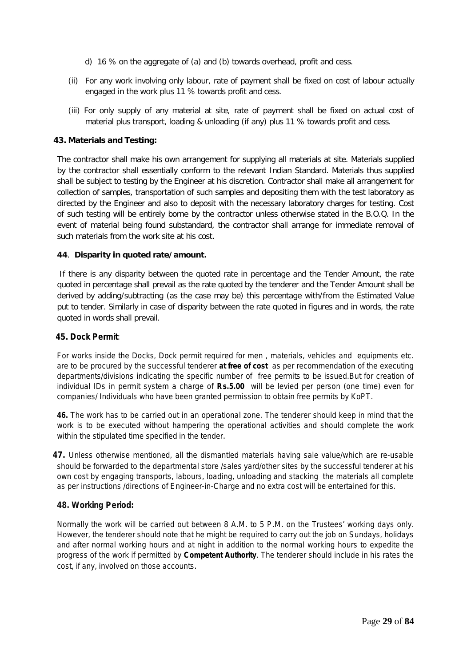- d) 16 % on the aggregate of (a) and (b) towards overhead, profit and cess.
- (ii) For any work involving only labour, rate of payment shall be fixed on cost of labour actually engaged in the work plus 11 % towards profit and cess.
- (iii) For only supply of any material at site, rate of payment shall be fixed on actual cost of material plus transport, loading & unloading (if any) plus 11 % towards profit and cess.

### **43. Materials and Testing:**

The contractor shall make his own arrangement for supplying all materials at site. Materials supplied by the contractor shall essentially conform to the relevant Indian Standard. Materials thus supplied shall be subject to testing by the Engineer at his discretion. Contractor shall make all arrangement for collection of samples, transportation of such samples and depositing them with the test laboratory as directed by the Engineer and also to deposit with the necessary laboratory charges for testing. Cost of such testing will be entirely borne by the contractor unless otherwise stated in the B.O.Q. In the event of material being found substandard, the contractor shall arrange for immediate removal of such materials from the work site at his cost.

### **44**. **Disparity in quoted rate/amount.**

If there is any disparity between the quoted rate in percentage and the Tender Amount, the rate quoted in percentage shall prevail as the rate quoted by the tenderer and the Tender Amount shall be derived by adding/subtracting (as the case may be) this percentage with/from the Estimated Value put to tender. Similarly in case of disparity between the rate quoted in figures and in words, the rate quoted in words shall prevail.

#### **45. Dock Permit**:

For works inside the Docks, Dock permit required for men , materials, vehicles and equipments etc. are to be procured by the successful tenderer **at free of cost** as per recommendation of the executing departments/divisions indicating the specific number of free permits to be issued.But for creation of individual IDs in permit system a charge of **Rs.5.00** will be levied per person (one time) even for companies/ Individuals who have been granted permission to obtain free permits by KoPT.

**46.** The work has to be carried out in an operational zone. The tenderer should keep in mind that the work is to be executed without hampering the operational activities and should complete the work within the stipulated time specified in the tender.

 **47.** Unless otherwise mentioned, all the dismantled materials having sale value/which are re-usable should be forwarded to the departmental store /sales yard/other sites by the successful tenderer at his own cost by engaging transports, labours, loading, unloading and stacking the materials all complete as per instructions /directions of Engineer-in-Charge and no extra cost will be entertained for this.

### **48. Working Period:**

Normally the work will be carried out between 8 A.M. to 5 P.M. on the Trustees' working days only. However, the tenderer should note that he might be required to carry out the job on Sundays, holidays and after normal working hours and at night in addition to the normal working hours to expedite the progress of the work if permitted by **Competent Authority**. The tenderer should include in his rates the cost, if any, involved on those accounts.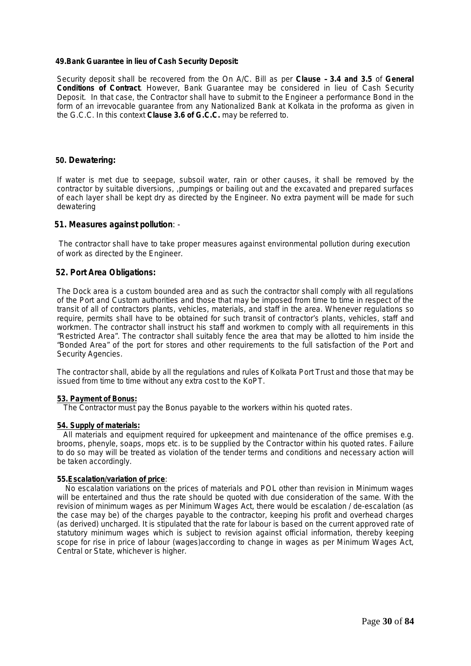#### **49.Bank Guarantee in lieu of Cash Security Deposit:**

Security deposit shall be recovered from the On A/C. Bill as per **Clause – 3.4 and 3.5** of **General Conditions of Contract**. However, Bank Guarantee may be considered in lieu of Cash Security Deposit. In that case, the Contractor shall have to submit to the Engineer a performance Bond in the form of an irrevocable guarantee from any Nationalized Bank at Kolkata in the proforma as given in the G.C.C. In this context **Clause 3.6 of G.C.C.** may be referred to.

#### **50. Dewatering:**

If water is met due to seepage, subsoil water, rain or other causes, it shall be removed by the contractor by suitable diversions, ,pumpings or bailing out and the excavated and prepared surfaces of each layer shall be kept dry as directed by the Engineer. No extra payment will be made for such dewatering

#### **51. Measures against pollution**: -

 The contractor shall have to take proper measures against environmental pollution during execution of work as directed by the Engineer.

### **52. Port Area Obligations:**

The Dock area is a custom bounded area and as such the contractor shall comply with all regulations of the Port and Custom authorities and those that may be imposed from time to time in respect of the transit of all of contractors plants, vehicles, materials, and staff in the area. Whenever regulations so require, permits shall have to be obtained for such transit of contractor's plants, vehicles, staff and workmen. The contractor shall instruct his staff and workmen to comply with all requirements in this "Restricted Area". The contractor shall suitably fence the area that may be allotted to him inside the "Bonded Area" of the port for stores and other requirements to the full satisfaction of the Port and Security Agencies.

The contractor shall, abide by all the regulations and rules of Kolkata Port Trust and those that may be issued from time to time without any extra cost to the KoPT.

#### **53. Payment of Bonus:**

The Contractor must pay the Bonus payable to the workers within his quoted rates.

#### **54. Supply of materials:**

 All materials and equipment required for upkeepment and maintenance of the office premises e.g. brooms, phenyle, soaps, mops etc. is to be supplied by the Contractor within his quoted rates. Failure to do so may will be treated as violation of the tender terms and conditions and necessary action will be taken accordingly.

#### **55.Escalation/variation of price**:

 No escalation variations on the prices of materials and POL other than revision in Minimum wages will be entertained and thus the rate should be quoted with due consideration of the same. With the revision of minimum wages as per Minimum Wages Act, there would be escalation / de-escalation (as the case may be) of the charges payable to the contractor, keeping his profit and overhead charges (as derived) uncharged. It is stipulated that the rate for labour is based on the current approved rate of statutory minimum wages which is subject to revision against official information, thereby keeping scope for rise in price of labour (wages)according to change in wages as per Minimum Wages Act, Central or State, whichever is higher.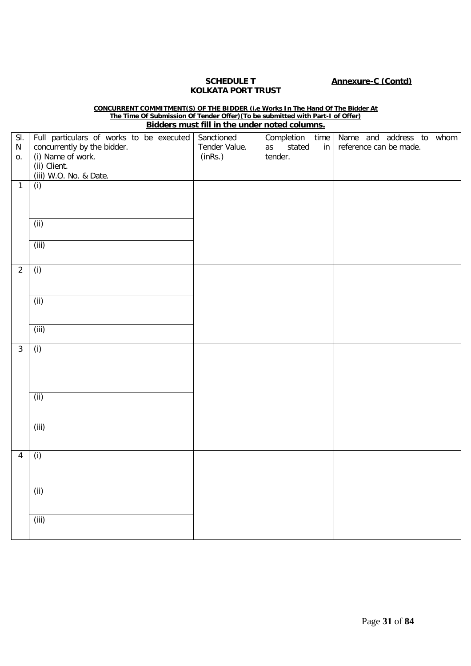# **KOLKATA PORT TRUST**

### **SCHEDULE T Annexure-C (Contd)**

#### **CONCURRENT COMMITMENT(S) OF THE BIDDER (i.e Works In The Hand Of The Bidder At The Time Of Submission Of Tender Offer)(To be submitted with Part-I of Offer) Bidders must fill in the under noted columns.**

| Full particulars of works to be executed<br>concurrently by the bidder. | Sanctioned<br>Tender Value.                                                               | stated<br>as | in      | Completion time Name and address to whom<br>reference can be made. |
|-------------------------------------------------------------------------|-------------------------------------------------------------------------------------------|--------------|---------|--------------------------------------------------------------------|
| (ii) Client.<br>(iii) W.O. No. & Date.                                  |                                                                                           |              |         |                                                                    |
|                                                                         |                                                                                           |              |         |                                                                    |
|                                                                         |                                                                                           |              |         |                                                                    |
|                                                                         |                                                                                           |              |         |                                                                    |
|                                                                         |                                                                                           |              |         |                                                                    |
| (i)                                                                     |                                                                                           |              |         |                                                                    |
|                                                                         |                                                                                           |              |         |                                                                    |
|                                                                         |                                                                                           |              |         |                                                                    |
|                                                                         |                                                                                           |              |         |                                                                    |
|                                                                         |                                                                                           |              |         |                                                                    |
|                                                                         |                                                                                           |              |         |                                                                    |
| (i)                                                                     |                                                                                           |              |         |                                                                    |
|                                                                         |                                                                                           |              |         |                                                                    |
|                                                                         |                                                                                           |              |         |                                                                    |
|                                                                         |                                                                                           |              |         |                                                                    |
|                                                                         |                                                                                           |              |         |                                                                    |
|                                                                         |                                                                                           |              |         |                                                                    |
| (iii)                                                                   |                                                                                           |              |         |                                                                    |
|                                                                         | (i) Name of work.<br>(i)<br>(i)<br>(iii)<br>(ii)<br>(iii)<br>(i)<br>(iii)<br>(i)<br>(iii) | (inRs.)      | tender. |                                                                    |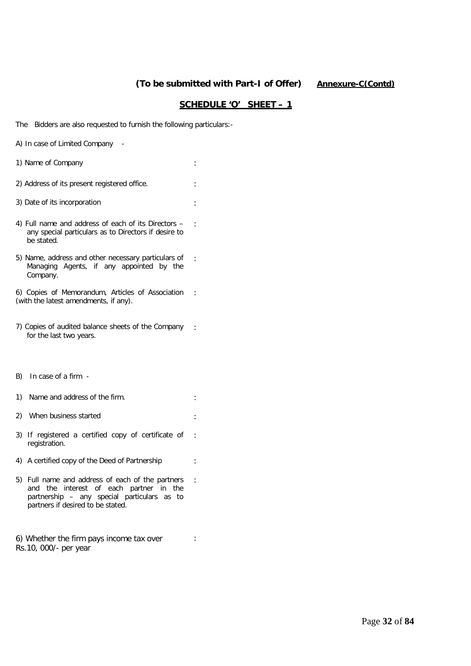### **(To be submitted with Part-I of Offer) Annexure-C(Contd)**

:

:

:

:

### **SCHEDULE 'O' SHEET – 1**

The Bidders are also requested to furnish the following particulars:-

| A) In case of Limited Company |  |  |
|-------------------------------|--|--|
|-------------------------------|--|--|

- 1) Name of Company is a set of  $\sim$  100  $\mu$  .
- 2) Address of its present registered office.
- 3) Date of its incorporation :
- 4) Full name and address of each of its Directors any special particulars as to Directors if desire to be stated. :
- 5) Name, address and other necessary particulars of Managing Agents, if any appointed by the Company.

6) Copies of Memorandum, Articles of Association (with the latest amendments, if any). :

- 7) Copies of audited balance sheets of the Company for the last two years. :
- B) In case of a firm -
- 1) Name and address of the firm. 2) When business started : the started is started in the started in the started in the started in the started in the started in the started in the started in the started in the started in the started in the started in the
- 3) If registered a certified copy of certificate of registration.
- 4) A certified copy of the Deed of Partnership :
- 5) Full name and address of each of the partners and the interest of each partner in the partnership – any special particulars as to partners if desired to be stated.

6) Whether the firm pays income tax over Rs.10, 000/- per year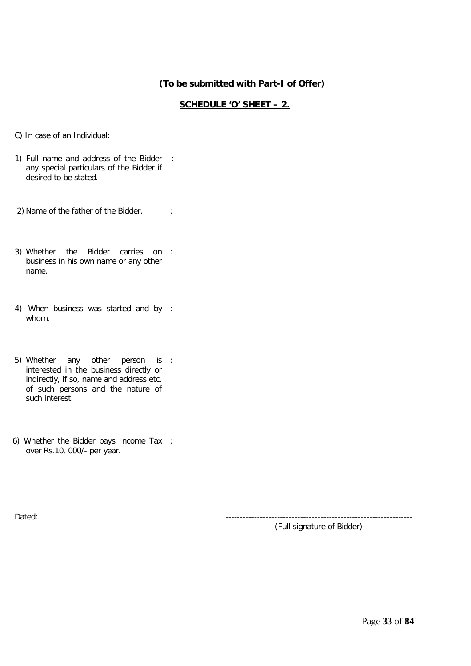### **(To be submitted with Part-I of Offer)**

### **SCHEDULE 'O' SHEET – 2.**

- C) In case of an Individual:
- 1) Full name and address of the Bidder : any special particulars of the Bidder if desired to be stated.
- 2) Name of the father of the Bidder. :
- 3) Whether the Bidder carries on : business in his own name or any other name.
- 4) When business was started and by : whom.
- 5) Whether any other person is : interested in the business directly or indirectly, if so, name and address etc. of such persons and the nature of such interest.
- 6) Whether the Bidder pays Income Tax : over Rs.10, 000/- per year.

Dated: -----------------------------------------------------------------

(Full signature of Bidder)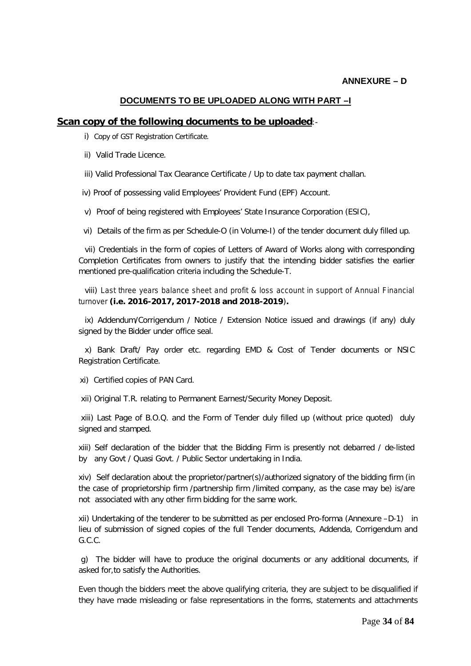### **DOCUMENTS TO BE UPLOADED ALONG WITH PART –I**

### **Scan copy of the following documents to be uploaded**:-

i) Copy of GST Registration Certificate.

ii) Valid Trade Licence.

iii) Valid Professional Tax Clearance Certificate / Up to date tax payment challan.

iv) Proof of possessing valid Employees' Provident Fund (EPF) Account.

v) Proof of being registered with Employees' State Insurance Corporation (ESIC),

vi) Details of the firm as per Schedule-O (in Volume-I) of the tender document duly filled up.

 vii) Credentials in the form of copies of Letters of Award of Works along with corresponding Completion Certificates from owners to justify that the intending bidder satisfies the earlier mentioned pre-qualification criteria including the Schedule-T.

 viii) Last three years balance sheet and profit & loss account in support of Annual Financial turnover **(i.e. 2016-2017, 2017-2018 and 2018-2019**)**.**

 ix) Addendum/Corrigendum / Notice / Extension Notice issued and drawings (if any) duly signed by the Bidder under office seal.

 x) Bank Draft/ Pay order etc. regarding EMD & Cost of Tender documents or NSIC Registration Certificate.

xi) Certified copies of PAN Card.

xii) Original T.R. relating to Permanent Earnest/Security Money Deposit.

xiii) Last Page of B.O.Q. and the Form of Tender duly filled up (without price quoted) duly signed and stamped.

xiii) Self declaration of the bidder that the Bidding Firm is presently not debarred / de-listed by any Govt / Quasi Govt. / Public Sector undertaking in India.

xiv) Self declaration about the proprietor/partner(s)/authorized signatory of the bidding firm (in the case of proprietorship firm /partnership firm /limited company, as the case may be) is/are not associated with any other firm bidding for the same work.

xii) Undertaking of the tenderer to be submitted as per enclosed Pro-forma (Annexure –D-1) in lieu of submission of signed copies of the full Tender documents, Addenda, Corrigendum and G.C.C.

g) The bidder will have to produce the original documents or any additional documents, if asked for,to satisfy the Authorities.

Even though the bidders meet the above qualifying criteria, they are subject to be disqualified if they have made misleading or false representations in the forms, statements and attachments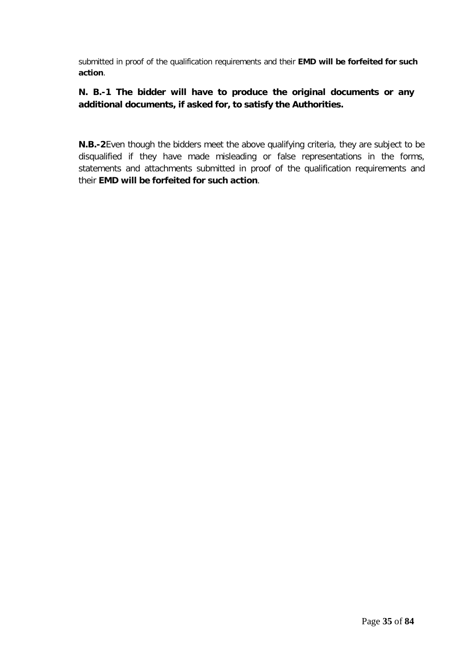submitted in proof of the qualification requirements and their **EMD will be forfeited for such action**.

### **N. B.-1 The bidder will have to produce the original documents or any additional documents, if asked for, to satisfy the Authorities.**

**N.B.-2**Even though the bidders meet the above qualifying criteria, they are subject to be disqualified if they have made misleading or false representations in the forms, statements and attachments submitted in proof of the qualification requirements and their **EMD will be forfeited for such action**.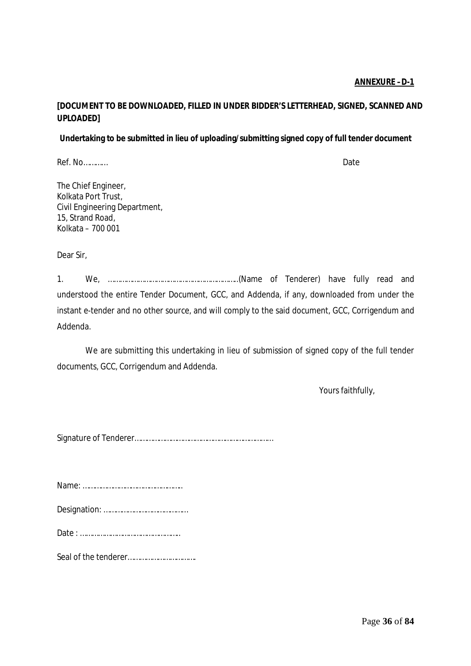### **ANNEXURE –D-1**

### **[DOCUMENT TO BE DOWNLOADED, FILLED IN UNDER BIDDER'S LETTERHEAD, SIGNED, SCANNED AND UPLOADED]**

### **Undertaking to be submitted in lieu of uploading/submitting signed copy of full tender document**

Ref. No…………

The Chief Engineer, Kolkata Port Trust, Civil Engineering Department, 15, Strand Road, Kolkata – 700 001

Dear Sir,

1. We, ………………………………………………………..(Name of Tenderer) have fully read and understood the entire Tender Document, GCC, and Addenda, if any, downloaded from under the instant e-tender and no other source, and will comply to the said document, GCC, Corrigendum and Addenda.

We are submitting this undertaking in lieu of submission of signed copy of the full tender documents, GCC, Corrigendum and Addenda.

Yours faithfully,

Signature of Tenderer……………………………………………………………

Name: …………………………………………..

|--|--|

Date : …………………………………………..

Seal of the tenderer…………………………….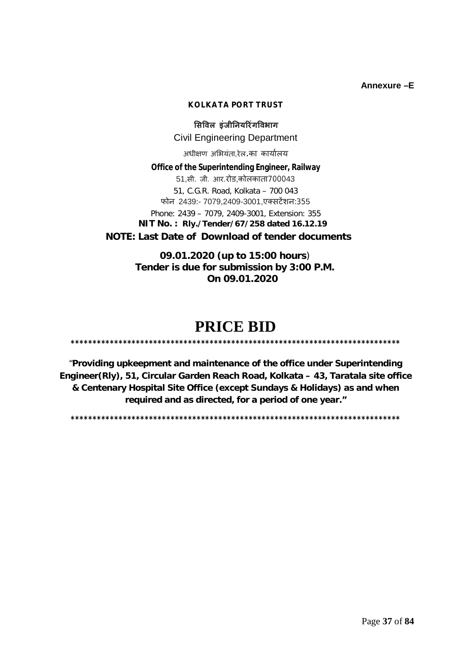**Annexure –E**

#### **KOLKATA PORT TRUST**

**ͧसͪवल इंजीǓनयǐरंगͪवभाग** Civil Engineering Department

अधीक्षण अभियंता,रेल.का कार्यालय

**Office of the Superintending Engineer, Railway** 51,सी. जी. आर.रोड,कोलकाता700043 51, C.G.R. Road, Kolkata – 700 043 फोन 2439:- 7079,2409-3001,एक्सटेंशन:355 Phone: 2439 – 7079, 2409-3001, Extension: 355  **NIT No. : Rly./Tender/67/258 dated 16.12.19 NOTE: Last Date of Download of tender documents**

> **09.01.2020 (up to 15:00 hours**) **Tender is due for submission by 3:00 P.M. On 09.01.2020**

### **PRICE BID**

**\*\*\*\*\*\*\*\*\*\*\*\*\*\*\*\*\*\*\*\*\*\*\*\*\*\*\*\*\*\*\*\*\*\*\*\*\*\*\*\*\*\*\*\*\*\*\*\*\*\*\*\*\*\*\*\*\*\*\*\*\*\*\*\*\*\*\*\*\*\*\*\*\*\*\*\***

"**Providing upkeepment and maintenance of the office under Superintending Engineer(Rly), 51, Circular Garden Reach Road, Kolkata – 43, Taratala site office & Centenary Hospital Site Office (except Sundays & Holidays) as and when required and as directed, for a period of one year."**

**\*\*\*\*\*\*\*\*\*\*\*\*\*\*\*\*\*\*\*\*\*\*\*\*\*\*\*\*\*\*\*\*\*\*\*\*\*\*\*\*\*\*\*\*\*\*\*\*\*\*\*\*\*\*\*\*\*\*\*\*\*\*\*\*\*\*\*\*\*\*\*\*\*\*\*\***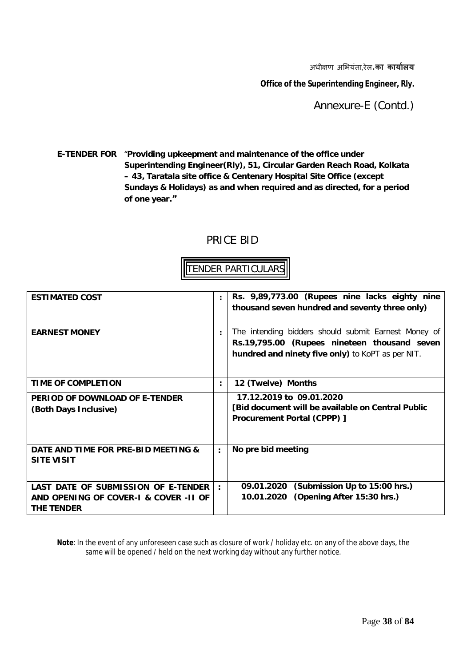अधी¢ण अͧभयंता,रेल.**का काया[लय**

**Office of the Superintending Engineer, Rly.**

Annexure-E (Contd.)

**E-TENDER FOR** "**Providing upkeepment and maintenance of the office under Superintending Engineer(Rly), 51, Circular Garden Reach Road, Kolkata – 43, Taratala site office & Centenary Hospital Site Office (except Sundays & Holidays) as and when required and as directed, for a period of one year."**

### PRICE BID

### TENDER PARTICULARS

| <b>ESTIMATED COST</b>                                                                      | $\ddot{\cdot}$       | Rs. 9,89,773.00 (Rupees nine lacks eighty nine<br>thousand seven hundred and seventy three only)                                                          |
|--------------------------------------------------------------------------------------------|----------------------|-----------------------------------------------------------------------------------------------------------------------------------------------------------|
| <b>EARNEST MONEY</b>                                                                       |                      | The intending bidders should submit Earnest Money of<br>Rs.19,795.00 (Rupees nineteen thousand seven<br>hundred and ninety five only) to KoPT as per NIT. |
| TIME OF COMPLETION                                                                         | $\ddot{\cdot}$       | 12 (Twelve) Months                                                                                                                                        |
| PERIOD OF DOWNLOAD OF E-TENDER<br>(Both Days Inclusive)                                    |                      | 17.12.2019 to 09.01.2020<br>[Bid document will be available on Central Public<br>Procurement Portal (CPPP) ]                                              |
| DATE AND TIME FOR PRE-BID MEETING &<br><b>SITE VISIT</b>                                   | $\ddot{\phantom{a}}$ | No pre bid meeting                                                                                                                                        |
| LAST DATE OF SUBMISSION OF E-TENDER<br>AND OPENING OF COVER-1 & COVER -11 OF<br>THE TENDER |                      | 09.01.2020 (Submission Up to 15:00 hrs.)<br>10.01.2020 (Opening After 15:30 hrs.)                                                                         |

**Note**: In the event of any unforeseen case such as closure of work / holiday etc. on any of the above days, the same will be opened / held on the next working day without any further notice.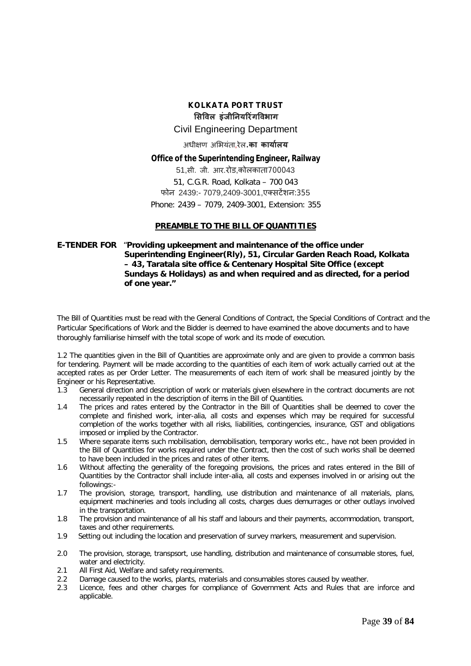#### **KOLKATA PORT TRUST ͧसͪवल इंजीǓनयǐरंगͪवभाग** Civil Engineering Department अधी¢ण अͧभयंता,रेल.**का काया[लय**

#### **Office of the Superintending Engineer, Railway**

51,सी. जी. आर.रोड,कोलकाता700043 51, C.G.R. Road, Kolkata – 700 043 फोन 2439:- 7079,2409-3001,एक्सटेंशन:355 Phone: 2439 – 7079, 2409-3001, Extension: 355

#### **PREAMBLE TO THE BILL OF QUANTITIES**

#### **E-TENDER FOR** "**Providing upkeepment and maintenance of the office under Superintending Engineer(Rly), 51, Circular Garden Reach Road, Kolkata – 43, Taratala site office & Centenary Hospital Site Office (except Sundays & Holidays) as and when required and as directed, for a period of one year."**

The Bill of Quantities must be read with the General Conditions of Contract, the Special Conditions of Contract and the Particular Specifications of Work and the Bidder is deemed to have examined the above documents and to have thoroughly familiarise himself with the total scope of work and its mode of execution.

1.2 The quantities given in the Bill of Quantities are approximate only and are given to provide a common basis for tendering. Payment will be made according to the quantities of each item of work actually carried out at the accepted rates as per Order Letter. The measurements of each item of work shall be measured jointly by the Engineer or his Representative.

- 1.3 General direction and description of work or materials given elsewhere in the contract documents are not necessarily repeated in the description of items in the Bill of Quantities.
- 1.4 The prices and rates entered by the Contractor in the Bill of Quantities shall be deemed to cover the complete and finished work, inter-alia, all costs and expenses which may be required for successful completion of the works together with all risks, liabilities, contingencies, insurance, GST and obligations imposed or implied by the Contractor.
- 1.5 Where separate items such mobilisation, demobilisation, temporary works etc., have not been provided in the Bill of Quantities for works required under the Contract, then the cost of such works shall be deemed to have been included in the prices and rates of other items.
- 1.6 Without affecting the generality of the foregoing provisions, the prices and rates entered in the Bill of Quantities by the Contractor shall include inter-alia, all costs and expenses involved in or arising out the followings:-
- 1.7 The provision, storage, transport, handling, use distribution and maintenance of all materials, plans, equipment machineries and tools including all costs, charges dues demurrages or other outlays involved in the transportation.
- 1.8 The provision and maintenance of all his staff and labours and their payments, accommodation, transport, taxes and other requirements.
- 1.9 Setting out including the location and preservation of survey markers, measurement and supervision.
- 2.0 The provision, storage, transpsort, use handling, distribution and maintenance of consumable stores, fuel, water and electricity.
- 2.1 All First Aid, Welfare and safety requirements.
- 2.2 Damage caused to the works, plants, materials and consumables stores caused by weather.
- 2.3 Licence, fees and other charges for compliance of Government Acts and Rules that are inforce and applicable.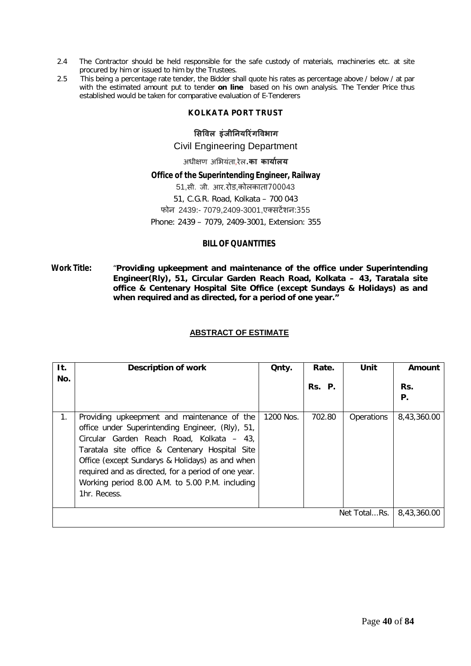- 2.4 The Contractor should be held responsible for the safe custody of materials, machineries etc. at site procured by him or issued to him by the Trustees.
- 2.5 This being a percentage rate tender, the Bidder shall quote his rates as percentage above / below / at par with the estimated amount put to tender **on line** based on his own analysis. The Tender Price thus established would be taken for comparative evaluation of E-Tenderers

#### **KOLKATA PORT TRUST**

#### **ͧसͪवल इंजीǓनयǐरंगͪवभाग**

#### Civil Engineering Department

अधी¢ण अͧभयंता,रेल.**का काया[लय**

#### **Office of the Superintending Engineer, Railway**

51,सी. जी. आर.रोड,कोलकाता700043 51, C.G.R. Road, Kolkata – 700 043 फोन 2439:- 7079,2409-3001,एक्सटेंशन:355 Phone: 2439 – 7079, 2409-3001, Extension: 355

#### **BILL OF QUANTITIES**

**Work Title:** "**Providing upkeepment and maintenance of the office under Superintending Engineer(Rly), 51, Circular Garden Reach Road, Kolkata – 43, Taratala site office & Centenary Hospital Site Office (except Sundays & Holidays) as and when required and as directed, for a period of one year."**

#### **ABSTRACT OF ESTIMATE**

| It.                         | <b>Description of work</b>                                                                                                                                                                                                                                                                                                                                                  | Qnty.     | Rate.  | Unit       | Amount      |
|-----------------------------|-----------------------------------------------------------------------------------------------------------------------------------------------------------------------------------------------------------------------------------------------------------------------------------------------------------------------------------------------------------------------------|-----------|--------|------------|-------------|
| No.                         |                                                                                                                                                                                                                                                                                                                                                                             |           | Rs. P. |            | Rs.<br>Р.   |
| 1.                          | Providing upkeepment and maintenance of the<br>office under Superintending Engineer, (Rly), 51,<br>Circular Garden Reach Road, Kolkata – 43,<br>Taratala site office & Centenary Hospital Site<br>Office (except Sundarys & Holidays) as and when<br>required and as directed, for a period of one year.<br>Working period 8.00 A.M. to 5.00 P.M. including<br>1hr. Recess. | 1200 Nos. | 702.80 | Operations | 8,43,360.00 |
| Net TotalRs.<br>8,43,360.00 |                                                                                                                                                                                                                                                                                                                                                                             |           |        |            |             |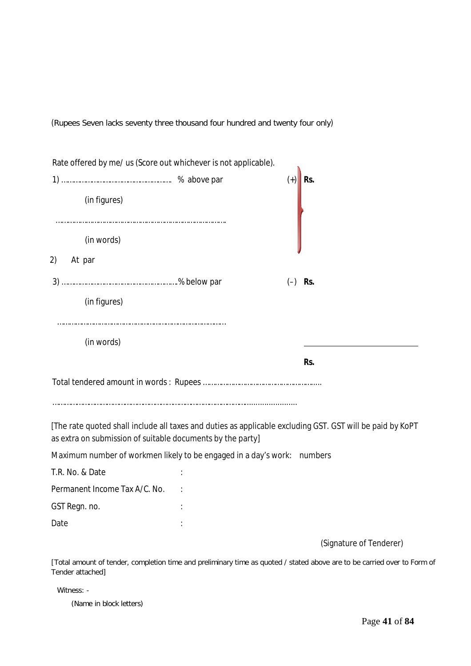(Rupees Seven lacks seventy three thousand four hundred and twenty four only)

| Rate offered by me/ us (Score out whichever is not applicable).<br>(in figures)                                                                                         | $^{(+)}$  | Rs.                     |
|-------------------------------------------------------------------------------------------------------------------------------------------------------------------------|-----------|-------------------------|
| (in words)                                                                                                                                                              |           |                         |
| 2)<br>At par                                                                                                                                                            |           |                         |
|                                                                                                                                                                         | $(-)$ Rs. |                         |
| (in figures)                                                                                                                                                            |           |                         |
| (in words)                                                                                                                                                              |           |                         |
|                                                                                                                                                                         |           | Rs.                     |
| [The rate quoted shall include all taxes and duties as applicable excluding GST. GST will be paid by KoPT<br>as extra on submission of suitable documents by the party] |           |                         |
| Maximum number of workmen likely to be engaged in a day's work: numbers                                                                                                 |           |                         |
| T.R. No. & Date                                                                                                                                                         |           |                         |
| Permanent Income Tax A/C. No.                                                                                                                                           |           |                         |
| GST Regn. no.                                                                                                                                                           |           |                         |
| Date                                                                                                                                                                    |           |                         |
|                                                                                                                                                                         |           | (Signature of Tenderer) |

[Total amount of tender, completion time and preliminary time as quoted / stated above are to be carried over to Form of Tender attached]

Witness: -

(Name in block letters)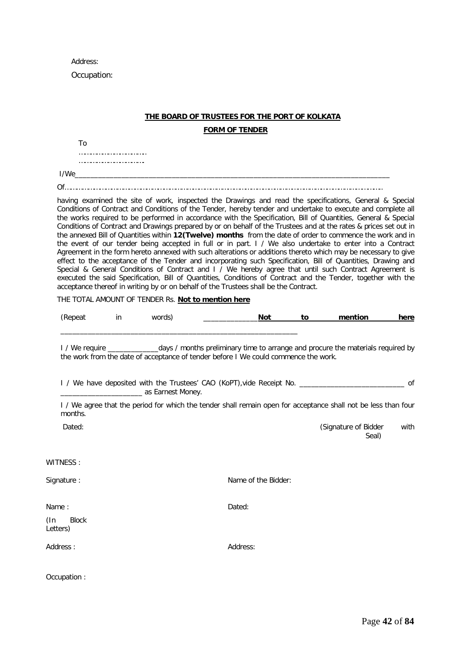Address:

Occupation:

#### **THE BOARD OF TRUSTEES FOR THE PORT OF KOLKATA**

**FORM OF TENDER**

To

…………………………….. …………………………….

I/We\_\_\_\_\_\_\_\_\_\_\_\_\_\_\_\_\_\_\_\_\_\_\_\_\_\_\_\_\_\_\_\_\_\_\_\_\_\_\_\_\_\_\_\_\_\_\_\_\_\_\_\_\_\_\_\_\_\_\_\_\_\_\_\_\_\_\_\_\_\_\_\_\_\_\_\_\_\_\_\_\_ Of………………………………………………………………………………………………………………………………………………..

having examined the site of work, inspected the Drawings and read the specifications, General & Special Conditions of Contract and Conditions of the Tender, hereby tender and undertake to execute and complete all the works required to be performed in accordance with the Specification, Bill of Quantities, General & Special Conditions of Contract and Drawings prepared by or on behalf of the Trustees and at the rates & prices set out in the annexed Bill of Quantities within **12(Twelve) months** from the date of order to commence the work and in the event of our tender being accepted in full or in part. I / We also undertake to enter into a Contract Agreement in the form hereto annexed with such alterations or additions thereto which may be necessary to give effect to the acceptance of the Tender and incorporating such Specification, Bill of Quantities, Drawing and Special & General Conditions of Contract and I / We hereby agree that until such Contract Agreement is executed the said Specification, Bill of Quantities, Conditions of Contract and the Tender, together with the acceptance thereof in writing by or on behalf of the Trustees shall be the Contract.

THE TOTAL AMOUNT OF TENDER Rs. **Not to mention here**

\_\_\_\_\_\_\_\_\_\_\_\_\_\_\_\_\_\_\_\_\_\_\_\_\_\_\_\_\_\_\_\_\_\_\_\_\_\_\_\_\_\_\_\_\_\_\_\_\_\_\_\_\_\_\_\_\_\_\_\_\_

| (Repeat | in | words) |  | to | mention | here |
|---------|----|--------|--|----|---------|------|
|         |    |        |  |    |         |      |

I / We require \_\_\_\_\_\_\_\_\_\_\_\_\_days / months preliminary time to arrange and procure the materials required by the work from the date of acceptance of tender before I We could commence the work.

I / We have deposited with the Trustees' CAO (KoPT),vide Receipt No. \_\_\_\_\_\_\_\_\_\_\_\_\_\_\_\_\_\_\_\_\_\_\_\_\_\_\_ of \_\_\_\_\_\_\_\_\_\_\_\_\_\_\_\_\_\_\_\_\_ as Earnest Money.

I / We agree that the period for which the tender shall remain open for acceptance shall not be less than four months.

Dated: Contract of Bidder with the Dated: Contract of Bidder with the Dated: Contract of Bidder with the Dated Street of Bidder with the Dated Street of Bidder with the Dated Street of Bidder with the Dated Street of Bidde Seal)

WITNESS :

Signature : Name of the Bidder:

Name :

(In Block Letters)

Address : Address:

Dated:

Occupation :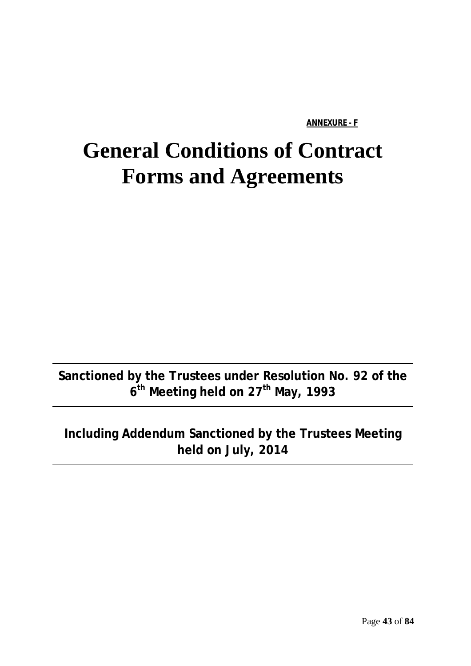#### **ANNEXURE - F**

# **General Conditions of Contract Forms and Agreements**

**Sanctioned by the Trustees under Resolution No. 92 of the 6 th Meeting held on 27th May, 1993**

## **Including Addendum Sanctioned by the Trustees Meeting held on July, 2014**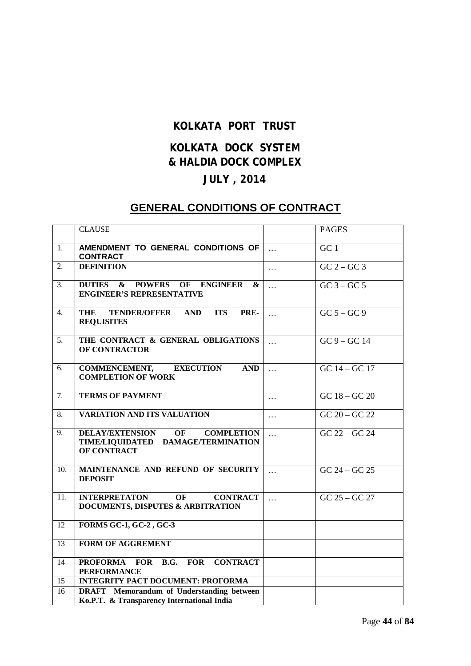### **KOLKATA PORT TRUST**

### **KOLKATA DOCK SYSTEM & HALDIA DOCK COMPLEX JULY , 2014**

### **GENERAL CONDITIONS OF CONTRACT**

|                  | <b>CLAUSE</b>                                                                                                 |                       | <b>PAGES</b>                            |
|------------------|---------------------------------------------------------------------------------------------------------------|-----------------------|-----------------------------------------|
| 1.               | AMENDMENT TO GENERAL CONDITIONS OF<br><b>CONTRACT</b>                                                         | $\ddotsc$             | GC <sub>1</sub>                         |
| $\overline{2}$ . | <b>DEFINITION</b>                                                                                             | $\cdots$              | $GC$ 2 – $GC$ 3                         |
| 3.               | <b>DUTIES</b><br>& POWERS OF ENGINEER<br>&<br><b>ENGINEER'S REPRESENTATIVE</b>                                | $\cdots$              | $GC$ 3 – $GC$ 5                         |
| $\overline{4}$ . | <b>THE</b><br>TENDER/OFFER AND<br><b>ITS</b><br>PRE-<br><b>REQUISITES</b>                                     | $\dddot{\phantom{0}}$ | $GC 5 - GC 9$                           |
| $\overline{5}$ . | THE CONTRACT & GENERAL OBLIGATIONS<br><b>OF CONTRACTOR</b>                                                    | $\dddotsc$            | $GC$ 9 – $GC$ 14                        |
| 6.               | <b>COMMENCEMENT,</b><br><b>EXECUTION</b><br><b>AND</b><br><b>COMPLETION OF WORK</b>                           | $\cdots$              | $GC 14 - GC 17$                         |
| $\overline{7}$ . | <b>TERMS OF PAYMENT</b>                                                                                       | $\cdots$              | $\overline{GC}$ 18 – $\overline{GC}$ 20 |
| 8.               | <b>VARIATION AND ITS VALUATION</b>                                                                            | $\cdots$              | $\overline{GC\ 20-GC\ 22}$              |
| 9.               | <b>DELAY/EXTENSION</b><br>OF<br><b>COMPLETION</b><br>TIME/LIQUIDATED DAMAGE/TERMINATION<br><b>OF CONTRACT</b> | $\dddotsc$            | $GC 22 - GC 24$                         |
| 10.              | MAINTENANCE AND REFUND OF SECURITY<br><b>DEPOSIT</b>                                                          | $\ddotsc$             | $GC 24 - GC 25$                         |
| 11.              | <b>INTERPRETATON</b><br>OF<br><b>CONTRACT</b><br>DOCUMENTS, DISPUTES & ARBITRATION                            | $\dddotsc$            | $GC$ 25 – $GC$ 27                       |
| 12               | <b>FORMS GC-1, GC-2, GC-3</b>                                                                                 |                       |                                         |
| 13               | <b>FORM OF AGGREMENT</b>                                                                                      |                       |                                         |
| 14               | <b>FOR</b><br><b>CONTRACT</b><br><b>PROFORMA</b><br><b>FOR</b><br><b>B.G.</b><br><b>PERFORMANCE</b>           |                       |                                         |
| 15               | <b>INTEGRITY PACT DOCUMENT: PROFORMA</b>                                                                      |                       |                                         |
| 16               | <b>DRAFT</b> Memorandum of Understanding between<br>Ko.P.T. & Transparency International India                |                       |                                         |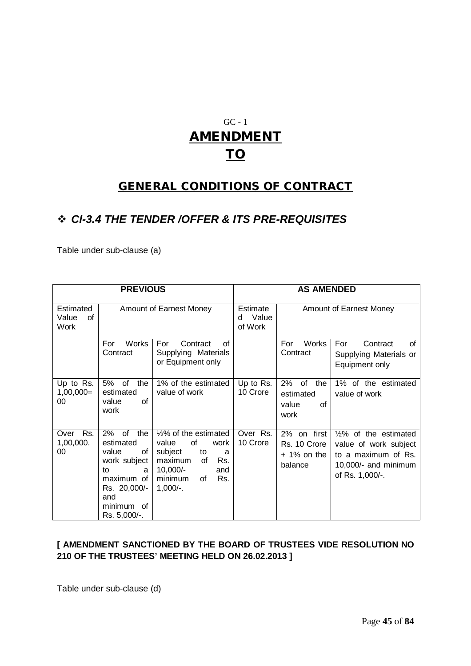## GC - 1 **AMENDMENT TO**

### **GENERAL CONDITIONS OF CONTRACT**

### *Cl-3.4 THE TENDER /OFFER & ITS PRE-REQUISITES*

Table under sub-clause (a)

| <b>PREVIOUS</b>                         |                                                                                                                                              |                                                                                                                                                               |                                   | <b>AS AMENDED</b>                                       |                                                                                                                             |
|-----------------------------------------|----------------------------------------------------------------------------------------------------------------------------------------------|---------------------------------------------------------------------------------------------------------------------------------------------------------------|-----------------------------------|---------------------------------------------------------|-----------------------------------------------------------------------------------------------------------------------------|
| Estimated<br>Value<br>Ωf<br><b>Work</b> |                                                                                                                                              | Amount of Earnest Money                                                                                                                                       | Estimate<br>Value<br>d<br>of Work |                                                         | Amount of Earnest Money                                                                                                     |
|                                         | <b>Works</b><br>For<br>Contract                                                                                                              | Contract<br>of<br>For<br>Supplying Materials<br>or Equipment only                                                                                             |                                   | Works<br>For<br>Contract                                | Contract<br>For<br>Ωf<br>Supplying Materials or<br>Equipment only                                                           |
| Up to Rs.<br>$1,00,000=$<br>00          | 5%<br>of<br>the<br>estimated<br>of<br>value<br>work                                                                                          | 1% of the estimated<br>value of work                                                                                                                          | Up to Rs.<br>10 Crore             | of<br>2%<br>the<br>estimated<br>value<br>οf<br>work     | 1% of the estimated<br>value of work                                                                                        |
| Rs.<br>Over<br>1,00,000.<br>00          | $2\%$<br>the<br>of<br>estimated<br>value<br>of<br>work subject<br>to<br>a<br>maximum of<br>Rs. 20,000/-<br>and<br>minimum of<br>Rs. 5,000/-. | 1/2% of the estimated<br>of<br>value<br>work<br>subject<br>to<br>a<br>maximum<br>Rs.<br><b>of</b><br>$10,000/-$<br>and<br>minimum<br>Rs.<br>of<br>$1,000/-$ . | Over Rs.<br>10 Crore              | 2% on first<br>Rs. 10 Crore<br>$+1\%$ on the<br>balance | $\frac{1}{2}\%$ of the estimated<br>value of work subject<br>to a maximum of Rs.<br>10,000/- and minimum<br>of Rs. 1,000/-. |

#### **[ AMENDMENT SANCTIONED BY THE BOARD OF TRUSTEES VIDE RESOLUTION NO 210 OF THE TRUSTEES' MEETING HELD ON 26.02.2013 ]**

Table under sub-clause (d)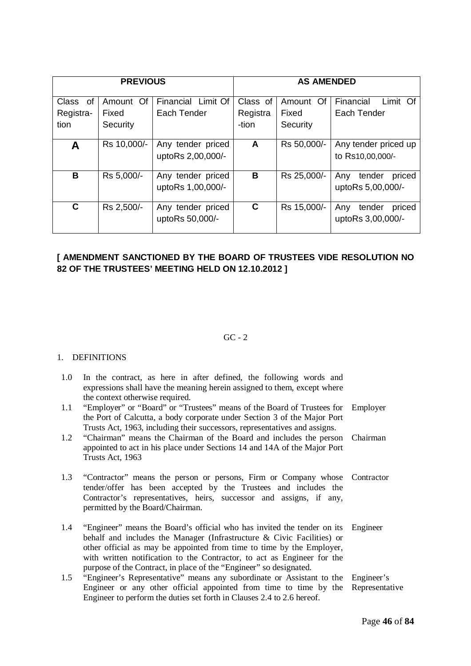| <b>PREVIOUS</b>                  |                                |                                        |                               | <b>AS AMENDED</b>              |                                              |
|----------------------------------|--------------------------------|----------------------------------------|-------------------------------|--------------------------------|----------------------------------------------|
| 0f<br>Class<br>Registra-<br>tion | Amount Of<br>Fixed<br>Security | Financial Limit Of<br>Each Tender      | Class of<br>Registra<br>-tion | Amount Of<br>Fixed<br>Security | Financial<br>Limit Of<br>Each Tender         |
| Α                                | Rs 10,000/-                    | Any tender priced<br>uptoRs 2,00,000/- | A                             | Rs 50,000/-                    | Any tender priced up<br>to Rs10,00,000/-     |
| В                                | Rs 5,000/-                     | Any tender priced<br>uptoRs 1,00,000/- | B                             | Rs 25,000/-                    | tender<br>Any<br>priced<br>uptoRs 5,00,000/- |
| C                                | Rs 2,500/-                     | Any tender priced<br>uptoRs 50,000/-   | C                             | Rs 15,000/-                    | tender<br>Any<br>priced<br>uptoRs 3,00,000/- |

### **[ AMENDMENT SANCTIONED BY THE BOARD OF TRUSTEES VIDE RESOLUTION NO 82 OF THE TRUSTEES' MEETING HELD ON 12.10.2012 ]**

#### $GC - 2$

#### 1. DEFINITIONS

| 1.0 | In the contract, as here in after defined, the following words and<br>expressions shall have the meaning herein assigned to them, except where<br>the context otherwise required.                                                                                                                                                                                              |            |
|-----|--------------------------------------------------------------------------------------------------------------------------------------------------------------------------------------------------------------------------------------------------------------------------------------------------------------------------------------------------------------------------------|------------|
| 1.1 | "Employer" or "Board" or "Trustees" means of the Board of Trustees for Employer<br>the Port of Calcutta, a body corporate under Section 3 of the Major Port                                                                                                                                                                                                                    |            |
| 1.2 | Trusts Act, 1963, including their successors, representatives and assigns.<br>"Chairman" means the Chairman of the Board and includes the person Chairman<br>appointed to act in his place under Sections 14 and 14A of the Major Port<br>Trusts Act, 1963                                                                                                                     |            |
| 1.3 | "Contractor" means the person or persons, Firm or Company whose Contractor<br>tender/offer has been accepted by the Trustees and includes the<br>Contractor's representatives, heirs, successor and assigns, if any,<br>permitted by the Board/Chairman.                                                                                                                       |            |
| 1.4 | "Engineer" means the Board's official who has invited the tender on its<br>behalf and includes the Manager (Infrastructure $\&$ Civic Facilities) or<br>other official as may be appointed from time to time by the Employer,<br>with written notification to the Contractor, to act as Engineer for the<br>purpose of the Contract, in place of the "Engineer" so designated. | Engineer   |
| 1.5 | "Engineer's Representative" means any subordinate or Assistant to the<br>Engineer or any other official appointed from time to time by the Representative<br>Engineer to perform the duties set forth in Clauses 2.4 to 2.6 hereof.                                                                                                                                            | Engineer's |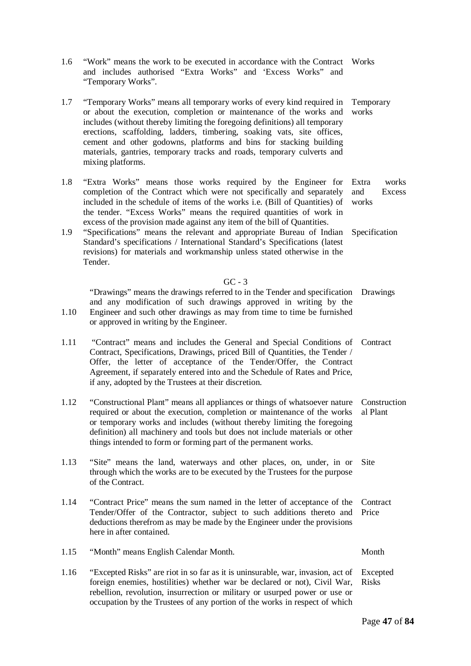| 1.6        | "Work" means the work to be executed in accordance with the Contract Works<br>and includes authorised "Extra Works" and 'Excess Works" and<br>"Temporary Works".                                                                                                                                                                                                                                                                                                                                                                                                                                                     |                                                           |
|------------|----------------------------------------------------------------------------------------------------------------------------------------------------------------------------------------------------------------------------------------------------------------------------------------------------------------------------------------------------------------------------------------------------------------------------------------------------------------------------------------------------------------------------------------------------------------------------------------------------------------------|-----------------------------------------------------------|
| 1.7        | "Temporary Works" means all temporary works of every kind required in<br>or about the execution, completion or maintenance of the works and<br>includes (without thereby limiting the foregoing definitions) all temporary<br>erections, scaffolding, ladders, timbering, soaking vats, site offices,<br>cement and other godowns, platforms and bins for stacking building<br>materials, gantries, temporary tracks and roads, temporary culverts and<br>mixing platforms.                                                                                                                                          | Temporary<br>works                                        |
| 1.8<br>1.9 | "Extra Works" means those works required by the Engineer for<br>completion of the Contract which were not specifically and separately<br>included in the schedule of items of the works i.e. (Bill of Quantities) of<br>the tender. "Excess Works" means the required quantities of work in<br>excess of the provision made against any item of the bill of Quantities.<br>"Specifications" means the relevant and appropriate Bureau of Indian<br>Standard's specifications / International Standard's Specifications (latest<br>revisions) for materials and workmanship unless stated otherwise in the<br>Tender. | Extra<br>works<br>and<br>Excess<br>works<br>Specification |
|            |                                                                                                                                                                                                                                                                                                                                                                                                                                                                                                                                                                                                                      |                                                           |
|            | $GC - 3$<br>"Drawings" means the drawings referred to in the Tender and specification<br>and any modification of such drawings approved in writing by the                                                                                                                                                                                                                                                                                                                                                                                                                                                            | Drawings                                                  |
| 1.10       | Engineer and such other drawings as may from time to time be furnished<br>or approved in writing by the Engineer.                                                                                                                                                                                                                                                                                                                                                                                                                                                                                                    |                                                           |
| 1.11       | "Contract" means and includes the General and Special Conditions of Contract<br>Contract, Specifications, Drawings, priced Bill of Quantities, the Tender /<br>Offer, the letter of acceptance of the Tender/Offer, the Contract<br>Agreement, if separately entered into and the Schedule of Rates and Price,<br>if any, adopted by the Trustees at their discretion.                                                                                                                                                                                                                                               |                                                           |
| 1.12       | "Constructional Plant" means all appliances or things of whatsoever nature<br>required or about the execution, completion or maintenance of the works al Plant<br>or temporary works and includes (without thereby limiting the foregoing<br>definition) all machinery and tools but does not include materials or other<br>things intended to form or forming part of the permanent works.                                                                                                                                                                                                                          | Construction                                              |
| 1.13       | "Site" means the land, waterways and other places, on, under, in or<br>through which the works are to be executed by the Trustees for the purpose<br>of the Contract.                                                                                                                                                                                                                                                                                                                                                                                                                                                | Site                                                      |
| 1.14       | "Contract Price" means the sum named in the letter of acceptance of the<br>Tender/Offer of the Contractor, subject to such additions thereto and<br>deductions therefrom as may be made by the Engineer under the provisions<br>here in after contained.                                                                                                                                                                                                                                                                                                                                                             | Contract<br>Price                                         |
| 1.15       | "Month" means English Calendar Month.                                                                                                                                                                                                                                                                                                                                                                                                                                                                                                                                                                                | Month                                                     |
| 1.16       | "Excepted Risks" are riot in so far as it is uninsurable, war, invasion, act of<br>foreign enemies, hostilities) whether war be declared or not), Civil War,<br>rebellion, revolution, insurrection or military or usurped power or use or<br>occupation by the Trustees of any portion of the works in respect of which                                                                                                                                                                                                                                                                                             | Excepted<br><b>Risks</b>                                  |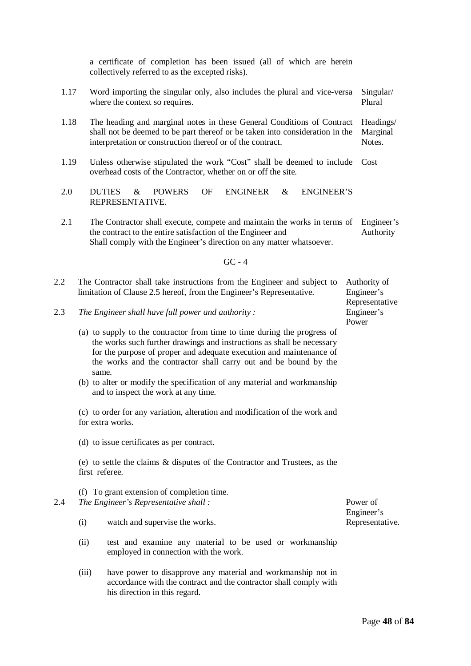1.17 Word importing the singular only, also includes the plural and vice-versa Singular/ where the context so requires. Plural

1.18 The heading and marginal notes in these General Conditions of Contract shall not be deemed to be part thereof or be taken into consideration in the interpretation or construction thereof or of the contract. Headings/ Marginal Notes.

a certificate of completion has been issued (all of which are herein

collectively referred to as the excepted risks).

- 1.19 Unless otherwise stipulated the work "Cost" shall be deemed to include Cost overhead costs of the Contractor, whether on or off the site.
- 2.0 DUTIES & POWERS OF ENGINEER & ENGINEER'S REPRESENTATIVE.
- 2.1 The Contractor shall execute, compete and maintain the works in terms of Engineer's the contract to the entire satisfaction of the Engineer and Shall comply with the Engineer's direction on any matter whatsoever. Authority

GC - 4

- 2.2 The Contractor shall take instructions from the Engineer and subject to limitation of Clause 2.5 hereof, from the Engineer's Representative. Authority of Engineer's
- 2.3 *The Engineer shall have full power and authority :*
	- (a) to supply to the contractor from time to time during the progress of the works such further drawings and instructions as shall be necessary for the purpose of proper and adequate execution and maintenance of the works and the contractor shall carry out and be bound by the same.
	- (b) to alter or modify the specification of any material and workmanship and to inspect the work at any time.

(c) to order for any variation, alteration and modification of the work and for extra works.

(d) to issue certificates as per contract.

(e) to settle the claims & disputes of the Contractor and Trustees, as the first referee.

|     | (f) To grant extension of completion time. |
|-----|--------------------------------------------|
| 2.4 | The Engineer's Representative shall:       |
|     |                                            |

- (i) watch and supervise the works.
- (ii) test and examine any material to be used or workmanship employed in connection with the work.
- (iii) have power to disapprove any material and workmanship not in accordance with the contract and the contractor shall comply with his direction in this regard.

Representative

Engineer's Power

Power of Engineer's Representative.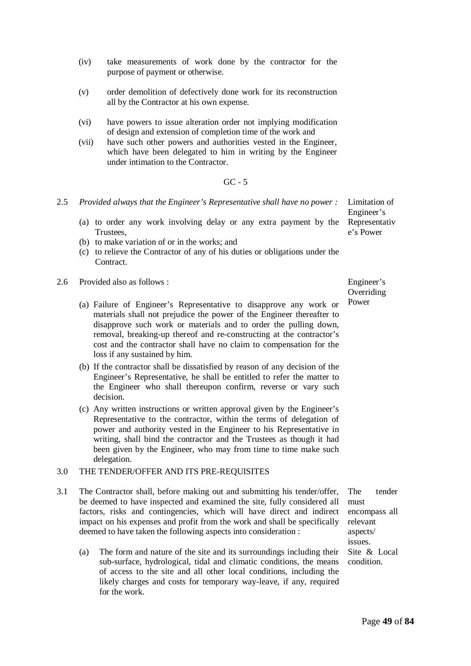- (iv) take measurements of work done by the contractor for the purpose of payment or otherwise.
- (v) order demolition of defectively done work for its reconstruction all by the Contractor at his own expense.
- (vi) have powers to issue alteration order not implying modification of design and extension of completion time of the work and
- (vii) have such other powers and authorities vested in the Engineer, which have been delegated to him in writing by the Engineer under intimation to the Contractor.

#### GC - 5

- 2.5 *Provided always that the Engineer's Representative shall have no power :*
	- (a) to order any work involving delay or any extra payment by the **Trustees**
	- (b) to make variation of or in the works; and
	- (c) to relieve the Contractor of any of his duties or obligations under the Contract.
- 2.6 Provided also as follows :
	- (a) Failure of Engineer's Representative to disapprove any work or materials shall not prejudice the power of the Engineer thereafter to disapprove such work or materials and to order the pulling down, removal, breaking-up thereof and re-constructing at the contractor's cost and the contractor shall have no claim to compensation for the loss if any sustained by him.
	- (b) If the contractor shall be dissatisfied by reason of any decision of the Engineer's Representative, he shall be entitled to refer the matter to the Engineer who shall thereupon confirm, reverse or vary such decision.
	- (c) Any written instructions or written approval given by the Engineer's Representative to the contractor, within the terms of delegation of power and authority vested in the Engineer to his Representative in writing, shall bind the contractor and the Trustees as though it had been given by the Engineer, who may from time to time make such delegation.

#### 3.0 THE TENDER/OFFER AND ITS PRE-REQUISITES

- 3.1 The Contractor shall, before making out and submitting his tender/offer, be deemed to have inspected and examined the site, fully considered all factors, risks and contingencies, which will have direct and indirect impact on his expenses and profit from the work and shall be specifically deemed to have taken the following aspects into consideration :
	- (a) The form and nature of the site and its surroundings including their sub-surface, hydrological, tidal and climatic conditions, the means of access to the site and all other local conditions, including the likely charges and costs for temporary way-leave, if any, required for the work.

Engineer's

Limitation of Engineer's Representativ e's Power

Overriding Power

The tender must encompass all relevant aspects/ issues. Site & Local condition.

Page **49** of **84**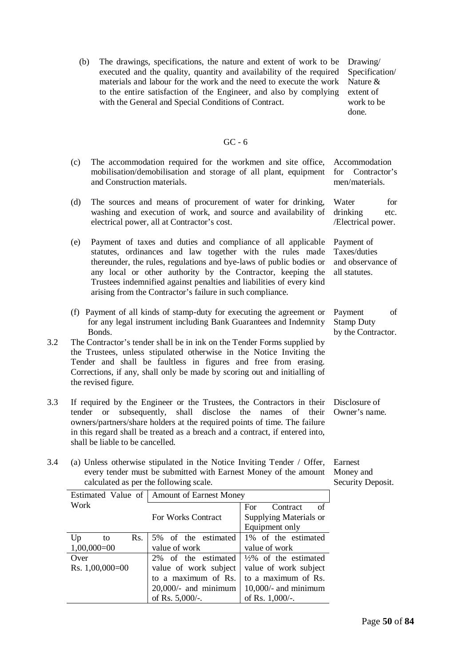(b) The drawings, specifications, the nature and extent of work to be executed and the quality, quantity and availability of the required materials and labour for the work and the need to execute the work to the entire satisfaction of the Engineer, and also by complying with the General and Special Conditions of Contract.

Drawing/ Specification/ Nature & extent of work to be done.

#### GC - 6

- (c) The accommodation required for the workmen and site office, mobilisation/demobilisation and storage of all plant, equipment and Construction materials. Accommodation for Contractor's
- (d) The sources and means of procurement of water for drinking, washing and execution of work, and source and availability of electrical power, all at Contractor's cost.
- (e) Payment of taxes and duties and compliance of all applicable statutes, ordinances and law together with the rules made thereunder, the rules, regulations and bye-laws of public bodies or any local or other authority by the Contractor, keeping the Trustees indemnified against penalties and liabilities of every kind arising from the Contractor's failure in such compliance.
- (f) Payment of all kinds of stamp-duty for executing the agreement or for any legal instrument including Bank Guarantees and Indemnity Bonds. Payment of Stamp Duty
- 3.2 The Contractor's tender shall be in ink on the Tender Forms supplied by the Trustees, unless stipulated otherwise in the Notice Inviting the Tender and shall be faultless in figures and free from erasing. Corrections, if any, shall only be made by scoring out and initialling of the revised figure.
- 3.3 If required by the Engineer or the Trustees, the Contractors in their tender or subsequently, shall disclose the names of their owners/partners/share holders at the required points of time. The failure in this regard shall be treated as a breach and a contract, if entered into, shall be liable to be cancelled.
- 3.4 (a) Unless otherwise stipulated in the Notice Inviting Tender / Offer, every tender must be submitted with Earnest Money of the amount calculated as per the following scale.

Earnest Money and

|                   | Estimated Value of   Amount of Earnest Money |                                  |  |  |  |
|-------------------|----------------------------------------------|----------------------------------|--|--|--|
| Work              |                                              | of<br>Contract<br>For            |  |  |  |
|                   | For Works Contract                           | Supplying Materials or           |  |  |  |
|                   |                                              | Equipment only                   |  |  |  |
| Rs.<br>Up<br>to   | 5% of the estimated                          | 1\% of the estimated             |  |  |  |
| $1,00,000=00$     | value of work                                | value of work                    |  |  |  |
| Over              | 2% of the estimated                          | $\frac{1}{2}\%$ of the estimated |  |  |  |
| Rs. $1,00,000=00$ | value of work subject                        | value of work subject            |  |  |  |
|                   | to a maximum of Rs.                          | to a maximum of Rs.              |  |  |  |
|                   | $20,000/$ - and minimum                      | $10,000/$ - and minimum          |  |  |  |
|                   | of Rs. $5,000/$ -.                           | of Rs. $1,000/$ -.               |  |  |  |

men/materials. Water for drinking etc.

/Electrical power. Payment of

Taxes/duties and observance of all statutes.

by the Contractor.

Disclosure of Owner's name.

Security Deposit.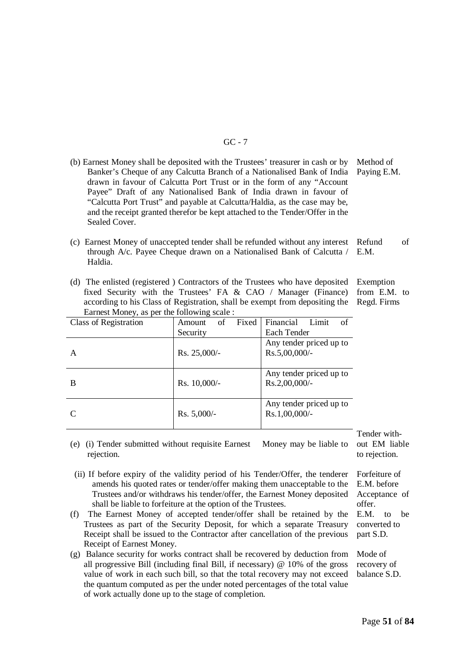#### GC - 7

- (b) Earnest Money shall be deposited with the Trustees' treasurer in cash or by Banker's Cheque of any Calcutta Branch of a Nationalised Bank of India drawn in favour of Calcutta Port Trust or in the form of any "Account Payee" Draft of any Nationalised Bank of India drawn in favour of "Calcutta Port Trust" and payable at Calcutta/Haldia, as the case may be, and the receipt granted therefor be kept attached to the Tender/Offer in the Sealed Cover. Method of Paying E.M.
- (c) Earnest Money of unaccepted tender shall be refunded without any interest through A/c. Payee Cheque drawn on a Nationalised Bank of Calcutta / Haldia. Refund of E.M.
- (d) The enlisted (registered ) Contractors of the Trustees who have deposited fixed Security with the Trustees' FA & CAO / Manager (Finance) according to his Class of Registration, shall be exempt from depositing the Earnest Money, as per the following scale :

| Fixed<br>of<br>Amount |                                             |
|-----------------------|---------------------------------------------|
|                       | Financial<br>Limit<br>of                    |
| Security              | Each Tender                                 |
| Rs. 25,000/-          | Any tender priced up to<br>$Rs.5,00,000/$ - |
| Rs. 10,000/-          | Any tender priced up to<br>$Rs.2,00,000/$ - |
| $Rs. 5,000/-$         | Any tender priced up to<br>$Rs.1,00,000/$ - |
|                       |                                             |

Tender without EM liable to rejection.

 (ii) If before expiry of the validity period of his Tender/Offer, the tenderer amends his quoted rates or tender/offer making them unacceptable to the Trustees and/or withdraws his tender/offer, the Earnest Money deposited shall be liable to forfeiture at the option of the Trustees.

(e) (i) Tender submitted without requisite Earnest Money may be liable to

rejection.

- (f) The Earnest Money of accepted tender/offer shall be retained by the Trustees as part of the Security Deposit, for which a separate Treasury Receipt shall be issued to the Contractor after cancellation of the previous Receipt of Earnest Money.
- (g) Balance security for works contract shall be recovered by deduction from all progressive Bill (including final Bill, if necessary) @ 10% of the gross value of work in each such bill, so that the total recovery may not exceed the quantum computed as per the under noted percentages of the total value of work actually done up to the stage of completion.

Forfeiture of E.M. before Acceptance of offer. E.M. to be converted to

Mode of recovery of balance S.D.

part S.D.

Exemption from E.M. to

Regd. Firms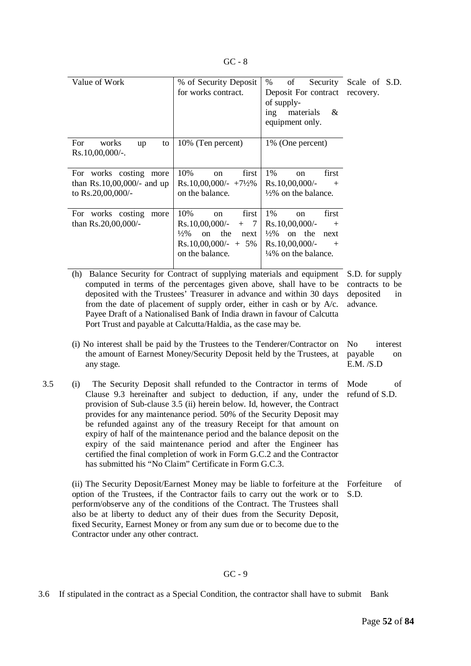| ۰.<br>M.<br>v |  | v<br>× |
|---------------|--|--------|
|---------------|--|--------|

| Value of Work                                                                   | % of Security Deposit<br>for works contract.                                                                                        | $\%$<br>of<br>Deposit For contract recovery.<br>of supply-<br>materials<br>ing<br>&<br>equipment only.                                                       | Security Scale of S.D. |
|---------------------------------------------------------------------------------|-------------------------------------------------------------------------------------------------------------------------------------|--------------------------------------------------------------------------------------------------------------------------------------------------------------|------------------------|
| For<br>works<br>up<br>to<br>$Rs.10,00,000/-.$                                   | 10% (Ten percent)                                                                                                                   | 1% (One percent)                                                                                                                                             |                        |
| For works costing<br>more<br>than $Rs.10,00,000/$ - and up<br>to Rs.20,00,000/- | 10%<br>first<br>on<br>$Rs.10,00,000/ - +7\frac{1}{2}\%$<br>on the balance.                                                          | 1%<br>first<br>on<br>$Rs.10,00,000/$ -<br>$+$<br>$\frac{1}{2}\%$ on the balance.                                                                             |                        |
| For works costing<br>more<br>than Rs.20,00,000/-                                | 10%<br>first<br>on<br>$Rs.10,00,000/$ -<br>$+$ 7<br>$\frac{1}{2}\%$<br>on the<br>next<br>$Rs.10,00,000/ - + 5\%$<br>on the balance. | 1%<br>first<br><sub>on</sub><br>$Rs.10,00,000/$ -<br>$+$<br>$\frac{1}{2}\%$<br>on the<br>next<br>$Rs.10,00,000/$ -<br>$+$<br>$\frac{1}{4}\%$ on the balance. |                        |

(h) Balance Security for Contract of supplying materials and equipment computed in terms of the percentages given above, shall have to be deposited with the Trustees' Treasurer in advance and within 30 days from the date of placement of supply order, either in cash or by A/c. Payee Draft of a Nationalised Bank of India drawn in favour of Calcutta Port Trust and payable at Calcutta/Haldia, as the case may be.

Clause 9.3 hereinafter and subject to deduction, if any, under the provision of Sub-clause 3.5 (ii) herein below. Id, however, the Contract provides for any maintenance period. 50% of the Security Deposit may be refunded against any of the treasury Receipt for that amount on expiry of half of the maintenance period and the balance deposit on the expiry of the said maintenance period and after the Engineer has certified the final completion of work in Form G.C.2 and the Contractor

has submitted his "No Claim" Certificate in Form G.C.3.

any stage.

S.D. for supply contracts to be deposited in advance.

(i) No interest shall be paid by the Trustees to the Tenderer/Contractor on the amount of Earnest Money/Security Deposit held by the Trustees, at No interest payable on E.M. /S.D

3.5 (i) The Security Deposit shall refunded to the Contractor in terms of Mode of refund of S.D.

> Forfeiture of S.D.

option of the Trustees, if the Contractor fails to carry out the work or to perform/observe any of the conditions of the Contract. The Trustees shall also be at liberty to deduct any of their dues from the Security Deposit, fixed Security, Earnest Money or from any sum due or to become due to the Contractor under any other contract.

(ii) The Security Deposit/Earnest Money may be liable to forfeiture at the

#### GC - 9

3.6 If stipulated in the contract as a Special Condition, the contractor shall have to submit Bank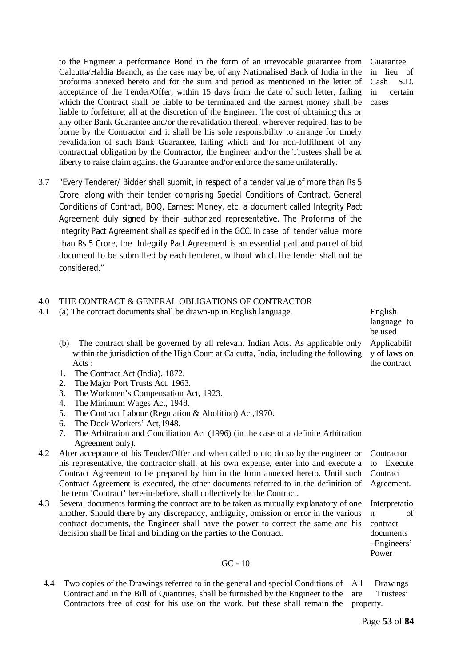to the Engineer a performance Bond in the form of an irrevocable guarantee from Calcutta/Haldia Branch, as the case may be, of any Nationalised Bank of India in the proforma annexed hereto and for the sum and period as mentioned in the letter of acceptance of the Tender/Offer, within 15 days from the date of such letter, failing which the Contract shall be liable to be terminated and the earnest money shall be liable to forfeiture; all at the discretion of the Engineer. The cost of obtaining this or any other Bank Guarantee and/or the revalidation thereof, wherever required, has to be borne by the Contractor and it shall be his sole responsibility to arrange for timely revalidation of such Bank Guarantee, failing which and for non-fulfilment of any contractual obligation by the Contractor, the Engineer and/or the Trustees shall be at liberty to raise claim against the Guarantee and/or enforce the same unilaterally.

3.7 "Every Tenderer/ Bidder shall submit, in respect of a tender value of more than Rs 5 Crore, along with their tender comprising Special Conditions of Contract, General Conditions of Contract, BOQ, Earnest Money, etc. a document called Integrity Pact Agreement duly signed by their authorized representative. The Proforma of the Integrity Pact Agreement shall as specified in the GCC. In case of tender value more than Rs 5 Crore, the Integrity Pact Agreement is an essential part and parcel of bid document to be submitted by each tenderer, without which the tender shall not be considered."

#### 4.0 THE CONTRACT & GENERAL OBLIGATIONS OF CONTRACTOR

- 4.1 (a) The contract documents shall be drawn-up in English language. English
	- (b) The contract shall be governed by all relevant Indian Acts. As applicable only within the jurisdiction of the High Court at Calcutta, India, including the following Acts :
	- 1. The Contract Act (India), 1872.
	- 2. The Major Port Trusts Act, 1963.
	- 3. The Workmen's Compensation Act, 1923.
	- 4. The Minimum Wages Act, 1948.
	- 5. The Contract Labour (Regulation & Abolition) Act,1970.
	- 6. The Dock Workers' Act,1948.
	- 7. The Arbitration and Conciliation Act (1996) (in the case of a definite Arbitration Agreement only).
- 4.2 After acceptance of his Tender/Offer and when called on to do so by the engineer or his representative, the contractor shall, at his own expense, enter into and execute a Contract Agreement to be prepared by him in the form annexed hereto. Until such Contract Agreement is executed, the other documents referred to in the definition of the term 'Contract' here-in-before, shall collectively be the Contract. **Contractor** to Execute **Contract** Agreement.
- 4.3 Several documents forming the contract are to be taken as mutually explanatory of one another. Should there by any discrepancy, ambiguity, omission or error in the various contract documents, the Engineer shall have the power to correct the same and his decision shall be final and binding on the parties to the Contract. Interpretatio n of contract documents
	- 4.4 Two copies of the Drawings referred to in the general and special Conditions of Contract and in the Bill of Quantities, shall be furnished by the Engineer to the Contractors free of cost for his use on the work, but these shall remain the are Trustees' property.

GC - 10

Guarantee in lieu of Cash S.D. in certain cases

language to be used Applicabilit y of laws on the contract

All Drawings

–Engineers' Power

Page **53** of **84**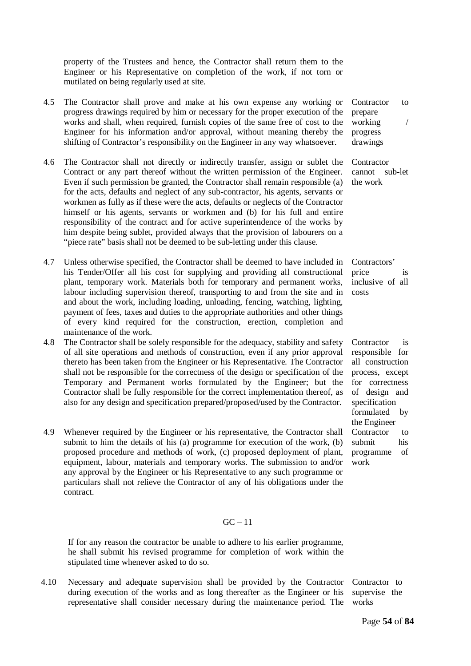property of the Trustees and hence, the Contractor shall return them to the Engineer or his Representative on completion of the work, if not torn or mutilated on being regularly used at site.

- 4.5 The Contractor shall prove and make at his own expense any working or progress drawings required by him or necessary for the proper execution of the works and shall, when required, furnish copies of the same free of cost to the Engineer for his information and/or approval, without meaning thereby the shifting of Contractor's responsibility on the Engineer in any way whatsoever.
- 4.6 The Contractor shall not directly or indirectly transfer, assign or sublet the Contract or any part thereof without the written permission of the Engineer. Even if such permission be granted, the Contractor shall remain responsible (a) for the acts, defaults and neglect of any sub-contractor, his agents, servants or workmen as fully as if these were the acts, defaults or neglects of the Contractor himself or his agents, servants or workmen and (b) for his full and entire responsibility of the contract and for active superintendence of the works by him despite being sublet, provided always that the provision of labourers on a "piece rate" basis shall not be deemed to be sub-letting under this clause.
- 4.7 Unless otherwise specified, the Contractor shall be deemed to have included in his Tender/Offer all his cost for supplying and providing all constructional plant, temporary work. Materials both for temporary and permanent works, labour including supervision thereof, transporting to and from the site and in and about the work, including loading, unloading, fencing, watching, lighting, payment of fees, taxes and duties to the appropriate authorities and other things of every kind required for the construction, erection, completion and maintenance of the work.
- 4.8 The Contractor shall be solely responsible for the adequacy, stability and safety of all site operations and methods of construction, even if any prior approval thereto has been taken from the Engineer or his Representative. The Contractor shall not be responsible for the correctness of the design or specification of the Temporary and Permanent works formulated by the Engineer; but the Contractor shall be fully responsible for the correct implementation thereof, as also for any design and specification prepared/proposed/used by the Contractor.
- 4.9 Whenever required by the Engineer or his representative, the Contractor shall submit to him the details of his (a) programme for execution of the work, (b) proposed procedure and methods of work, (c) proposed deployment of plant, equipment, labour, materials and temporary works. The submission to and/or any approval by the Engineer or his Representative to any such programme or particulars shall not relieve the Contractor of any of his obligations under the contract.

#### $GC - 11$

If for any reason the contractor be unable to adhere to his earlier programme, he shall submit his revised programme for completion of work within the stipulated time whenever asked to do so.

4.10 Necessary and adequate supervision shall be provided by the Contractor during execution of the works and as long thereafter as the Engineer or his representative shall consider necessary during the maintenance period. The

Contractor to prepare working / progress drawings

**Contractor** cannot sub-let the work

Contractors' price is inclusive of all costs

Contractor is responsible for all construction process, except for correctness of design and specification formulated by the Engineer Contractor to submit his programme of work

Contractor to supervise the works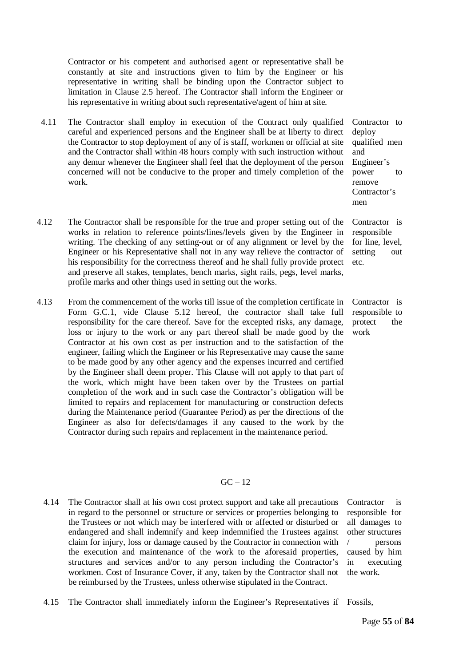Contractor or his competent and authorised agent or representative shall be constantly at site and instructions given to him by the Engineer or his representative in writing shall be binding upon the Contractor subject to limitation in Clause 2.5 hereof. The Contractor shall inform the Engineer or his representative in writing about such representative/agent of him at site.

- 4.11 The Contractor shall employ in execution of the Contract only qualified careful and experienced persons and the Engineer shall be at liberty to direct the Contractor to stop deployment of any of is staff, workmen or official at site and the Contractor shall within 48 hours comply with such instruction without any demur whenever the Engineer shall feel that the deployment of the person concerned will not be conducive to the proper and timely completion of the work.
- 4.12 The Contractor shall be responsible for the true and proper setting out of the works in relation to reference points/lines/levels given by the Engineer in writing. The checking of any setting-out or of any alignment or level by the Engineer or his Representative shall not in any way relieve the contractor of his responsibility for the correctness thereof and he shall fully provide protect and preserve all stakes, templates, bench marks, sight rails, pegs, level marks, profile marks and other things used in setting out the works.
- 4.13 From the commencement of the works till issue of the completion certificate in Form G.C.1, vide Clause 5.12 hereof, the contractor shall take full responsibility for the care thereof. Save for the excepted risks, any damage, loss or injury to the work or any part thereof shall be made good by the Contractor at his own cost as per instruction and to the satisfaction of the engineer, failing which the Engineer or his Representative may cause the same to be made good by any other agency and the expenses incurred and certified by the Engineer shall deem proper. This Clause will not apply to that part of the work, which might have been taken over by the Trustees on partial completion of the work and in such case the Contractor's obligation will be limited to repairs and replacement for manufacturing or construction defects during the Maintenance period (Guarantee Period) as per the directions of the Engineer as also for defects/damages if any caused to the work by the Contractor during such repairs and replacement in the maintenance period.

#### $GC - 12$

4.14 The Contractor shall at his own cost protect support and take all precautions in regard to the personnel or structure or services or properties belonging to the Trustees or not which may be interfered with or affected or disturbed or endangered and shall indemnify and keep indemnified the Trustees against claim for injury, loss or damage caused by the Contractor in connection with the execution and maintenance of the work to the aforesaid properties, structures and services and/or to any person including the Contractor's workmen. Cost of Insurance Cover, if any, taken by the Contractor shall not be reimbursed by the Trustees, unless otherwise stipulated in the Contract.

Contractor is responsible for all damages to other structures / persons caused by him in executing the work.

4.15 The Contractor shall immediately inform the Engineer's Representatives if Fossils,

deploy qualified men and Engineer's power to remove Contractor's men

Contractor to

Contractor is responsible for line, level, setting out etc.

Contractor is responsible to protect the work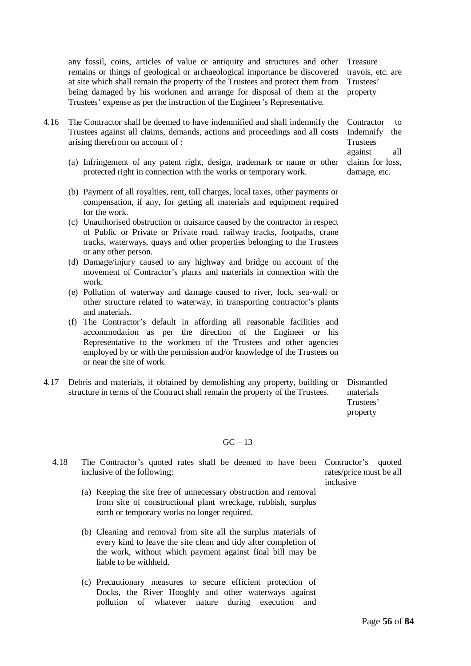any fossil, coins, articles of value or antiquity and structures and other remains or things of geological or archaeological importance be discovered at site which shall remain the property of the Trustees and protect them from being damaged by his workmen and arrange for disposal of them at the Trustees' expense as per the instruction of the Engineer's Representative.

Treasure travois, etc. are Trustees' property

- 4.16 The Contractor shall be deemed to have indemnified and shall indemnify the Trustees against all claims, demands, actions and proceedings and all costs arising therefrom on account of :
	- (a) Infringement of any patent right, design, trademark or name or other protected right in connection with the works or temporary work.
	- (b) Payment of all royalties, rent, toll charges, local taxes, other payments or compensation, if any, for getting all materials and equipment required for the work.
	- (c) Unauthorised obstruction or nuisance caused by the contractor in respect of Public or Private or Private road, railway tracks, footpaths, crane tracks, waterways, quays and other properties belonging to the Trustees or any other person.
	- (d) Damage/injury caused to any highway and bridge on account of the movement of Contractor's plants and materials in connection with the work.
	- (e) Pollution of waterway and damage caused to river, lock, sea-wall or other structure related to waterway, in transporting contractor's plants and materials.
	- (f) The Contractor's default in affording all reasonable facilities and accommodation as per the direction of the Engineer or his Representative to the workmen of the Trustees and other agencies employed by or with the permission and/or knowledge of the Trustees on or near the site of work.
- 4.17 Debris and materials, if obtained by demolishing any property, building or structure in terms of the Contract shall remain the property of the Trustees.

Dismantled materials Trustees' property

#### $GC - 13$

| 4.18 | The Contractor's quoted rates shall be deemed to have been Contractor's<br>inclusive of the following:                                                                                                                    | quoted<br>rates/price must be all<br>inclusive |
|------|---------------------------------------------------------------------------------------------------------------------------------------------------------------------------------------------------------------------------|------------------------------------------------|
|      | (a) Keeping the site free of unnecessary obstruction and removal<br>from site of constructional plant wreckage, rubbish, surplus<br>earth or temporary works no longer required.                                          |                                                |
|      | (b) Cleaning and removal from site all the surplus materials of<br>every kind to leave the site clean and tidy after completion of<br>the work, without which payment against final bill may be<br>liable to be withheld. |                                                |
|      | (c) Precautionary measures to secure efficient protection of                                                                                                                                                              |                                                |

Docks, the River Hooghly and other waterways against pollution of whatever nature during execution and Indemnify the **Trustees** against all claims for loss, damage, etc.

Contractor to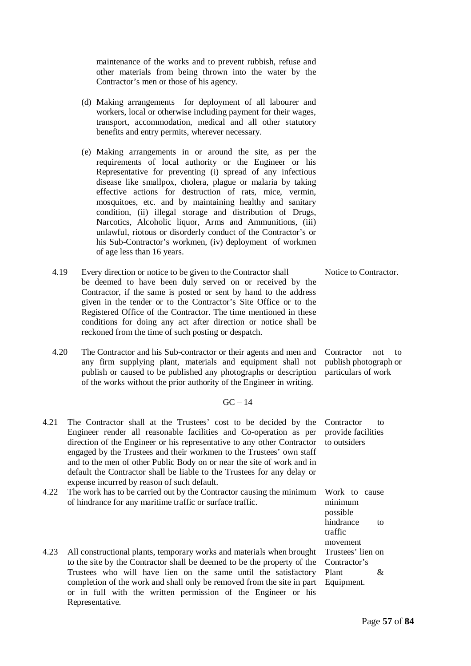maintenance of the works and to prevent rubbish, refuse and other materials from being thrown into the water by the Contractor's men or those of his agency.

- (d) Making arrangements for deployment of all labourer and workers, local or otherwise including payment for their wages, transport, accommodation, medical and all other statutory benefits and entry permits, wherever necessary.
- (e) Making arrangements in or around the site, as per the requirements of local authority or the Engineer or his Representative for preventing (i) spread of any infectious disease like smallpox, cholera, plague or malaria by taking effective actions for destruction of rats, mice, vermin, mosquitoes, etc. and by maintaining healthy and sanitary condition, (ii) illegal storage and distribution of Drugs, Narcotics, Alcoholic liquor, Arms and Ammunitions, (iii) unlawful, riotous or disorderly conduct of the Contractor's or his Sub-Contractor's workmen, (iv) deployment of workmen of age less than 16 years.
- 4.19 Every direction or notice to be given to the Contractor shall be deemed to have been duly served on or received by the Contractor, if the same is posted or sent by hand to the address given in the tender or to the Contractor's Site Office or to the Registered Office of the Contractor. The time mentioned in these conditions for doing any act after direction or notice shall be reckoned from the time of such posting or despatch. Notice to Contractor.
- 4.20 The Contractor and his Sub-contractor or their agents and men and any firm supplying plant, materials and equipment shall not publish or caused to be published any photographs or description of the works without the prior authority of the Engineer in writing.

#### $GC - 14$

- 4.21 The Contractor shall at the Trustees' cost to be decided by the Engineer render all reasonable facilities and Co-operation as per direction of the Engineer or his representative to any other Contractor engaged by the Trustees and their workmen to the Trustees' own staff and to the men of other Public Body on or near the site of work and in default the Contractor shall be liable to the Trustees for any delay or expense incurred by reason of such default.
- 4.22 The work has to be carried out by the Contractor causing the minimum of hindrance for any maritime traffic or surface traffic.
- 4.23 All constructional plants, temporary works and materials when brought to the site by the Contractor shall be deemed to be the property of the Trustees who will have lien on the same until the satisfactory completion of the work and shall only be removed from the site in part or in full with the written permission of the Engineer or his Representative.

Contractor not to publish photograph or particulars of work

Contractor to provide facilities to outsiders

Work to cause minimum possible hindrance to traffic movement Trustees' lien on Contractor's Plant & Equipment.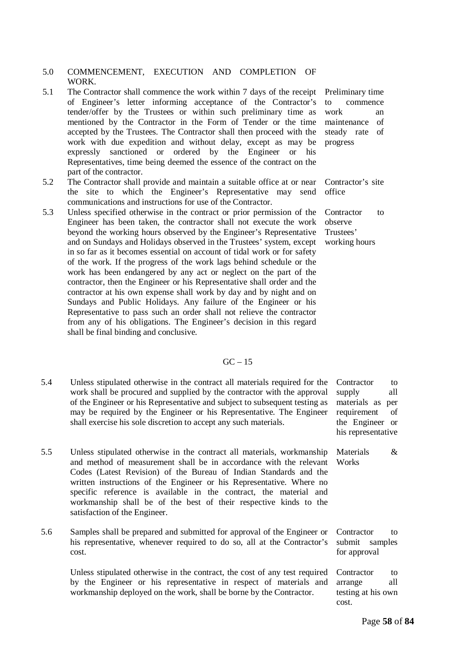#### 5.0 COMMENCEMENT, EXECUTION AND COMPLETION OF WORK.

- 5.1 The Contractor shall commence the work within 7 days of the receipt of Engineer's letter informing acceptance of the Contractor's tender/offer by the Trustees or within such preliminary time as mentioned by the Contractor in the Form of Tender or the time accepted by the Trustees. The Contractor shall then proceed with the work with due expedition and without delay, except as may be expressly sanctioned or ordered by the Engineer or his Representatives, time being deemed the essence of the contract on the part of the contractor.
- 5.2 The Contractor shall provide and maintain a suitable office at or near the site to which the Engineer's Representative may send communications and instructions for use of the Contractor.
- 5.3 Unless specified otherwise in the contract or prior permission of the Engineer has been taken, the contractor shall not execute the work beyond the working hours observed by the Engineer's Representative and on Sundays and Holidays observed in the Trustees' system, except in so far as it becomes essential on account of tidal work or for safety of the work. If the progress of the work lags behind schedule or the work has been endangered by any act or neglect on the part of the contractor, then the Engineer or his Representative shall order and the contractor at his own expense shall work by day and by night and on Sundays and Public Holidays. Any failure of the Engineer or his Representative to pass such an order shall not relieve the contractor from any of his obligations. The Engineer's decision in this regard shall be final binding and conclusive.

Preliminary time to commence work an maintenance of steady rate of progress

Contractor's site office

Contractor to observe Trustees' working hours

#### $GC - 15$

| 5.4 | Unless stipulated otherwise in the contract all materials required for the<br>work shall be procured and supplied by the contractor with the approval<br>of the Engineer or his Representative and subject to subsequent testing as<br>may be required by the Engineer or his Representative. The Engineer<br>shall exercise his sole discretion to accept any such materials.                                                                                       | Contractor<br>to<br>all<br>supply<br>materials as<br>per<br>of<br>requirement<br>the Engineer or<br>his representative |
|-----|----------------------------------------------------------------------------------------------------------------------------------------------------------------------------------------------------------------------------------------------------------------------------------------------------------------------------------------------------------------------------------------------------------------------------------------------------------------------|------------------------------------------------------------------------------------------------------------------------|
| 5.5 | Unless stipulated otherwise in the contract all materials, workmanship<br>and method of measurement shall be in accordance with the relevant<br>Codes (Latest Revision) of the Bureau of Indian Standards and the<br>written instructions of the Engineer or his Representative. Where no<br>specific reference is available in the contract, the material and<br>workmanship shall be of the best of their respective kinds to the<br>satisfaction of the Engineer. | $\&$<br>Materials<br>Works                                                                                             |
| 5.6 | Samples shall be prepared and submitted for approval of the Engineer or<br>his representative, whenever required to do so, all at the Contractor's<br>cost.                                                                                                                                                                                                                                                                                                          | Contractor<br>to<br>submit<br>samples<br>for approval                                                                  |

Unless stipulated otherwise in the contract, the cost of any test required by the Engineer or his representative in respect of materials and workmanship deployed on the work, shall be borne by the Contractor. Contractor to arrange all testing at his own cost.

Page **58** of **84**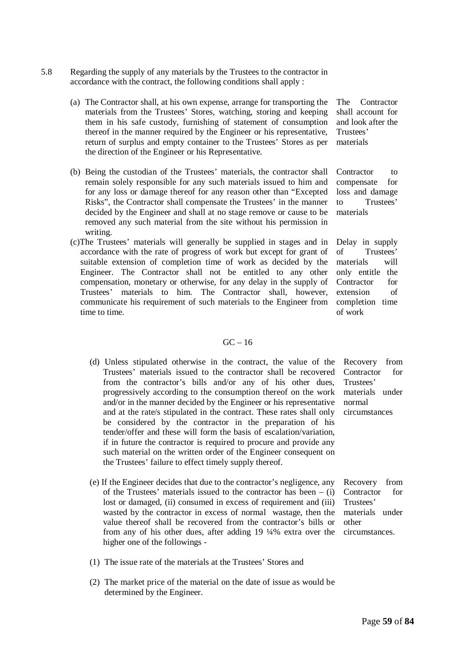- 5.8 Regarding the supply of any materials by the Trustees to the contractor in accordance with the contract, the following conditions shall apply :
	- (a) The Contractor shall, at his own expense, arrange for transporting the materials from the Trustees' Stores, watching, storing and keeping them in his safe custody, furnishing of statement of consumption thereof in the manner required by the Engineer or his representative, return of surplus and empty container to the Trustees' Stores as per the direction of the Engineer or his Representative.
	- (b) Being the custodian of the Trustees' materials, the contractor shall remain solely responsible for any such materials issued to him and for any loss or damage thereof for any reason other than "Excepted Risks", the Contractor shall compensate the Trustees' in the manner decided by the Engineer and shall at no stage remove or cause to be removed any such material from the site without his permission in writing.
	- (c)The Trustees' materials will generally be supplied in stages and in accordance with the rate of progress of work but except for grant of suitable extension of completion time of work as decided by the Engineer. The Contractor shall not be entitled to any other compensation, monetary or otherwise, for any delay in the supply of Trustees' materials to him. The Contractor shall, however, communicate his requirement of such materials to the Engineer from time to time.

#### The Contractor shall account for and look after the Trustees' materials

Contractor to compensate for loss and damage to Trustees' materials

Delay in supply of Trustees' materials will only entitle the Contractor for extension of completion time of work

#### $GC - 16$

- (d) Unless stipulated otherwise in the contract, the value of the Trustees' materials issued to the contractor shall be recovered from the contractor's bills and/or any of his other dues, progressively according to the consumption thereof on the work and/or in the manner decided by the Engineer or his representative and at the rate/s stipulated in the contract. These rates shall only be considered by the contractor in the preparation of his tender/offer and these will form the basis of escalation/variation, if in future the contractor is required to procure and provide any such material on the written order of the Engineer consequent on the Trustees' failure to effect timely supply thereof.
- Recovery from Contractor for Trustees' materials under normal circumstances

(e) If the Engineer decides that due to the contractor's negligence, any of the Trustees' materials issued to the contractor has been  $-$  (i) lost or damaged, (ii) consumed in excess of requirement and (iii) wasted by the contractor in excess of normal wastage, then the value thereof shall be recovered from the contractor's bills or from any of his other dues, after adding 19 ¼% extra over the higher one of the followings - Recovery from Contractor for Trustees' materials under other circumstances.

- (1) The issue rate of the materials at the Trustees' Stores and
- (2) The market price of the material on the date of issue as would be determined by the Engineer.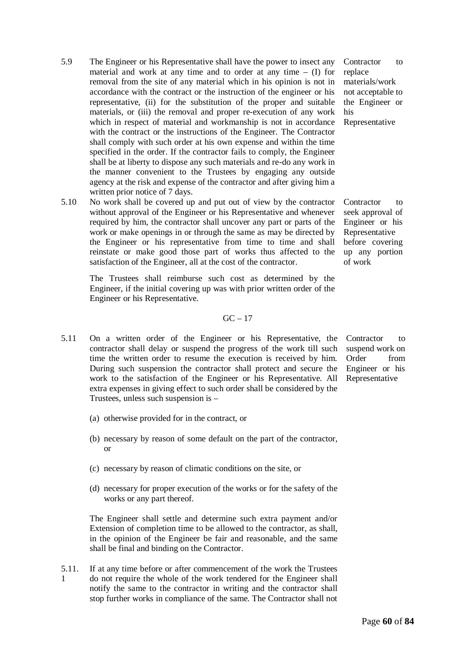- 5.9 The Engineer or his Representative shall have the power to insect any material and work at any time and to order at any time  $-$  (I) for removal from the site of any material which in his opinion is not in accordance with the contract or the instruction of the engineer or his representative, (ii) for the substitution of the proper and suitable materials, or (iii) the removal and proper re-execution of any work which in respect of material and workmanship is not in accordance with the contract or the instructions of the Engineer. The Contractor shall comply with such order at his own expense and within the time specified in the order. If the contractor fails to comply, the Engineer shall be at liberty to dispose any such materials and re-do any work in the manner convenient to the Trustees by engaging any outside agency at the risk and expense of the contractor and after giving him a written prior notice of 7 days.
- 5.10 No work shall be covered up and put out of view by the contractor without approval of the Engineer or his Representative and whenever required by him, the contractor shall uncover any part or parts of the work or make openings in or through the same as may be directed by the Engineer or his representative from time to time and shall reinstate or make good those part of works thus affected to the satisfaction of the Engineer, all at the cost of the contractor.

The Trustees shall reimburse such cost as determined by the Engineer, if the initial covering up was with prior written order of the Engineer or his Representative.

#### $GC - 17$

- 5.11 On a written order of the Engineer or his Representative, the contractor shall delay or suspend the progress of the work till such time the written order to resume the execution is received by him. During such suspension the contractor shall protect and secure the work to the satisfaction of the Engineer or his Representative. All extra expenses in giving effect to such order shall be considered by the Trustees, unless such suspension is –
	- (a) otherwise provided for in the contract, or
	- (b) necessary by reason of some default on the part of the contractor, or
	- (c) necessary by reason of climatic conditions on the site, or
	- (d) necessary for proper execution of the works or for the safety of the works or any part thereof.

The Engineer shall settle and determine such extra payment and/or Extension of completion time to be allowed to the contractor, as shall, in the opinion of the Engineer be fair and reasonable, and the same shall be final and binding on the Contractor.

5.11. 1 If at any time before or after commencement of the work the Trustees do not require the whole of the work tendered for the Engineer shall notify the same to the contractor in writing and the contractor shall stop further works in compliance of the same. The Contractor shall not

Contractor to replace materials/work not acceptable to the Engineer or his Representative

Contractor to seek approval of Engineer or his Representative before covering up any portion of work

Contractor to suspend work on Order from Engineer or his Representative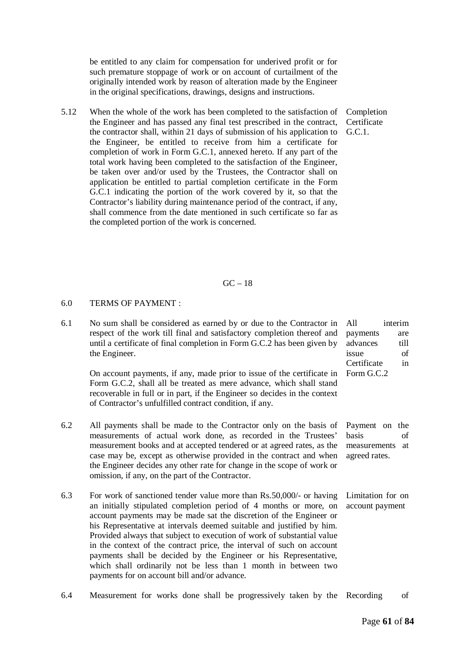be entitled to any claim for compensation for underived profit or for such premature stoppage of work or on account of curtailment of the originally intended work by reason of alteration made by the Engineer in the original specifications, drawings, designs and instructions.

5.12 When the whole of the work has been completed to the satisfaction of the Engineer and has passed any final test prescribed in the contract, the contractor shall, within 21 days of submission of his application to the Engineer, be entitled to receive from him a certificate for completion of work in Form G.C.1, annexed hereto. If any part of the total work having been completed to the satisfaction of the Engineer, be taken over and/or used by the Trustees, the Contractor shall on application be entitled to partial completion certificate in the Form G.C.1 indicating the portion of the work covered by it, so that the Contractor's liability during maintenance period of the contract, if any, shall commence from the date mentioned in such certificate so far as the completed portion of the work is concerned.

Completion **Certificate**  $G.C.1$ 

#### $GC = 18$

#### 6.0 TERMS OF PAYMENT :

6.1 No sum shall be considered as earned by or due to the Contractor in respect of the work till final and satisfactory completion thereof and until a certificate of final completion in Form G.C.2 has been given by the Engineer. All interim payments are advances till issue of

On account payments, if any, made prior to issue of the certificate in Form G.C.2, shall all be treated as mere advance, which shall stand recoverable in full or in part, if the Engineer so decides in the context of Contractor's unfulfilled contract condition, if any.

- 6.2 All payments shall be made to the Contractor only on the basis of measurements of actual work done, as recorded in the Trustees' measurement books and at accepted tendered or at agreed rates, as the case may be, except as otherwise provided in the contract and when the Engineer decides any other rate for change in the scope of work or omission, if any, on the part of the Contractor.
- 6.3 For work of sanctioned tender value more than Rs.50,000/- or having an initially stipulated completion period of 4 months or more, on account payments may be made sat the discretion of the Engineer or his Representative at intervals deemed suitable and justified by him. Provided always that subject to execution of work of substantial value in the context of the contract price, the interval of such on account payments shall be decided by the Engineer or his Representative, which shall ordinarily not be less than 1 month in between two payments for on account bill and/or advance.
- 6.4 Measurement for works done shall be progressively taken by the Recording of

Payment on the

Certificate in Form G.C.2

basis of measurements at agreed rates.

Limitation for on account payment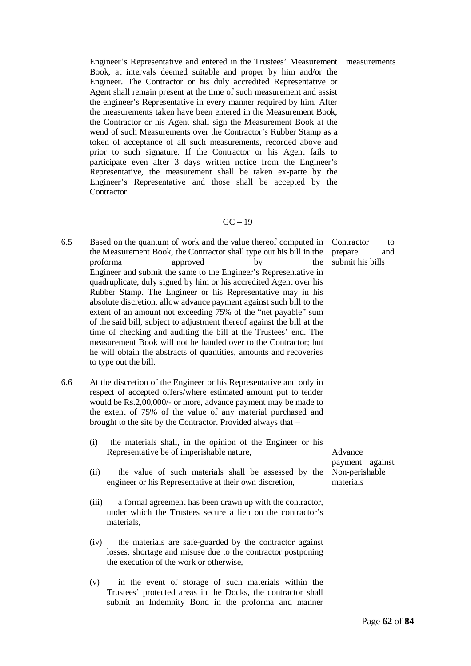Engineer's Representative and entered in the Trustees' Measurement measurements Book, at intervals deemed suitable and proper by him and/or the Engineer. The Contractor or his duly accredited Representative or Agent shall remain present at the time of such measurement and assist the engineer's Representative in every manner required by him. After the measurements taken have been entered in the Measurement Book, the Contractor or his Agent shall sign the Measurement Book at the wend of such Measurements over the Contractor's Rubber Stamp as a token of acceptance of all such measurements, recorded above and prior to such signature. If the Contractor or his Agent fails to participate even after 3 days written notice from the Engineer's Representative, the measurement shall be taken ex-parte by the Engineer's Representative and those shall be accepted by the Contractor.

#### $GC - 19$

- 6.5 Based on the quantum of work and the value thereof computed in the Measurement Book, the Contractor shall type out his bill in the proforma approved by the Engineer and submit the same to the Engineer's Representative in quadruplicate, duly signed by him or his accredited Agent over his Rubber Stamp. The Engineer or his Representative may in his absolute discretion, allow advance payment against such bill to the extent of an amount not exceeding 75% of the "net payable" sum of the said bill, subject to adjustment thereof against the bill at the time of checking and auditing the bill at the Trustees' end. The measurement Book will not be handed over to the Contractor; but he will obtain the abstracts of quantities, amounts and recoveries to type out the bill.
- 6.6 At the discretion of the Engineer or his Representative and only in respect of accepted offers/where estimated amount put to tender would be Rs.2,00,000/- or more, advance payment may be made to the extent of 75% of the value of any material purchased and brought to the site by the Contractor. Provided always that –
	- (i) the materials shall, in the opinion of the Engineer or his Representative be of imperishable nature,
	- (ii) the value of such materials shall be assessed by the engineer or his Representative at their own discretion,
	- (iii) a formal agreement has been drawn up with the contractor, under which the Trustees secure a lien on the contractor's materials,
	- (iv) the materials are safe-guarded by the contractor against losses, shortage and misuse due to the contractor postponing the execution of the work or otherwise,
	- (v) in the event of storage of such materials within the Trustees' protected areas in the Docks, the contractor shall submit an Indemnity Bond in the proforma and manner

Contractor to prepare and submit his bills

Advance payment against Non-perishable materials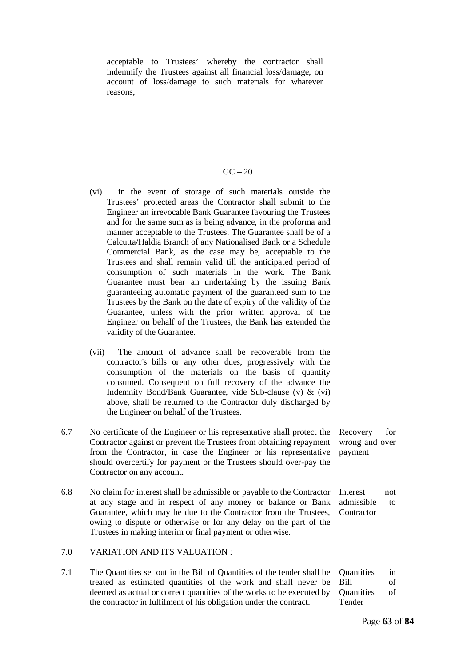acceptable to Trustees' whereby the contractor shall indemnify the Trustees against all financial loss/damage, on account of loss/damage to such materials for whatever reasons,

#### $GC - 20$

- (vi) in the event of storage of such materials outside the Trustees' protected areas the Contractor shall submit to the Engineer an irrevocable Bank Guarantee favouring the Trustees and for the same sum as is being advance, in the proforma and manner acceptable to the Trustees. The Guarantee shall be of a Calcutta/Haldia Branch of any Nationalised Bank or a Schedule Commercial Bank, as the case may be, acceptable to the Trustees and shall remain valid till the anticipated period of consumption of such materials in the work. The Bank Guarantee must bear an undertaking by the issuing Bank guaranteeing automatic payment of the guaranteed sum to the Trustees by the Bank on the date of expiry of the validity of the Guarantee, unless with the prior written approval of the Engineer on behalf of the Trustees, the Bank has extended the validity of the Guarantee.
- (vii) The amount of advance shall be recoverable from the contractor's bills or any other dues, progressively with the consumption of the materials on the basis of quantity consumed. Consequent on full recovery of the advance the Indemnity Bond/Bank Guarantee, vide Sub-clause (v) & (vi) above, shall be returned to the Contractor duly discharged by the Engineer on behalf of the Trustees.
- 6.7 No certificate of the Engineer or his representative shall protect the Contractor against or prevent the Trustees from obtaining repayment from the Contractor, in case the Engineer or his representative should overcertify for payment or the Trustees should over-pay the Contractor on any account. payment
- 6.8 No claim for interest shall be admissible or payable to the Contractor at any stage and in respect of any money or balance or Bank Guarantee, which may be due to the Contractor from the Trustees, owing to dispute or otherwise or for any delay on the part of the Trustees in making interim or final payment or otherwise.

#### 7.0 VARIATION AND ITS VALUATION :

7.1 The Quantities set out in the Bill of Quantities of the tender shall be treated as estimated quantities of the work and shall never be deemed as actual or correct quantities of the works to be executed by the contractor in fulfilment of his obligation under the contract. Quantities in Bill of Quantities of Tender

Recovery for wrong and over

Interest not admissible to **Contractor**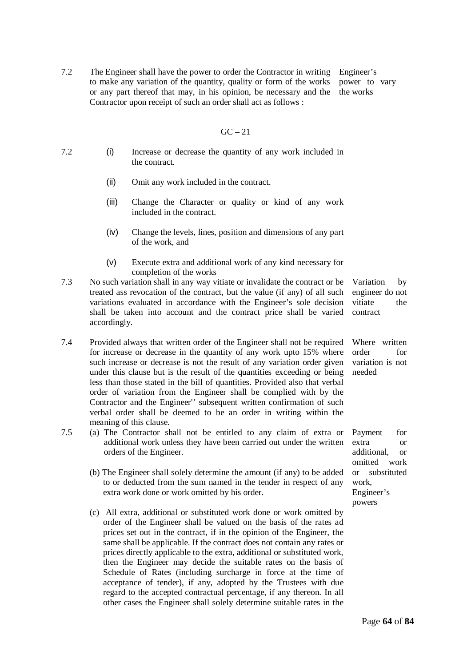7.2 The Engineer shall have the power to order the Contractor in writing to make any variation of the quantity, quality or form of the works or any part thereof that may, in his opinion, be necessary and the Contractor upon receipt of such an order shall act as follows : Engineer's

#### $GC - 21$

- 7.2 (i) Increase or decrease the quantity of any work included in the contract.
	- (ii) Omit any work included in the contract.
	- (iii) Change the Character or quality or kind of any work included in the contract.
	- (iv) Change the levels, lines, position and dimensions of any part of the work, and
	- (v) Execute extra and additional work of any kind necessary for completion of the works
- 7.3 No such variation shall in any way vitiate or invalidate the contract or be treated ass revocation of the contract, but the value (if any) of all such variations evaluated in accordance with the Engineer's sole decision shall be taken into account and the contract price shall be varied accordingly.
- 7.4 Provided always that written order of the Engineer shall not be required for increase or decrease in the quantity of any work upto 15% where such increase or decrease is not the result of any variation order given under this clause but is the result of the quantities exceeding or being less than those stated in the bill of quantities. Provided also that verbal order of variation from the Engineer shall be complied with by the Contractor and the Engineer'' subsequent written confirmation of such verbal order shall be deemed to be an order in writing within the meaning of this clause.
- 7.5 (a) The Contractor shall not be entitled to any claim of extra or additional work unless they have been carried out under the written orders of the Engineer.
	- (b) The Engineer shall solely determine the amount (if any) to be added to or deducted from the sum named in the tender in respect of any extra work done or work omitted by his order.
	- (c) All extra, additional or substituted work done or work omitted by order of the Engineer shall be valued on the basis of the rates ad prices set out in the contract, if in the opinion of the Engineer, the same shall be applicable. If the contract does not contain any rates or prices directly applicable to the extra, additional or substituted work, then the Engineer may decide the suitable rates on the basis of Schedule of Rates (including surcharge in force at the time of acceptance of tender), if any, adopted by the Trustees with due regard to the accepted contractual percentage, if any thereon. In all other cases the Engineer shall solely determine suitable rates in the

Variation by engineer do not vitiate the contract

Where written order for variation is not needed

Payment for extra or additional, or omitted work or substituted work, Engineer's powers

power to vary the works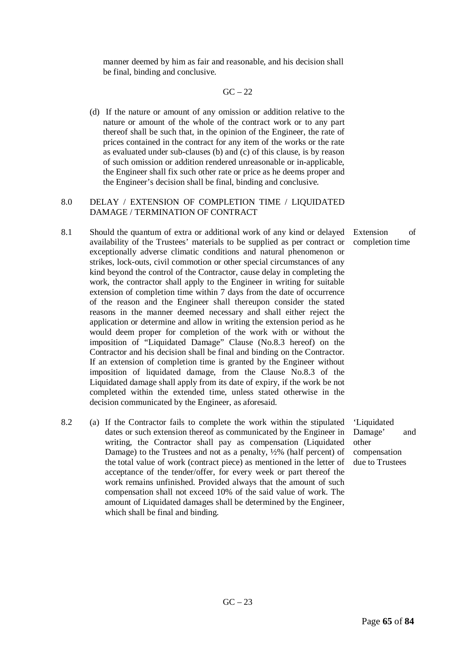manner deemed by him as fair and reasonable, and his decision shall be final, binding and conclusive.

#### $GC - 22$

(d) If the nature or amount of any omission or addition relative to the nature or amount of the whole of the contract work or to any part thereof shall be such that, in the opinion of the Engineer, the rate of prices contained in the contract for any item of the works or the rate as evaluated under sub-clauses (b) and (c) of this clause, is by reason of such omission or addition rendered unreasonable or in-applicable, the Engineer shall fix such other rate or price as he deems proper and the Engineer's decision shall be final, binding and conclusive.

#### 8.0 DELAY / EXTENSION OF COMPLETION TIME / LIQUIDATED DAMAGE / TERMINATION OF CONTRACT

- 8.1 Should the quantum of extra or additional work of any kind or delayed availability of the Trustees' materials to be supplied as per contract or exceptionally adverse climatic conditions and natural phenomenon or strikes, lock-outs, civil commotion or other special circumstances of any kind beyond the control of the Contractor, cause delay in completing the work, the contractor shall apply to the Engineer in writing for suitable extension of completion time within 7 days from the date of occurrence of the reason and the Engineer shall thereupon consider the stated reasons in the manner deemed necessary and shall either reject the application or determine and allow in writing the extension period as he would deem proper for completion of the work with or without the imposition of "Liquidated Damage" Clause (No.8.3 hereof) on the Contractor and his decision shall be final and binding on the Contractor. If an extension of completion time is granted by the Engineer without imposition of liquidated damage, from the Clause No.8.3 of the Liquidated damage shall apply from its date of expiry, if the work be not completed within the extended time, unless stated otherwise in the decision communicated by the Engineer, as aforesaid.
- 8.2 (a) If the Contractor fails to complete the work within the stipulated dates or such extension thereof as communicated by the Engineer in writing, the Contractor shall pay as compensation (Liquidated Damage) to the Trustees and not as a penalty, ½% (half percent) of the total value of work (contract piece) as mentioned in the letter of acceptance of the tender/offer, for every week or part thereof the work remains unfinished. Provided always that the amount of such compensation shall not exceed 10% of the said value of work. The amount of Liquidated damages shall be determined by the Engineer, which shall be final and binding.

'Liquidated Damage' and other compensation due to Trustees

 $GC - 23$ 

Extension of completion time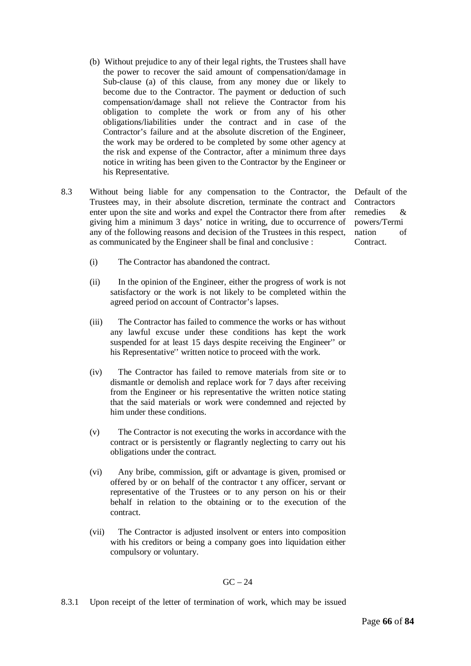- (b) Without prejudice to any of their legal rights, the Trustees shall have the power to recover the said amount of compensation/damage in Sub-clause (a) of this clause, from any money due or likely to become due to the Contractor. The payment or deduction of such compensation/damage shall not relieve the Contractor from his obligation to complete the work or from any of his other obligations/liabilities under the contract and in case of the Contractor's failure and at the absolute discretion of the Engineer, the work may be ordered to be completed by some other agency at the risk and expense of the Contractor, after a minimum three days notice in writing has been given to the Contractor by the Engineer or his Representative.
- 8.3 Without being liable for any compensation to the Contractor, the Default of the Trustees may, in their absolute discretion, terminate the contract and enter upon the site and works and expel the Contractor there from after giving him a minimum 3 days' notice in writing, due to occurrence of any of the following reasons and decision of the Trustees in this respect, as communicated by the Engineer shall be final and conclusive :

**Contractors** remedies & powers/Termi nation of Contract.

- (i) The Contractor has abandoned the contract.
- (ii) In the opinion of the Engineer, either the progress of work is not satisfactory or the work is not likely to be completed within the agreed period on account of Contractor's lapses.
- (iii) The Contractor has failed to commence the works or has without any lawful excuse under these conditions has kept the work suspended for at least 15 days despite receiving the Engineer'' or his Representative'' written notice to proceed with the work.
- (iv) The Contractor has failed to remove materials from site or to dismantle or demolish and replace work for 7 days after receiving from the Engineer or his representative the written notice stating that the said materials or work were condemned and rejected by him under these conditions.
- (v) The Contractor is not executing the works in accordance with the contract or is persistently or flagrantly neglecting to carry out his obligations under the contract.
- (vi) Any bribe, commission, gift or advantage is given, promised or offered by or on behalf of the contractor t any officer, servant or representative of the Trustees or to any person on his or their behalf in relation to the obtaining or to the execution of the contract.
- (vii) The Contractor is adjusted insolvent or enters into composition with his creditors or being a company goes into liquidation either compulsory or voluntary.

#### $GC - 24$

8.3.1 Upon receipt of the letter of termination of work, which may be issued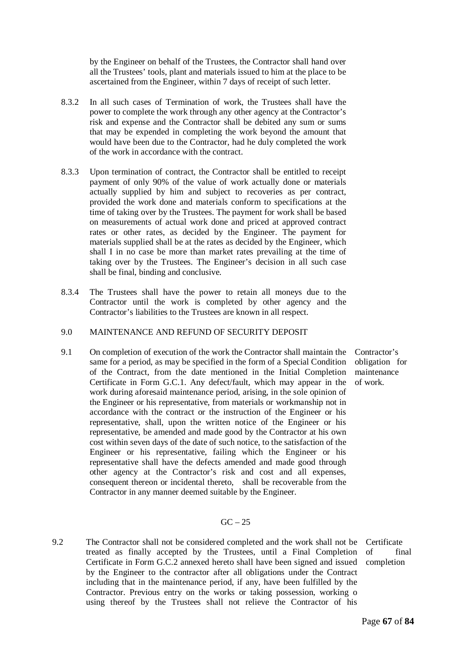by the Engineer on behalf of the Trustees, the Contractor shall hand over all the Trustees' tools, plant and materials issued to him at the place to be ascertained from the Engineer, within 7 days of receipt of such letter.

- 8.3.2 In all such cases of Termination of work, the Trustees shall have the power to complete the work through any other agency at the Contractor's risk and expense and the Contractor shall be debited any sum or sums that may be expended in completing the work beyond the amount that would have been due to the Contractor, had he duly completed the work of the work in accordance with the contract.
- 8.3.3 Upon termination of contract, the Contractor shall be entitled to receipt payment of only 90% of the value of work actually done or materials actually supplied by him and subject to recoveries as per contract, provided the work done and materials conform to specifications at the time of taking over by the Trustees. The payment for work shall be based on measurements of actual work done and priced at approved contract rates or other rates, as decided by the Engineer. The payment for materials supplied shall be at the rates as decided by the Engineer, which shall I in no case be more than market rates prevailing at the time of taking over by the Trustees. The Engineer's decision in all such case shall be final, binding and conclusive.
- 8.3.4 The Trustees shall have the power to retain all moneys due to the Contractor until the work is completed by other agency and the Contractor's liabilities to the Trustees are known in all respect.
- 9.0 MAINTENANCE AND REFUND OF SECURITY DEPOSIT
- 9.1 On completion of execution of the work the Contractor shall maintain the same for a period, as may be specified in the form of a Special Condition of the Contract, from the date mentioned in the Initial Completion Certificate in Form G.C.1. Any defect/fault, which may appear in the work during aforesaid maintenance period, arising, in the sole opinion of the Engineer or his representative, from materials or workmanship not in accordance with the contract or the instruction of the Engineer or his representative, shall, upon the written notice of the Engineer or his representative, be amended and made good by the Contractor at his own cost within seven days of the date of such notice, to the satisfaction of the Engineer or his representative, failing which the Engineer or his representative shall have the defects amended and made good through other agency at the Contractor's risk and cost and all expenses, consequent thereon or incidental thereto, shall be recoverable from the Contractor in any manner deemed suitable by the Engineer.
- Contractor's obligation for maintenance of work.

#### $GC - 25$

9.2 The Contractor shall not be considered completed and the work shall not be treated as finally accepted by the Trustees, until a Final Completion Certificate in Form G.C.2 annexed hereto shall have been signed and issued by the Engineer to the contractor after all obligations under the Contract including that in the maintenance period, if any, have been fulfilled by the Contractor. Previous entry on the works or taking possession, working o using thereof by the Trustees shall not relieve the Contractor of his

**Certificate** of final completion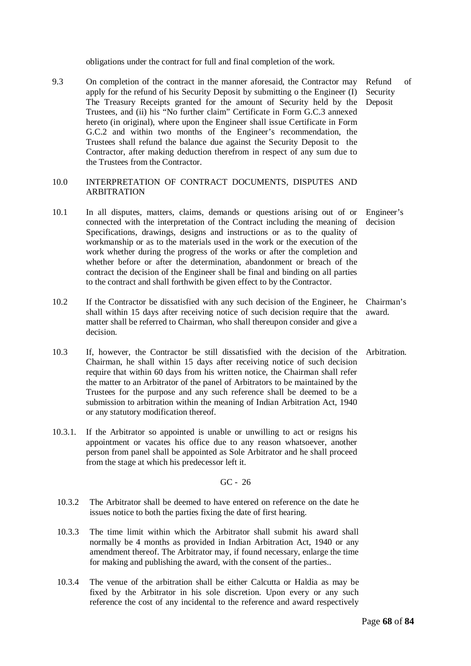obligations under the contract for full and final completion of the work.

9.3 On completion of the contract in the manner aforesaid, the Contractor may apply for the refund of his Security Deposit by submitting o the Engineer (I) The Treasury Receipts granted for the amount of Security held by the Trustees, and (ii) his "No further claim" Certificate in Form G.C.3 annexed hereto (in original), where upon the Engineer shall issue Certificate in Form G.C.2 and within two months of the Engineer's recommendation, the Trustees shall refund the balance due against the Security Deposit to the Contractor, after making deduction therefrom in respect of any sum due to the Trustees from the Contractor. Refund of Security

#### 10.0 INTERPRETATION OF CONTRACT DOCUMENTS, DISPUTES AND ARBITRATION

- 10.1 In all disputes, matters, claims, demands or questions arising out of or connected with the interpretation of the Contract including the meaning of Specifications, drawings, designs and instructions or as to the quality of workmanship or as to the materials used in the work or the execution of the work whether during the progress of the works or after the completion and whether before or after the determination, abandonment or breach of the contract the decision of the Engineer shall be final and binding on all parties to the contract and shall forthwith be given effect to by the Contractor. Engineer's decision
- 10.2 If the Contractor be dissatisfied with any such decision of the Engineer, he shall within 15 days after receiving notice of such decision require that the matter shall be referred to Chairman, who shall thereupon consider and give a decision. Chairman's award.
- 10.3 If, however, the Contractor be still dissatisfied with the decision of the Arbitration. Chairman, he shall within 15 days after receiving notice of such decision require that within 60 days from his written notice, the Chairman shall refer the matter to an Arbitrator of the panel of Arbitrators to be maintained by the Trustees for the purpose and any such reference shall be deemed to be a submission to arbitration within the meaning of Indian Arbitration Act, 1940 or any statutory modification thereof.
- 10.3.1. If the Arbitrator so appointed is unable or unwilling to act or resigns his appointment or vacates his office due to any reason whatsoever, another person from panel shall be appointed as Sole Arbitrator and he shall proceed from the stage at which his predecessor left it.

GC - 26

- 10.3.2 The Arbitrator shall be deemed to have entered on reference on the date he issues notice to both the parties fixing the date of first hearing.
- 10.3.3 The time limit within which the Arbitrator shall submit his award shall normally be 4 months as provided in Indian Arbitration Act, 1940 or any amendment thereof. The Arbitrator may, if found necessary, enlarge the time for making and publishing the award, with the consent of the parties..
- 10.3.4 The venue of the arbitration shall be either Calcutta or Haldia as may be fixed by the Arbitrator in his sole discretion. Upon every or any such reference the cost of any incidental to the reference and award respectively

Deposit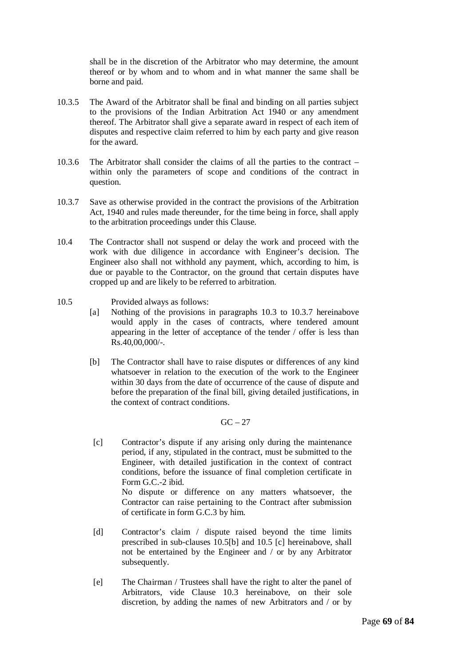shall be in the discretion of the Arbitrator who may determine, the amount thereof or by whom and to whom and in what manner the same shall be borne and paid.

- 10.3.5 The Award of the Arbitrator shall be final and binding on all parties subject to the provisions of the Indian Arbitration Act 1940 or any amendment thereof. The Arbitrator shall give a separate award in respect of each item of disputes and respective claim referred to him by each party and give reason for the award.
- 10.3.6 The Arbitrator shall consider the claims of all the parties to the contract within only the parameters of scope and conditions of the contract in question.
- 10.3.7 Save as otherwise provided in the contract the provisions of the Arbitration Act, 1940 and rules made thereunder, for the time being in force, shall apply to the arbitration proceedings under this Clause.
- 10.4 The Contractor shall not suspend or delay the work and proceed with the work with due diligence in accordance with Engineer's decision. The Engineer also shall not withhold any payment, which, according to him, is due or payable to the Contractor, on the ground that certain disputes have cropped up and are likely to be referred to arbitration.
- 10.5 Provided always as follows:
	- [a] Nothing of the provisions in paragraphs 10.3 to 10.3.7 hereinabove would apply in the cases of contracts, where tendered amount appearing in the letter of acceptance of the tender / offer is less than Rs.40,00,000/-.
	- [b] The Contractor shall have to raise disputes or differences of any kind whatsoever in relation to the execution of the work to the Engineer within 30 days from the date of occurrence of the cause of dispute and before the preparation of the final bill, giving detailed justifications, in the context of contract conditions.

 $GC = 27$ 

[c] Contractor's dispute if any arising only during the maintenance period, if any, stipulated in the contract, must be submitted to the Engineer, with detailed justification in the context of contract conditions, before the issuance of final completion certificate in Form  $G \subset -2$  ibid. No dispute or difference on any matters whatsoever, the Contractor can raise pertaining to the Contract after submission

of certificate in form G.C.3 by him.

- [d] Contractor's claim / dispute raised beyond the time limits prescribed in sub-clauses 10.5[b] and 10.5 [c] hereinabove, shall not be entertained by the Engineer and / or by any Arbitrator subsequently.
- [e] The Chairman / Trustees shall have the right to alter the panel of Arbitrators, vide Clause 10.3 hereinabove, on their sole discretion, by adding the names of new Arbitrators and / or by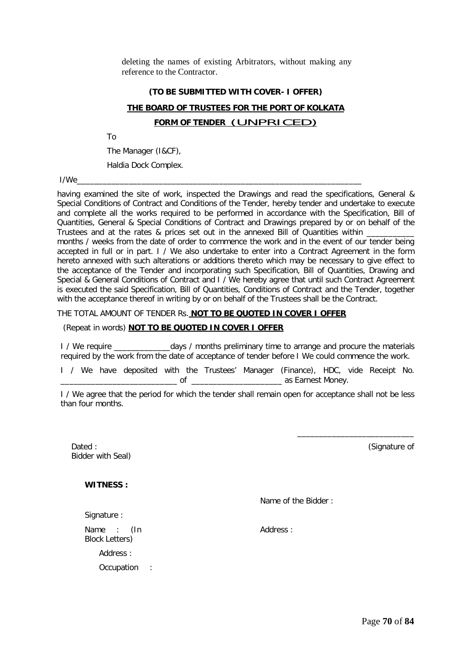deleting the names of existing Arbitrators, without making any reference to the Contractor.

#### **(TO BE SUBMITTED WITH COVER- I OFFER)**

### **THE BOARD OF TRUSTEES FOR THE PORT OF KOLKATA FORM OF TENDER** (UNPRICED)

To

The Manager (I&CF),

Haldia Dock Complex.

I/We\_\_\_\_\_\_\_\_\_\_\_\_\_\_\_\_\_\_\_\_\_\_\_\_\_\_\_\_\_\_\_\_\_\_\_\_\_\_\_\_\_\_\_\_\_\_\_\_\_\_\_\_\_\_\_\_\_\_\_\_\_\_\_\_\_\_

having examined the site of work, inspected the Drawings and read the specifications, General & Special Conditions of Contract and Conditions of the Tender, hereby tender and undertake to execute and complete all the works required to be performed in accordance with the Specification, Bill of Quantities, General & Special Conditions of Contract and Drawings prepared by or on behalf of the Trustees and at the rates & prices set out in the annexed Bill of Quantities within

months / weeks from the date of order to commence the work and in the event of our tender being accepted in full or in part. I / We also undertake to enter into a Contract Agreement in the form hereto annexed with such alterations or additions thereto which may be necessary to give effect to the acceptance of the Tender and incorporating such Specification, Bill of Quantities, Drawing and Special & General Conditions of Contract and I / We hereby agree that until such Contract Agreement is executed the said Specification, Bill of Quantities, Conditions of Contract and the Tender, together with the acceptance thereof in writing by or on behalf of the Trustees shall be the Contract.

#### THE TOTAL AMOUNT OF TENDER Rs. **NOT TO BE QUOTED IN COVER I OFFER**

#### (Repeat in words) **NOT TO BE QUOTED IN COVER I OFFER**

I / We require \_\_\_\_\_\_\_\_\_\_\_\_\_\_\_\_\_\_\_\_days / months preliminary time to arrange and procure the materials required by the work from the date of acceptance of tender before I We could commence the work.

I / We have deposited with the Trustees' Manager (Finance), HDC, vide Receipt No. of the contract of the contract of  $\alpha$  as Earnest Money.

I / We agree that the period for which the tender shall remain open for acceptance shall not be less than four months.

Dated : (Signature of Bidder with Seal)

 $\frac{1}{\sqrt{2}}$  ,  $\frac{1}{\sqrt{2}}$  ,  $\frac{1}{\sqrt{2}}$  ,  $\frac{1}{\sqrt{2}}$  ,  $\frac{1}{\sqrt{2}}$  ,  $\frac{1}{\sqrt{2}}$  ,  $\frac{1}{\sqrt{2}}$  ,  $\frac{1}{\sqrt{2}}$  ,  $\frac{1}{\sqrt{2}}$  ,  $\frac{1}{\sqrt{2}}$  ,  $\frac{1}{\sqrt{2}}$  ,  $\frac{1}{\sqrt{2}}$  ,  $\frac{1}{\sqrt{2}}$  ,  $\frac{1}{\sqrt{2}}$  ,  $\frac{1}{\sqrt{2}}$ 

**WITNESS :** 

Name of the Bidder :

Signature :

Name : (In Block Letters)

Address :

Address :

Occupation :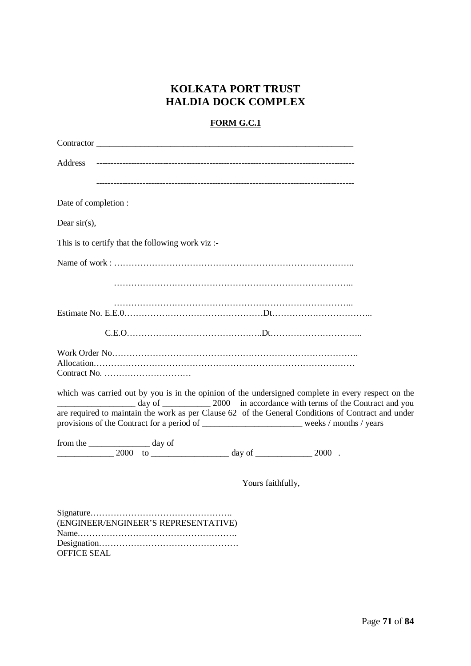### **KOLKATA PORT TRUST HALDIA DOCK COMPLEX**

#### **FORM G.C.1**

| Contractor                                                                                                                                                                                               |
|----------------------------------------------------------------------------------------------------------------------------------------------------------------------------------------------------------|
| Address                                                                                                                                                                                                  |
|                                                                                                                                                                                                          |
| Date of completion :                                                                                                                                                                                     |
| Dear $sir(s)$ ,                                                                                                                                                                                          |
| This is to certify that the following work viz:-                                                                                                                                                         |
|                                                                                                                                                                                                          |
|                                                                                                                                                                                                          |
|                                                                                                                                                                                                          |
|                                                                                                                                                                                                          |
| Contract No. $\dots \dots \dots \dots \dots \dots \dots \dots \dots$                                                                                                                                     |
| which was carried out by you is in the opinion of the undersigned complete in every respect on the<br>are required to maintain the work as per Clause 62 of the General Conditions of Contract and under |
| provisions of the Contract for a period of ___________________________weeks / months / years                                                                                                             |
| from the _____________________ day of<br>$\frac{1}{2000}$ to $\frac{1}{2000}$ to $\frac{1}{2000}$ .                                                                                                      |
| Yours faithfully,                                                                                                                                                                                        |
| (ENGINEER/ENGINEER'S REPRESENTATIVE)<br><b>OFFICE SEAL</b>                                                                                                                                               |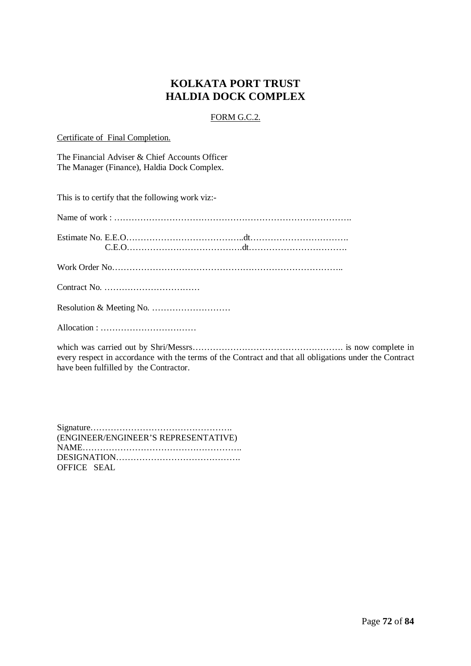### **KOLKATA PORT TRUST HALDIA DOCK COMPLEX**

#### FORM G.C.2.

Certificate of Final Completion.

The Financial Adviser & Chief Accounts Officer The Manager (Finance), Haldia Dock Complex.

This is to certify that the following work viz:-

Allocation : ……………………………

which was carried out by Shri/Messrs……………………………………………. is now complete in every respect in accordance with the terms of the Contract and that all obligations under the Contract have been fulfilled by the Contractor.

Signature…………………………………………. (ENGINEER/ENGINEER'S REPRESENTATIVE) NAME………………………………………………. DESIGNATION……………………………………. OFFICE SEAL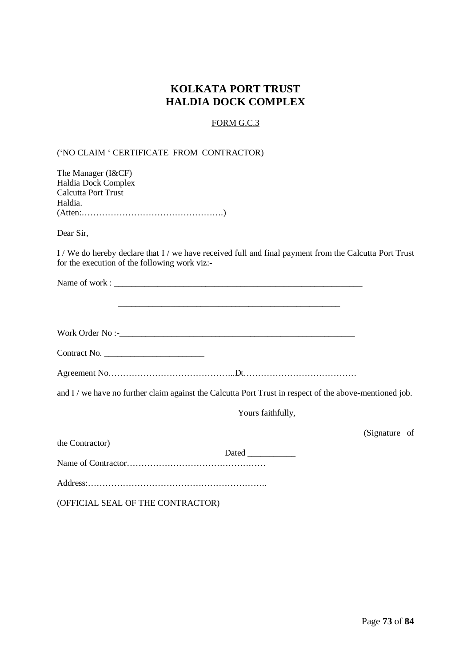## **KOLKATA PORT TRUST HALDIA DOCK COMPLEX**

#### FORM G.C.3

### ('NO CLAIM ' CERTIFICATE FROM CONTRACTOR)

| The Manager (I&CF)                                                                                                                                      |
|---------------------------------------------------------------------------------------------------------------------------------------------------------|
| Haldia Dock Complex                                                                                                                                     |
| Calcutta Port Trust                                                                                                                                     |
| Haldia.                                                                                                                                                 |
|                                                                                                                                                         |
| Dear Sir,                                                                                                                                               |
| I / We do hereby declare that I / we have received full and final payment from the Calcutta Port Trust<br>for the execution of the following work viz:- |
|                                                                                                                                                         |
|                                                                                                                                                         |
|                                                                                                                                                         |
|                                                                                                                                                         |
|                                                                                                                                                         |
| $Contract No. \_$                                                                                                                                       |
|                                                                                                                                                         |
| and I / we have no further claim against the Calcutta Port Trust in respect of the above-mentioned job.                                                 |
| Yours faithfully,                                                                                                                                       |
| (Signature of                                                                                                                                           |
| the Contractor)                                                                                                                                         |
|                                                                                                                                                         |
|                                                                                                                                                         |
|                                                                                                                                                         |
| (OFFICIAL SEAL OF THE CONTRACTOR)                                                                                                                       |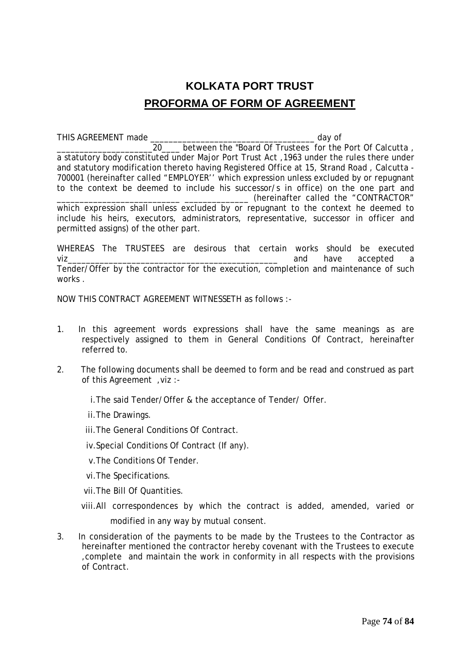## **KOLKATA PORT TRUST PROFORMA OF FORM OF AGREEMENT**

THIS AGREEMENT made \_\_\_\_\_\_\_\_\_\_\_\_\_\_\_\_\_\_\_\_\_\_\_\_\_\_\_\_\_\_\_\_\_\_\_\_ day of 20 between the "Board Of Trustees for the Port Of Calcutta , a statutory body constituted under Major Port Trust Act ,1963 under the rules there under and statutory modification thereto having Registered Office at 15, Strand Road , Calcutta - 700001 (hereinafter called "EMPLOYER'' which expression unless excluded by or repugnant to the context be deemed to include his successor/s in office) on the one part and \_\_\_\_\_\_\_\_\_\_\_\_\_\_\_\_\_\_\_\_\_\_\_\_\_\_\_ \_\_\_\_\_\_\_\_\_\_\_\_\_\_ (hereinafter called the "CONTRACTOR" which expression shall unless excluded by or repugnant to the context he deemed to include his heirs, executors, administrators, representative, successor in officer and permitted assigns) of the other part.

WHEREAS The TRUSTEES are desirous that certain works should be executed viz\_\_\_\_\_\_\_\_\_\_\_\_\_\_\_\_\_\_\_\_\_\_\_\_\_\_\_\_\_\_\_\_\_\_\_\_\_\_\_\_\_\_\_\_\_\_ and have accepted a Tender/Offer by the contractor for the execution, completion and maintenance of such works .

NOW THIS CONTRACT AGREEMENT WITNESSETH as follows :-

- 1. In this agreement words expressions shall have the same meanings as are respectively assigned to them in General Conditions Of Contract, hereinafter referred to.
- 2. The following documents shall be deemed to form and be read and construed as part of this Agreement ,viz :
	- i.The said Tender/Offer & the acceptance of Tender/ Offer.
	- ii.The Drawings.
	- iii.The General Conditions Of Contract.
	- iv.Special Conditions Of Contract (If any).
	- v.The Conditions Of Tender.
	- vi.The Specifications.
	- vii.The Bill Of Quantities.
	- viii.All correspondences by which the contract is added, amended, varied or modified in any way by mutual consent.
- 3. In consideration of the payments to be made by the Trustees to the Contractor as hereinafter mentioned the contractor hereby covenant with the Trustees to execute ,complete and maintain the work in conformity in all respects with the provisions of Contract.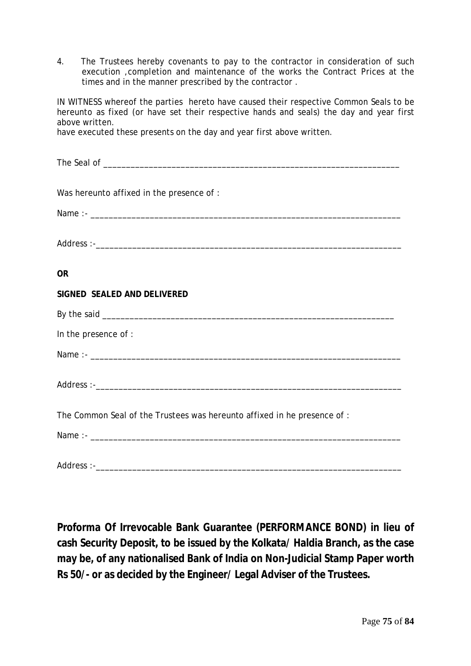4. The Trustees hereby covenants to pay to the contractor in consideration of such execution ,completion and maintenance of the works the Contract Prices at the times and in the manner prescribed by the contractor .

IN WITNESS whereof the parties hereto have caused their respective Common Seals to be hereunto as fixed (or have set their respective hands and seals) the day and year first above written.

have executed these presents on the day and year first above written.

| Was hereunto affixed in the presence of :                                |
|--------------------------------------------------------------------------|
|                                                                          |
|                                                                          |
|                                                                          |
|                                                                          |
| <b>OR</b>                                                                |
| SIGNED SEALED AND DELIVERED                                              |
|                                                                          |
|                                                                          |
| In the presence of :                                                     |
|                                                                          |
|                                                                          |
|                                                                          |
|                                                                          |
| The Common Seal of the Trustees was hereunto affixed in he presence of : |
|                                                                          |
|                                                                          |
|                                                                          |

**Proforma Of Irrevocable Bank Guarantee (PERFORMANCE BOND) in lieu of cash Security Deposit, to be issued by the Kolkata/ Haldia Branch, as the case may be, of any nationalised Bank of India on Non-Judicial Stamp Paper worth Rs 50/- or as decided by the Engineer/ Legal Adviser of the Trustees.**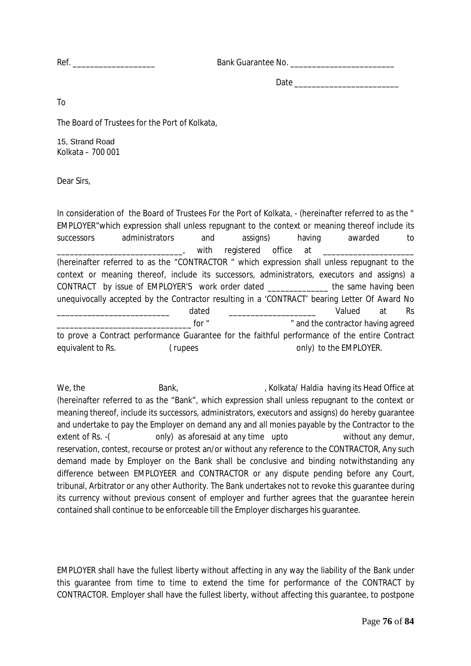Ref. \_\_\_\_\_\_\_\_\_\_\_\_\_\_\_\_\_\_\_ Bank Guarantee No. \_\_\_\_\_\_\_\_\_\_\_\_\_\_\_\_\_\_\_\_\_\_\_\_

Date \_\_\_\_\_\_\_\_\_\_\_\_\_\_\_\_\_\_\_\_\_\_\_\_

To

The Board of Trustees for the Port of Kolkata,

15, Strand Road Kolkata – 700 001

Dear Sirs,

In consideration of the Board of Trustees For the Port of Kolkata, - (hereinafter referred to as the " EMPLOYER"which expression shall unless repugnant to the context or meaning thereof include its successors administrators and assigns) having awarded to with registered office at (hereinafter referred to as the "CONTRACTOR " which expression shall unless repugnant to the context or meaning thereof, include its successors, administrators, executors and assigns) a CONTRACT by issue of EMPLOYER'S work order dated \_\_\_\_\_\_\_\_\_\_\_\_\_\_ the same having been unequivocally accepted by the Contractor resulting in a 'CONTRACT' bearing Letter Of Award No \_\_\_\_\_\_\_\_\_\_\_\_\_\_\_\_\_\_\_\_\_\_\_\_\_\_ dated \_\_\_\_\_\_\_\_\_\_\_\_\_\_\_\_\_\_\_\_ Valued at Rs for " The same of the contractor having agreed to prove a Contract performance Guarantee for the faithful performance of the entire Contract equivalent to Rs. ( rupees only) to the EMPLOYER.

We, the **Bank**, **Bank, According its Head Office at** , Kolkata/ Haldia having its Head Office at (hereinafter referred to as the "Bank", which expression shall unless repugnant to the context or meaning thereof, include its successors, administrators, executors and assigns) do hereby guarantee and undertake to pay the Employer on demand any and all monies payable by the Contractor to the extent of Rs. -( only) as aforesaid at any time upto without any demur, reservation, contest, recourse or protest an/or without any reference to the CONTRACTOR, Any such demand made by Employer on the Bank shall be conclusive and binding notwithstanding any difference between EMPLOYEER and CONTRACTOR or any dispute pending before any Court, tribunal, Arbitrator or any other Authority. The Bank undertakes not to revoke this guarantee during its currency without previous consent of employer and further agrees that the guarantee herein contained shall continue to be enforceable till the Employer discharges his guarantee.

EMPLOYER shall have the fullest liberty without affecting in any way the liability of the Bank under this guarantee from time to time to extend the time for performance of the CONTRACT by CONTRACTOR. Employer shall have the fullest liberty, without affecting this guarantee, to postpone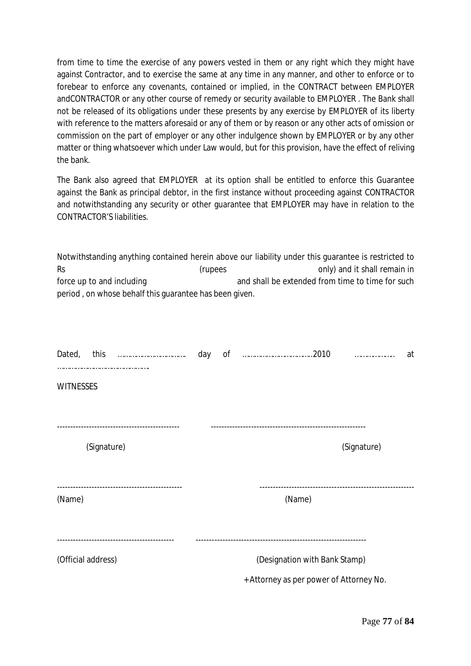from time to time the exercise of any powers vested in them or any right which they might have against Contractor, and to exercise the same at any time in any manner, and other to enforce or to forebear to enforce any covenants, contained or implied, in the CONTRACT between EMPLOYER andCONTRACTOR or any other course of remedy or security available to EMPLOYER . The Bank shall not be released of its obligations under these presents by any exercise by EMPLOYER of its liberty with reference to the matters aforesaid or any of them or by reason or any other acts of omission or commission on the part of employer or any other indulgence shown by EMPLOYER or by any other matter or thing whatsoever which under Law would, but for this provision, have the effect of reliving the bank.

The Bank also agreed that EMPLOYER at its option shall be entitled to enforce this Guarantee against the Bank as principal debtor, in the first instance without proceeding against CONTRACTOR and notwithstanding any security or other guarantee that EMPLOYER may have in relation to the CONTRACTOR'S liabilities.

Notwithstanding anything contained herein above our liability under this guarantee is restricted to Rs **Reserve Construction Construction** (rupees controller conly) and it shall remain in force up to and including and shall be extended from time to time for such period , on whose behalf this guarantee has been given.

|                    |             |  | day                           |                                         |             | at |
|--------------------|-------------|--|-------------------------------|-----------------------------------------|-------------|----|
| <b>WITNESSES</b>   |             |  |                               |                                         |             |    |
|                    |             |  |                               |                                         |             |    |
|                    | (Signature) |  |                               |                                         | (Signature) |    |
|                    |             |  |                               |                                         |             |    |
| (Name)             |             |  |                               | (Name)                                  |             |    |
| (Official address) |             |  | (Designation with Bank Stamp) |                                         |             |    |
|                    |             |  |                               | + Attorney as per power of Attorney No. |             |    |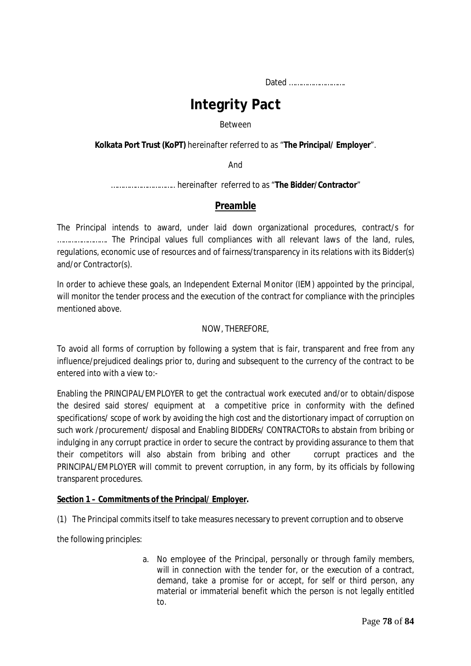Dated ……………………….

# **Integrity Pact**

#### Between

**Kolkata Port Trust (KoPT)** hereinafter referred to as "**The Principal/ Employer**".

And

………………………….. hereinafter referred to as "**The Bidder/Contractor**"

#### **Preamble**

The Principal intends to award, under laid down organizational procedures, contract/s for ……………………. The Principal values full compliances with all relevant laws of the land, rules, regulations, economic use of resources and of fairness/transparency in its relations with its Bidder(s) and/or Contractor(s).

In order to achieve these goals, an Independent External Monitor (IEM) appointed by the principal, will monitor the tender process and the execution of the contract for compliance with the principles mentioned above.

#### NOW, THEREFORE,

To avoid all forms of corruption by following a system that is fair, transparent and free from any influence/prejudiced dealings prior to, during and subsequent to the currency of the contract to be entered into with a view to:-

Enabling the PRINCIPAL/EMPLOYER to get the contractual work executed and/or to obtain/dispose the desired said stores/ equipment at a competitive price in conformity with the defined specifications/ scope of work by avoiding the high cost and the distortionary impact of corruption on such work /procurement/ disposal and Enabling BIDDERs/ CONTRACTORs to abstain from bribing or indulging in any corrupt practice in order to secure the contract by providing assurance to them that their competitors will also abstain from bribing and other corrupt practices and the PRINCIPAL/EMPLOYER will commit to prevent corruption, in any form, by its officials by following transparent procedures.

#### **Section 1 – Commitments of the Principal/ Employer.**

(1) The Principal commits itself to take measures necessary to prevent corruption and to observe

the following principles:

a. No employee of the Principal, personally or through family members, will in connection with the tender for, or the execution of a contract, demand, take a promise for or accept, for self or third person, any material or immaterial benefit which the person is not legally entitled to.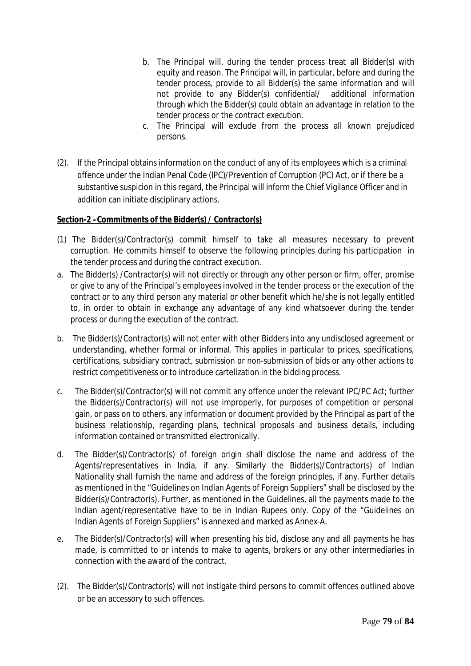- b. The Principal will, during the tender process treat all Bidder(s) with equity and reason. The Principal will, in particular, before and during the tender process, provide to all Bidder(s) the same information and will not provide to any Bidder(s) confidential/ additional information through which the Bidder(s) could obtain an advantage in relation to the tender process or the contract execution.
- c. The Principal will exclude from the process all known prejudiced persons.
- (2). If the Principal obtains information on the conduct of any of its employees which is a criminal offence under the Indian Penal Code (IPC)/Prevention of Corruption (PC) Act, or if there be a substantive suspicion in this regard, the Principal will inform the Chief Vigilance Officer and in addition can initiate disciplinary actions.

#### **Section-2 –Commitments of the Bidder(s) / Contractor(s)**

- (1) The Bidder(s)/Contractor(s) commit himself to take all measures necessary to prevent corruption. He commits himself to observe the following principles during his participation in the tender process and during the contract execution.
- a. The Bidder(s) /Contractor(s) will not directly or through any other person or firm, offer, promise or give to any of the Principal's employees involved in the tender process or the execution of the contract or to any third person any material or other benefit which he/she is not legally entitled to, in order to obtain in exchange any advantage of any kind whatsoever during the tender process or during the execution of the contract.
- b. The Bidder(s)/Contractor(s) will not enter with other Bidders into any undisclosed agreement or understanding, whether formal or informal. This applies in particular to prices, specifications, certifications, subsidiary contract, submission or non-submission of bids or any other actions to restrict competitiveness or to introduce cartelization in the bidding process.
- c. The Bidder(s)/Contractor(s) will not commit any offence under the relevant IPC/PC Act; further the Bidder(s)/Contractor(s) will not use improperly, for purposes of competition or personal gain, or pass on to others, any information or document provided by the Principal as part of the business relationship, regarding plans, technical proposals and business details, including information contained or transmitted electronically.
- d. The Bidder(s)/Contractor(s) of foreign origin shall disclose the name and address of the Agents/representatives in India, if any. Similarly the Bidder(s)/Contractor(s) of Indian Nationality shall furnish the name and address of the foreign principles, if any. Further details as mentioned in the "Guidelines on Indian Agents of Foreign Suppliers" shall be disclosed by the Bidder(s)/Contractor(s). Further, as mentioned in the Guidelines, all the payments made to the Indian agent/representative have to be in Indian Rupees only. Copy of the "Guidelines on Indian Agents of Foreign Suppliers" is annexed and marked as Annex-A.
- e. The Bidder(s)/Contractor(s) will when presenting his bid, disclose any and all payments he has made, is committed to or intends to make to agents, brokers or any other intermediaries in connection with the award of the contract.
- (2). The Bidder(s)/Contractor(s) will not instigate third persons to commit offences outlined above or be an accessory to such offences.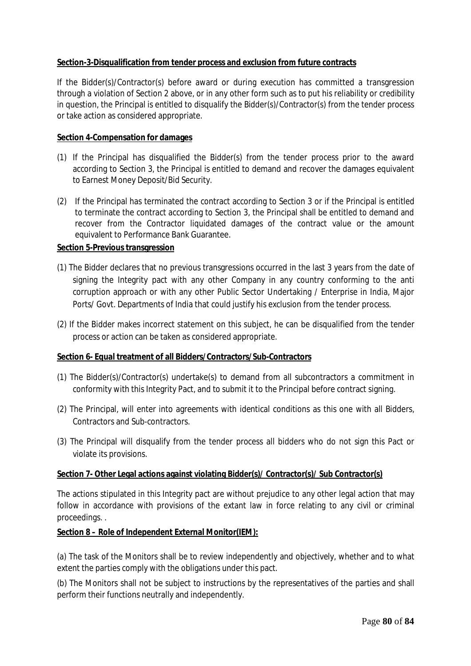#### **Section-3-Disqualification from tender process and exclusion from future contracts**

If the Bidder(s)/Contractor(s) before award or during execution has committed a transgression through a violation of Section 2 above, or in any other form such as to put his reliability or credibility in question, the Principal is entitled to disqualify the Bidder(s)/Contractor(s) from the tender process or take action as considered appropriate.

#### **Section 4-Compensation for damages**

- (1) If the Principal has disqualified the Bidder(s) from the tender process prior to the award according to Section 3, the Principal is entitled to demand and recover the damages equivalent to Earnest Money Deposit/Bid Security.
- (2) If the Principal has terminated the contract according to Section 3 or if the Principal is entitled to terminate the contract according to Section 3, the Principal shall be entitled to demand and recover from the Contractor liquidated damages of the contract value or the amount equivalent to Performance Bank Guarantee.

#### **Section 5-Previous transgression**

- (1) The Bidder declares that no previous transgressions occurred in the last 3 years from the date of signing the Integrity pact with any other Company in any country conforming to the anti corruption approach or with any other Public Sector Undertaking / Enterprise in India, Major Ports/ Govt. Departments of India that could justify his exclusion from the tender process.
- (2) If the Bidder makes incorrect statement on this subject, he can be disqualified from the tender process or action can be taken as considered appropriate.

#### **Section 6- Equal treatment of all Bidders/Contractors/Sub-Contractors**

- (1) The Bidder(s)/Contractor(s) undertake(s) to demand from all subcontractors a commitment in conformity with this Integrity Pact, and to submit it to the Principal before contract signing.
- (2) The Principal, will enter into agreements with identical conditions as this one with all Bidders, Contractors and Sub-contractors.
- (3) The Principal will disqualify from the tender process all bidders who do not sign this Pact or violate its provisions.

#### **Section 7- Other Legal actions against violating Bidder(s)/ Contractor(s)/ Sub Contractor(s)**

The actions stipulated in this Integrity pact are without prejudice to any other legal action that may follow in accordance with provisions of the extant law in force relating to any civil or criminal proceedings. .

#### **Section 8 – Role of Independent External Monitor(IEM):**

(a) The task of the Monitors shall be to review independently and objectively, whether and to what extent the parties comply with the obligations under this pact.

(b) The Monitors shall not be subject to instructions by the representatives of the parties and shall perform their functions neutrally and independently.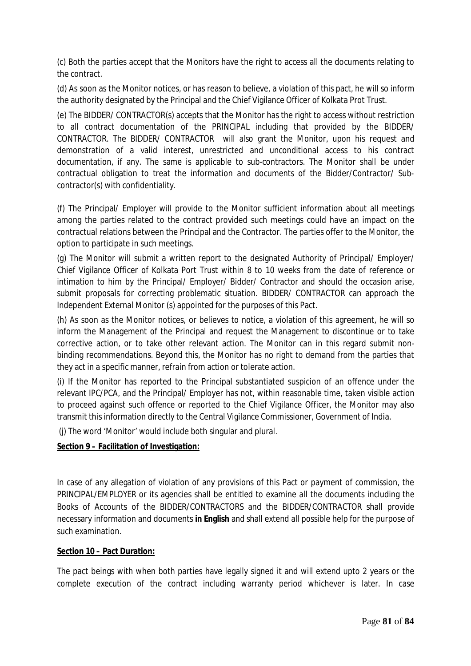(c) Both the parties accept that the Monitors have the right to access all the documents relating to the contract.

(d) As soon as the Monitor notices, or has reason to believe, a violation of this pact, he will so inform the authority designated by the Principal and the Chief Vigilance Officer of Kolkata Prot Trust.

(e) The BIDDER/ CONTRACTOR(s) accepts that the Monitor has the right to access without restriction to all contract documentation of the PRINCIPAL including that provided by the BIDDER/ CONTRACTOR. The BIDDER/ CONTRACTOR will also grant the Monitor, upon his request and demonstration of a valid interest, unrestricted and unconditional access to his contract documentation, if any. The same is applicable to sub-contractors. The Monitor shall be under contractual obligation to treat the information and documents of the Bidder/Contractor/ Subcontractor(s) with confidentiality.

(f) The Principal/ Employer will provide to the Monitor sufficient information about all meetings among the parties related to the contract provided such meetings could have an impact on the contractual relations between the Principal and the Contractor. The parties offer to the Monitor, the option to participate in such meetings.

(g) The Monitor will submit a written report to the designated Authority of Principal/ Employer/ Chief Vigilance Officer of Kolkata Port Trust within 8 to 10 weeks from the date of reference or intimation to him by the Principal/ Employer/ Bidder/ Contractor and should the occasion arise, submit proposals for correcting problematic situation. BIDDER/ CONTRACTOR can approach the Independent External Monitor (s) appointed for the purposes of this Pact.

(h) As soon as the Monitor notices, or believes to notice, a violation of this agreement, he will so inform the Management of the Principal and request the Management to discontinue or to take corrective action, or to take other relevant action. The Monitor can in this regard submit nonbinding recommendations. Beyond this, the Monitor has no right to demand from the parties that they act in a specific manner, refrain from action or tolerate action.

(i) If the Monitor has reported to the Principal substantiated suspicion of an offence under the relevant IPC/PCA, and the Principal/ Employer has not, within reasonable time, taken visible action to proceed against such offence or reported to the Chief Vigilance Officer, the Monitor may also transmit this information directly to the Central Vigilance Commissioner, Government of India.

(j) The word 'Monitor' would include both singular and plural.

#### **Section 9 – Facilitation of Investigation:**

In case of any allegation of violation of any provisions of this Pact or payment of commission, the PRINCIPAL/EMPLOYER or its agencies shall be entitled to examine all the documents including the Books of Accounts of the BIDDER/CONTRACTORS and the BIDDER/CONTRACTOR shall provide necessary information and documents **in English** and shall extend all possible help for the purpose of such examination.

#### **Section 10 – Pact Duration:**

The pact beings with when both parties have legally signed it and will extend upto 2 years or the complete execution of the contract including warranty period whichever is later. In case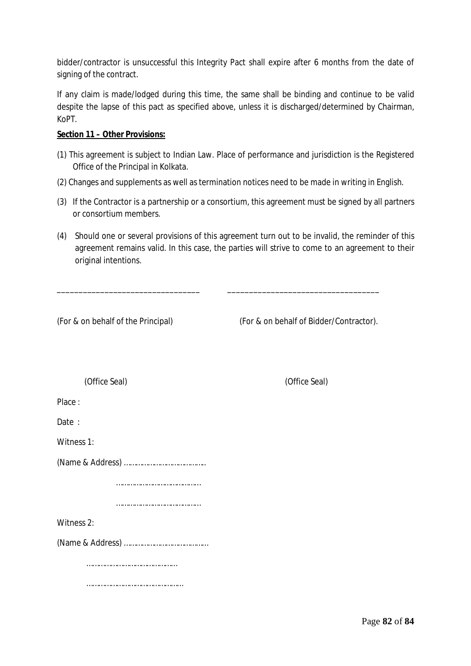bidder/contractor is unsuccessful this Integrity Pact shall expire after 6 months from the date of signing of the contract.

If any claim is made/lodged during this time, the same shall be binding and continue to be valid despite the lapse of this pact as specified above, unless it is discharged/determined by Chairman, KoPT.

#### **Section 11 – Other Provisions:**

- (1) This agreement is subject to Indian Law. Place of performance and jurisdiction is the Registered Office of the Principal in Kolkata.
- (2) Changes and supplements as well as termination notices need to be made in writing in English.
- (3) If the Contractor is a partnership or a consortium, this agreement must be signed by all partners or consortium members.
- (4) Should one or several provisions of this agreement turn out to be invalid, the reminder of this agreement remains valid. In this case, the parties will strive to come to an agreement to their original intentions.

| (For & on behalf of the Principal) | (For & on behalf of Bidder/Contractor). |  |  |
|------------------------------------|-----------------------------------------|--|--|
| (Office Seal)                      | (Office Seal)                           |  |  |
| Place:                             |                                         |  |  |
| Date :                             |                                         |  |  |
| Witness 1:                         |                                         |  |  |
|                                    |                                         |  |  |
|                                    |                                         |  |  |
|                                    |                                         |  |  |
| Witness 2:                         |                                         |  |  |
|                                    |                                         |  |  |
|                                    |                                         |  |  |
|                                    |                                         |  |  |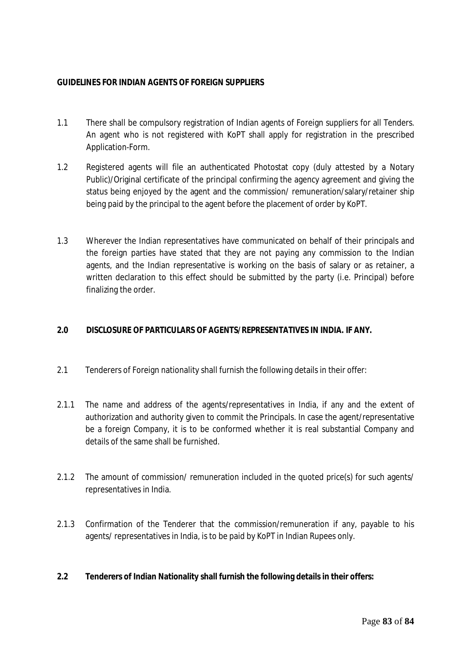#### **GUIDELINES FOR INDIAN AGENTS OF FOREIGN SUPPLIERS**

- 1.1 There shall be compulsory registration of Indian agents of Foreign suppliers for all Tenders. An agent who is not registered with KoPT shall apply for registration in the prescribed Application-Form.
- 1.2 Registered agents will file an authenticated Photostat copy (duly attested by a Notary Public)/Original certificate of the principal confirming the agency agreement and giving the status being enjoyed by the agent and the commission/ remuneration/salary/retainer ship being paid by the principal to the agent before the placement of order by KoPT.
- 1.3 Wherever the Indian representatives have communicated on behalf of their principals and the foreign parties have stated that they are not paying any commission to the Indian agents, and the Indian representative is working on the basis of salary or as retainer, a written declaration to this effect should be submitted by the party (i.e. Principal) before finalizing the order.

#### **2.0 DISCLOSURE OF PARTICULARS OF AGENTS/REPRESENTATIVES IN INDIA. IF ANY.**

- 2.1 Tenderers of Foreign nationality shall furnish the following details in their offer:
- 2.1.1 The name and address of the agents/representatives in India, if any and the extent of authorization and authority given to commit the Principals. In case the agent/representative be a foreign Company, it is to be conformed whether it is real substantial Company and details of the same shall be furnished.
- 2.1.2 The amount of commission/ remuneration included in the quoted price(s) for such agents/ representatives in India.
- 2.1.3 Confirmation of the Tenderer that the commission/remuneration if any, payable to his agents/ representatives in India, is to be paid by KoPT in Indian Rupees only.

#### **2.2 Tenderers of Indian Nationality shall furnish the following details in their offers:**